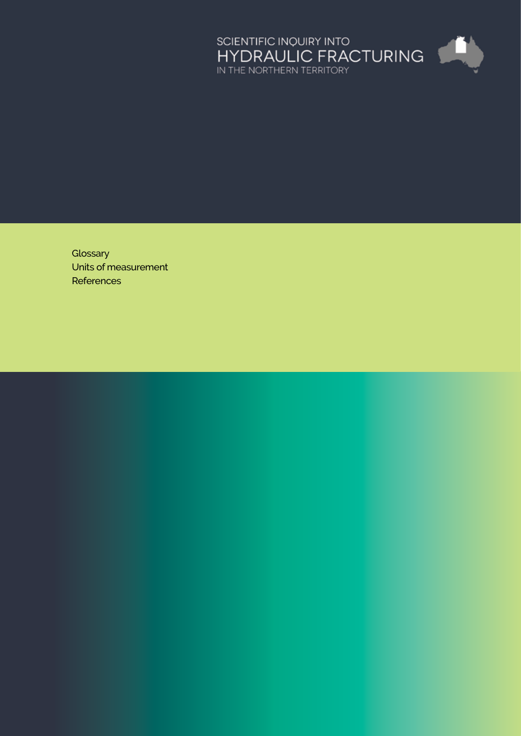

**[Glossary](#page-1-0)** [Units of measurement](#page-5-0) **[References](#page-6-0)**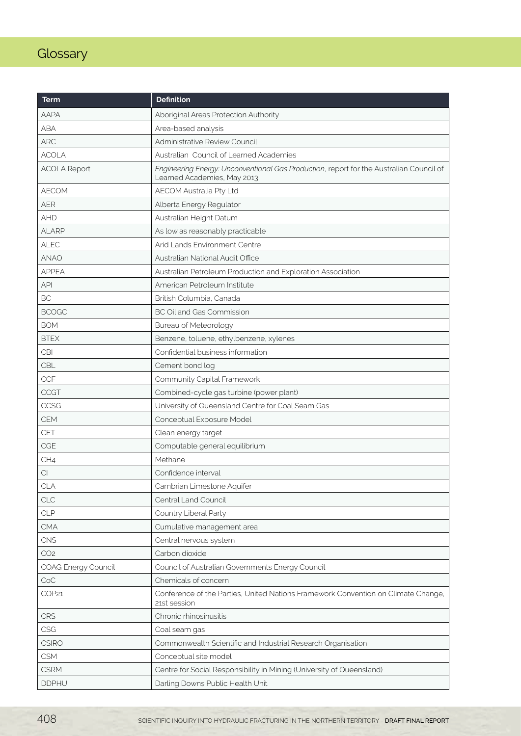# <span id="page-1-0"></span>**Glossary**

| Term                | <b>Definition</b>                                                                                                      |
|---------------------|------------------------------------------------------------------------------------------------------------------------|
| AAPA                | Aboriginal Areas Protection Authority                                                                                  |
| <b>ABA</b>          | Area-based analysis                                                                                                    |
| <b>ARC</b>          | Administrative Review Council                                                                                          |
| <b>ACOLA</b>        | Australian Council of Learned Academies                                                                                |
| <b>ACOLA Report</b> | Engineering Energy: Unconventional Gas Production, report for the Australian Council of<br>Learned Academies, May 2013 |
| <b>AECOM</b>        | AECOM Australia Pty Ltd                                                                                                |
| <b>AER</b>          | Alberta Energy Regulator                                                                                               |
| <b>AHD</b>          | Australian Height Datum                                                                                                |
| <b>ALARP</b>        | As low as reasonably practicable                                                                                       |
| <b>ALEC</b>         | Arid Lands Environment Centre                                                                                          |
| <b>ANAO</b>         | Australian National Audit Office                                                                                       |
| <b>APPEA</b>        | Australian Petroleum Production and Exploration Association                                                            |
| <b>API</b>          | American Petroleum Institute                                                                                           |
| <b>BC</b>           | British Columbia, Canada                                                                                               |
| <b>BCOGC</b>        | <b>BC Oil and Gas Commission</b>                                                                                       |
| <b>BOM</b>          | <b>Bureau of Meteorology</b>                                                                                           |
| <b>BTEX</b>         | Benzene, toluene, ethylbenzene, xylenes                                                                                |
| <b>CBI</b>          | Confidential business information                                                                                      |
| CBL                 | Cement bond log                                                                                                        |
| <b>CCF</b>          | Community Capital Framework                                                                                            |
| <b>CCGT</b>         | Combined-cycle gas turbine (power plant)                                                                               |
| CCSG                | University of Queensland Centre for Coal Seam Gas                                                                      |
| CEM                 | Conceptual Exposure Model                                                                                              |
| CET                 | Clean energy target                                                                                                    |
| CGE                 | Computable general equilibrium                                                                                         |
| CH4                 | Methane                                                                                                                |
| $C \vert$           | Confidence interval                                                                                                    |
| <b>CLA</b>          | Cambrian Limestone Aquifer                                                                                             |
| CLC                 | Central Land Council                                                                                                   |
| <b>CLP</b>          | Country Liberal Party                                                                                                  |
| <b>CMA</b>          | Cumulative management area                                                                                             |
| CNS                 | Central nervous system                                                                                                 |
| CO <sub>2</sub>     | Carbon dioxide                                                                                                         |
| COAG Energy Council | Council of Australian Governments Energy Council                                                                       |
| CoC                 | Chemicals of concern                                                                                                   |
| COP21               | Conference of the Parties, United Nations Framework Convention on Climate Change,<br>21st session                      |
| CRS                 | Chronic rhinosinusitis                                                                                                 |
| CSG                 | Coal seam gas                                                                                                          |
| <b>CSIRO</b>        | Commonwealth Scientific and Industrial Research Organisation                                                           |
| <b>CSM</b>          | Conceptual site model                                                                                                  |
| <b>CSRM</b>         | Centre for Social Responsibility in Mining (University of Queensland)                                                  |
| <b>DDPHU</b>        | Darling Downs Public Health Unit                                                                                       |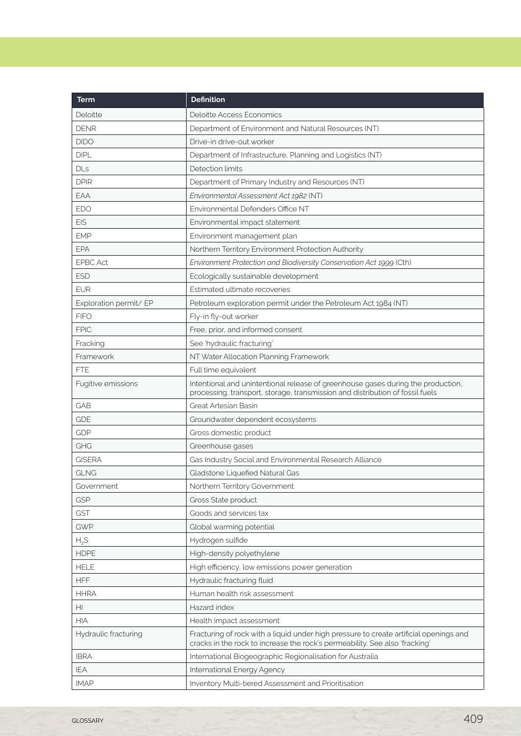| Term                   | <b>Definition</b>                                                                                                                                                     |
|------------------------|-----------------------------------------------------------------------------------------------------------------------------------------------------------------------|
| Deloitte               | <b>Deloitte Access Economics</b>                                                                                                                                      |
| <b>DENR</b>            | Department of Environment and Natural Resources (NT)                                                                                                                  |
| <b>DIDO</b>            | Drive-in drive-out worker                                                                                                                                             |
| <b>DIPL</b>            | Department of Infrastructure, Planning and Logistics (NT)                                                                                                             |
| <b>DLs</b>             | Detection limits                                                                                                                                                      |
| <b>DPIR</b>            | Department of Primary Industry and Resources (NT)                                                                                                                     |
| EAA                    | Environmental Assessment Act 1982 (NT)                                                                                                                                |
| <b>EDO</b>             | Environmental Defenders Office NT                                                                                                                                     |
| <b>EIS</b>             | Environmental impact statement                                                                                                                                        |
| <b>EMP</b>             | Environment management plan                                                                                                                                           |
| EPA                    | Northern Territory Environment Protection Authority                                                                                                                   |
| <b>EPBC Act</b>        | Environment Protection and Biodiversity Conservation Act 1999 (Cth)                                                                                                   |
| <b>ESD</b>             | Ecologically sustainable development                                                                                                                                  |
| <b>EUR</b>             | Estimated ultimate recoveries                                                                                                                                         |
| Exploration permit/ EP | Petroleum exploration permit under the Petroleum Act 1984 (NT)                                                                                                        |
| <b>FIFO</b>            | Fly-in fly-out worker                                                                                                                                                 |
| <b>FPIC</b>            | Free, prior, and informed consent                                                                                                                                     |
| Fracking               | See 'hydraulic fracturing'                                                                                                                                            |
| Framework              | NT Water Allocation Planning Framework                                                                                                                                |
| <b>FTE</b>             | Full time equivalent                                                                                                                                                  |
| Fugitive emissions     | Intentional and unintentional release of greenhouse gases during the production,<br>processing, transport, storage, transmission and distribution of fossil fuels     |
| <b>GAB</b>             | Great Artesian Basin                                                                                                                                                  |
| <b>GDE</b>             | Groundwater dependent ecosystems                                                                                                                                      |
| <b>GDP</b>             | Gross domestic product                                                                                                                                                |
| GHG                    | Greenhouse gases                                                                                                                                                      |
| <b>GISERA</b>          | Gas Industry Social and Environmental Research Alliance                                                                                                               |
| <b>GLNG</b>            | Gladstone Liquefied Natural Gas                                                                                                                                       |
| Government             | Northern Territory Government                                                                                                                                         |
| <b>GSP</b>             | Gross State product                                                                                                                                                   |
| <b>GST</b>             | Goods and services tax                                                                                                                                                |
| <b>GWP</b>             | Global warming potential                                                                                                                                              |
| $H_2S$                 | Hydrogen sulfide                                                                                                                                                      |
| <b>HDPE</b>            | High-density polyethylene                                                                                                                                             |
| <b>HELE</b>            | High efficiency, low emissions power generation                                                                                                                       |
| <b>HFF</b>             | Hydraulic fracturing fluid                                                                                                                                            |
| <b>HHRA</b>            | Human health risk assessment                                                                                                                                          |
| H <sub>1</sub>         | Hazard index                                                                                                                                                          |
| <b>HIA</b>             | Health impact assessment                                                                                                                                              |
| Hydraulic fracturing   | Fracturing of rock with a liquid under high pressure to create artificial openings and<br>cracks in the rock to increase the rock's permeability. See also 'fracking' |
| <b>IBRA</b>            | International Biogeographic Regionalisation for Australia                                                                                                             |
| <b>IEA</b>             | International Energy Agency                                                                                                                                           |
| <b>IMAP</b>            | Inventory Multi-tiered Assessment and Prioritisation                                                                                                                  |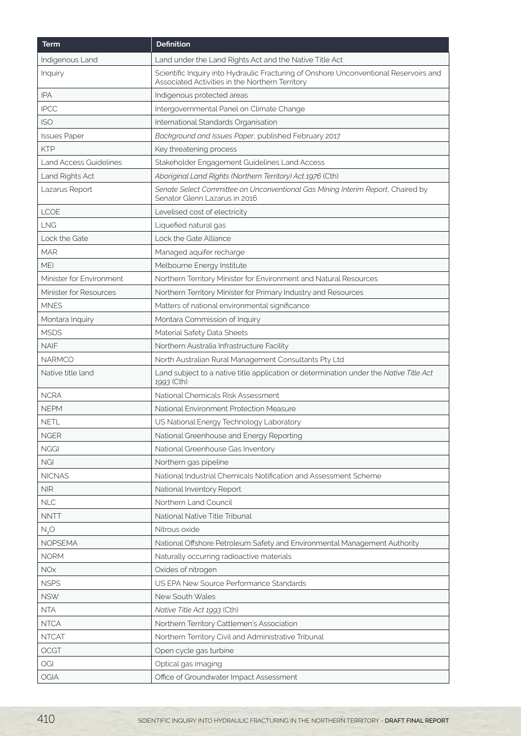| <b>Term</b>              | <b>Definition</b>                                                                                                                        |
|--------------------------|------------------------------------------------------------------------------------------------------------------------------------------|
| Indigenous Land          | Land under the Land Rights Act and the Native Title Act                                                                                  |
| Inquiry                  | Scientific Inquiry into Hydraulic Fracturing of Onshore Unconventional Reservoirs and<br>Associated Activities in the Northern Territory |
| <b>IPA</b>               | Indigenous protected areas                                                                                                               |
| <b>IPCC</b>              | Intergovernmental Panel on Climate Change                                                                                                |
| <b>ISO</b>               | International Standards Organisation                                                                                                     |
| <b>Issues Paper</b>      | Background and Issues Paper, published February 2017                                                                                     |
| <b>KTP</b>               | Key threatening process                                                                                                                  |
| Land Access Guidelines   | Stakeholder Engagement Guidelines Land Access                                                                                            |
| Land Rights Act          | Aboriginal Land Rights (Northern Territory) Act 1976 (Cth)                                                                               |
| Lazarus Report           | Senate Select Committee on Unconventional Gas Mining Interim Report, Chaired by<br>Senator Glenn Lazarus in 2016                         |
| <b>LCOE</b>              | Levelised cost of electricity                                                                                                            |
| <b>LNG</b>               | Liquefied natural gas                                                                                                                    |
| <b>Lock the Gate</b>     | Lock the Gate Alliance                                                                                                                   |
| <b>MAR</b>               | Managed aquifer recharge                                                                                                                 |
| <b>MEI</b>               | Melbourne Energy Institute                                                                                                               |
| Minister for Environment | Northern Territory Minister for Environment and Natural Resources                                                                        |
| Minister for Resources   | Northern Territory Minister for Primary Industry and Resources                                                                           |
| <b>MNES</b>              | Matters of national environmental significance                                                                                           |
| Montara Inquiry          | Montara Commission of Inquiry                                                                                                            |
| <b>MSDS</b>              | Material Safety Data Sheets                                                                                                              |
| <b>NAIF</b>              | Northern Australia Infrastructure Facility                                                                                               |
| <b>NARMCO</b>            | North Australian Rural Management Consultants Pty Ltd                                                                                    |
| Native title land        | Land subject to a native title application or determination under the Native Title Act<br>1993 (Cth)                                     |
| <b>NCRA</b>              | National Chemicals Risk Assessment                                                                                                       |
| <b>NEPM</b>              | National Environment Protection Measure                                                                                                  |
| <b>NETL</b>              | US National Energy Technology Laboratory                                                                                                 |
| <b>NGER</b>              | National Greenhouse and Energy Reporting                                                                                                 |
| <b>NGGI</b>              | National Greenhouse Gas Inventory                                                                                                        |
| NGI                      | Northern gas pipeline                                                                                                                    |
| <b>NICNAS</b>            | National Industrial Chemicals Notification and Assessment Scheme                                                                         |
| NIR                      | National Inventory Report                                                                                                                |
| NLC                      | Northern Land Council                                                                                                                    |
| <b>NNTT</b>              | National Native Title Tribunal                                                                                                           |
| N, O                     | Nitrous oxide                                                                                                                            |
| <b>NOPSEMA</b>           | National Offshore Petroleum Safety and Environmental Management Authority                                                                |
| <b>NORM</b>              | Naturally occurring radioactive materials                                                                                                |
| <b>NOx</b>               | Oxides of nitrogen                                                                                                                       |
| <b>NSPS</b>              | US EPA New Source Performance Standards                                                                                                  |
| <b>NSW</b>               | New South Wales                                                                                                                          |
| <b>NTA</b>               | Native Title Act 1993 (Cth)                                                                                                              |
| <b>NTCA</b>              | Northern Territory Cattlemen's Association                                                                                               |
| <b>NTCAT</b>             | Northern Territory Civil and Administrative Tribunal                                                                                     |
| OCGT                     | Open cycle gas turbine                                                                                                                   |
| OGI                      | Optical gas imaging                                                                                                                      |
| OGIA                     | Office of Groundwater Impact Assessment                                                                                                  |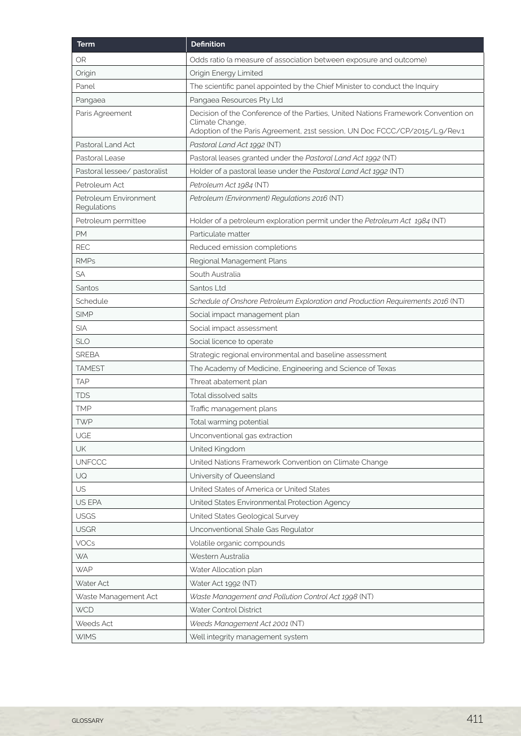| <b>Term</b>                          | <b>Definition</b>                                                                                                                                                                   |
|--------------------------------------|-------------------------------------------------------------------------------------------------------------------------------------------------------------------------------------|
| <b>OR</b>                            | Odds ratio (a measure of association between exposure and outcome)                                                                                                                  |
| Origin                               | Origin Energy Limited                                                                                                                                                               |
| Panel                                | The scientific panel appointed by the Chief Minister to conduct the Inquiry                                                                                                         |
| Pangaea                              | Pangaea Resources Pty Ltd                                                                                                                                                           |
| Paris Agreement                      | Decision of the Conference of the Parties, United Nations Framework Convention on<br>Climate Change,<br>Adoption of the Paris Agreement, 21st session, UN Doc FCCC/CP/2015/L9/Rev.1 |
| Pastoral Land Act                    | Pastoral Land Act 1992 (NT)                                                                                                                                                         |
| Pastoral Lease                       | Pastoral leases granted under the Pastoral Land Act 1992 (NT)                                                                                                                       |
| Pastoral lessee/ pastoralist         | Holder of a pastoral lease under the Pastoral Land Act 1992 (NT)                                                                                                                    |
| Petroleum Act                        | Petroleum Act 1984 (NT)                                                                                                                                                             |
| Petroleum Environment<br>Regulations | Petroleum (Environment) Regulations 2016 (NT)                                                                                                                                       |
| Petroleum permittee                  | Holder of a petroleum exploration permit under the Petroleum Act 1984 (NT)                                                                                                          |
| PM                                   | Particulate matter                                                                                                                                                                  |
| <b>REC</b>                           | Reduced emission completions                                                                                                                                                        |
| <b>RMPs</b>                          | Regional Management Plans                                                                                                                                                           |
| SA                                   | South Australia                                                                                                                                                                     |
| Santos                               | Santos Ltd                                                                                                                                                                          |
| Schedule                             | Schedule of Onshore Petroleum Exploration and Production Requirements 2016 (NT)                                                                                                     |
| <b>SIMP</b>                          | Social impact management plan                                                                                                                                                       |
| <b>SIA</b>                           | Social impact assessment                                                                                                                                                            |
| <b>SLO</b>                           | Social licence to operate                                                                                                                                                           |
| <b>SREBA</b>                         | Strategic regional environmental and baseline assessment                                                                                                                            |
| <b>TAMEST</b>                        | The Academy of Medicine, Engineering and Science of Texas                                                                                                                           |
| <b>TAP</b>                           | Threat abatement plan                                                                                                                                                               |
| <b>TDS</b>                           | Total dissolved salts                                                                                                                                                               |
| TMP                                  | Traffic management plans                                                                                                                                                            |
| <b>TWP</b>                           | Total warming potential                                                                                                                                                             |
| UGE                                  | Unconventional gas extraction                                                                                                                                                       |
| UK                                   | United Kingdom                                                                                                                                                                      |
| <b>UNFCCC</b>                        | United Nations Framework Convention on Climate Change                                                                                                                               |
| UQ                                   | University of Queensland                                                                                                                                                            |
| US                                   | United States of America or United States                                                                                                                                           |
| US EPA                               | United States Environmental Protection Agency                                                                                                                                       |
| <b>USGS</b>                          | United States Geological Survey                                                                                                                                                     |
| <b>USGR</b>                          | Unconventional Shale Gas Regulator                                                                                                                                                  |
| VOCs                                 | Volatile organic compounds                                                                                                                                                          |
| <b>WA</b>                            | Western Australia                                                                                                                                                                   |
| <b>WAP</b>                           | Water Allocation plan                                                                                                                                                               |
| Water Act                            | Water Act 1992 (NT)                                                                                                                                                                 |
| Waste Management Act                 | Waste Management and Pollution Control Act 1998 (NT)                                                                                                                                |
| <b>WCD</b>                           | Water Control District                                                                                                                                                              |
| Weeds Act                            | Weeds Management Act 2001 (NT)                                                                                                                                                      |
| <b>WIMS</b>                          | Well integrity management system                                                                                                                                                    |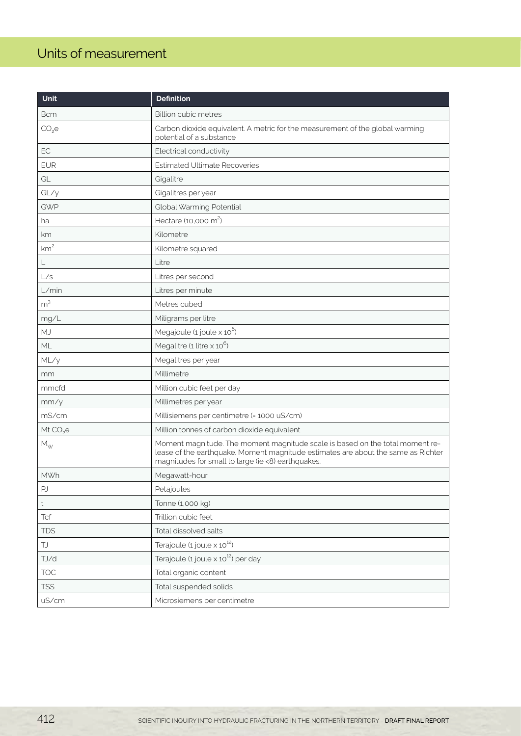# <span id="page-5-0"></span>Units of measurement

| Unit                 | <b>Definition</b>                                                                                                                                                                                                        |
|----------------------|--------------------------------------------------------------------------------------------------------------------------------------------------------------------------------------------------------------------------|
| <b>Bcm</b>           | <b>Billion cubic metres</b>                                                                                                                                                                                              |
| $CO2$ e              | Carbon dioxide equivalent. A metric for the measurement of the global warming<br>potential of a substance                                                                                                                |
| EC                   | Electrical conductivity                                                                                                                                                                                                  |
| <b>EUR</b>           | <b>Estimated Ultimate Recoveries</b>                                                                                                                                                                                     |
| GL                   | Gigalitre                                                                                                                                                                                                                |
| GL/y                 | Gigalitres per year                                                                                                                                                                                                      |
| <b>GWP</b>           | Global Warming Potential                                                                                                                                                                                                 |
| ha                   | Hectare (10,000 m <sup>2</sup> )                                                                                                                                                                                         |
| km                   | Kilometre                                                                                                                                                                                                                |
| km <sup>2</sup>      | Kilometre squared                                                                                                                                                                                                        |
| L                    | Litre                                                                                                                                                                                                                    |
| L/s                  | Litres per second                                                                                                                                                                                                        |
| L/min                | Litres per minute                                                                                                                                                                                                        |
| m <sup>3</sup>       | Metres cubed                                                                                                                                                                                                             |
| mg/L                 | Miligrams per litre                                                                                                                                                                                                      |
| MJ                   | Megajoule $(1$ joule $\times 10^6$ )                                                                                                                                                                                     |
| ML                   | Megalitre (1 litre $\times$ 10 <sup>6</sup> )                                                                                                                                                                            |
| ML/y                 | Megalitres per year                                                                                                                                                                                                      |
| mm                   | Millimetre                                                                                                                                                                                                               |
| mmcfd                | Million cubic feet per day                                                                                                                                                                                               |
| mm/y                 | Millimetres per year                                                                                                                                                                                                     |
| mS/cm                | Millisiemens per centimetre (= 1000 uS/cm)                                                                                                                                                                               |
| Mt $CO2$ e           | Million tonnes of carbon dioxide equivalent                                                                                                                                                                              |
| $M_{\rm W}$          | Moment magnitude. The moment magnitude scale is based on the total moment re-<br>lease of the earthquake. Moment magnitude estimates are about the same as Richter<br>magnitudes for small to large (ie <8) earthquakes. |
| <b>MWh</b>           | Megawatt-hour                                                                                                                                                                                                            |
| PJ                   | Petajoules                                                                                                                                                                                                               |
| t                    | Tonne (1,000 kg)                                                                                                                                                                                                         |
| <b>Tcf</b>           | Trillion cubic feet                                                                                                                                                                                                      |
| <b>TDS</b>           | Total dissolved salts                                                                                                                                                                                                    |
| $\mathsf T\mathsf J$ | Terajoule $(1$ joule $\times 10^{12})$                                                                                                                                                                                   |
| TJ/d                 | Terajoule (1 joule $\times$ 10 <sup>12</sup> ) per day                                                                                                                                                                   |
| <b>TOC</b>           | Total organic content                                                                                                                                                                                                    |
| <b>TSS</b>           | Total suspended solids                                                                                                                                                                                                   |
| uS/cm                | Microsiemens per centimetre                                                                                                                                                                                              |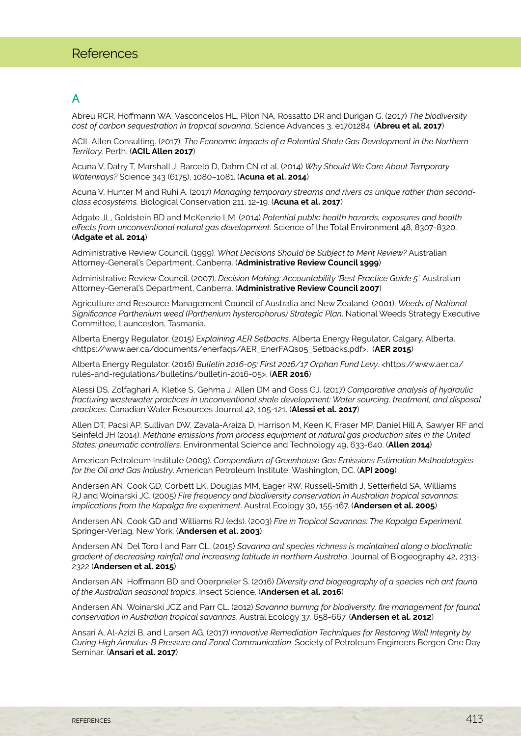# <span id="page-6-0"></span>A

Abreu RCR, Hoffmann WA, Vasconcelos HL, Pilon NA, Rossatto DR and Durigan G. (2017) *The biodiversity cost of carbon sequestration in tropical savanna*. Science Advances 3, e1701284. (**Abreu et al. 2017**)

ACIL Allen Consulting. (2017). *The Economic Impacts of a Potential Shale Gas Development in the Northern Territory.* Perth. (**ACIL Allen 2017**)

Acuna V, Datry T, Marshall J, Barceló D, Dahm CN et al. (2014) *Why Should We Care About Temporary Waterways?* Science 343 (6175), 1080–1081. (**Acuna et al. 2014**)

Acuna V, Hunter M and Ruhi A. (2017) *Managing temporary streams and rivers as unique rather than secondclass ecosystems.* Biological Conservation 211, 12-19. (**Acuna et al. 2017**)

Adgate JL, Goldstein BD and McKenzie LM. (2014) *Potential public health hazards, exposures and health effects from unconventional natural gas development*. Science of the Total Environment 48, 8307-8320. (**Adgate et al. 2014**)

Administrative Review Council. (1999). *What Decisions Should be Subject to Merit Review?* Australian Attorney-General's Department, Canberra. (**Administrative Review Council 1999**)

Administrative Review Council. (2007). *Decision Making: Accountability 'Best Practice Guide 5'.* Australian Attorney-General's Department, Canberra. (**Administrative Review Council 2007**)

Agriculture and Resource Management Council of Australia and New Zealand. (2001). *Weeds of National Significance Parthenium weed (Parthenium hysterophorus) Strategic Plan*. National Weeds Strategy Executive Committee, Launceston, Tasmania.

Alberta Energy Regulator. (2015) E*xplaining AER Setbacks*. Alberta Energy Regulator, Calgary, Alberta. <https://www.aer.ca/documents/enerfaqs/AER\_EnerFAQs05\_Setbacks.pdf>. (**AER 2015**)

Alberta Energy Regulator. (2016) *Bulletin 2016-05: First 2016/17 Orphan Fund Levy*. <https://www.aer.ca/ rules-and-regulations/bulletins/bulletin-2016-05>. (**AER 2016**)

Alessi DS, Zolfaghari A, Kletke S, Gehma J, Allen DM and Goss GJ. (2017) *Comparative analysis of hydraulic fracturing wastewater practices in unconventional shale development: Water sourcing, treatment, and disposal practices*. Canadian Water Resources Journal 42, 105-121. (**Alessi et al. 2017**)

Allen DT, Pacsi AP, Sullivan DW, Zavala-Araiza D, Harrison M, Keen K, Fraser MP, Daniel Hill A, Sawyer RF and Seinfeld JH (2014). *Methane emissions from process equipment at natural gas production sites in the United States: pneumatic controllers*. Environmental Science and Technology 49, 633-640. (**Allen 2014**)

American Petroleum Institute (2009). *Compendium of Greenhouse Gas Emissions Estimation Methodologies for the Oil and Gas Industry*. American Petroleum Institute, Washington, DC. (**API 2009**)

Andersen AN, Cook GD, Corbett LK, Douglas MM, Eager RW, Russell-Smith J, Setterfield SA, Williams RJ and Woinarski JC. (2005) *Fire frequency and biodiversity conservation in Australian tropical savannas: implications from the Kapalga fire experiment*. Austral Ecology 30, 155-167. (**Andersen et al. 2005**)

Andersen AN, Cook GD and Williams RJ (eds). (2003) *Fire in Tropical Savannas: The Kapalga Experiment*. Springer-Verlag, New York. (**Andersen et al. 2003**)

Andersen AN, Del Toro I and Parr CL. (2015) *Savanna ant species richness is maintained along a bioclimatic gradient of decreasing rainfall and increasing latitude in northern Australia*. Journal of Biogeography 42, 2313- 2322 (**Andersen et al. 2015**)

Andersen AN, Hoffmann BD and Oberprieler S. (2016) *Diversity and biogeography of a species ‐rich ant fauna of the Australian seasonal tropics*. Insect Science. (**Andersen et al. 2016**)

Andersen AN, Woinarski JCZ and Parr CL. (2012) *Savanna burning for biodiversity: fire management for faunal conservation in Australian tropical savannas*. Austral Ecology 37, 658-667. (**Andersen et al. 2012**)

Ansari A, Al-Azizi B, and Larsen AG. (2017) *Innovative Remediation Techniques for Restoring Well Integrity by Curing High Annulus-B Pressure and Zonal Communication*. Society of Petroleum Engineers Bergen One Day Seminar. (**Ansari et al. 2017**)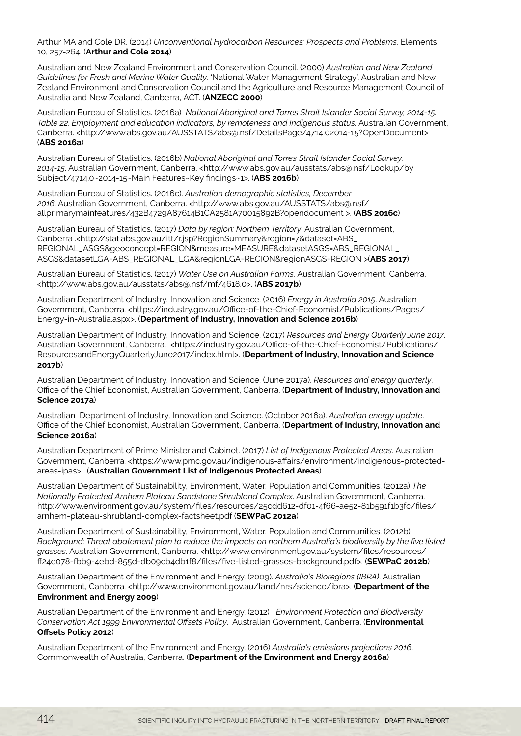Arthur MA and Cole DR. (2014) *Unconventional Hydrocarbon Resources: Prospects and Problems*. Elements 10, 257-264. (**Arthur and Cole 2014**)

Australian and New Zealand Environment and Conservation Council. (2000) *Australian and New Zealand Guidelines for Fresh and Marine Water Quality*. 'National Water Management Strategy'. Australian and New Zealand Environment and Conservation Council and the Agriculture and Resource Management Council of Australia and New Zealand, Canberra, ACT. (**ANZECC 2000**)

Australian Bureau of Statistics. (2016a) *National Aboriginal and Torres Strait Islander Social Survey, 2014-15. Table 22. Employment and education indicators, by remoteness and Indigenous status.* Australian Government, Canberra. <http://www.abs.gov.au/AUSSTATS/abs@.nsf/DetailsPage/4714.02014-15?OpenDocument> (**ABS 2016a**)

Australian Bureau of Statistics. (2016b) *National Aboriginal and Torres Strait Islander Social Survey, 2014-15*. Australian Government, Canberra. <http://www.abs.gov.au/ausstats/abs@.nsf/Lookup/by Subject/4714.0~2014-15~Main Features~Key findings~1>. (**ABS 2016b**)

Australian Bureau of Statistics. (2016c). *Australian demographic statistics, December 2016*. Australian Government, Canberra. <http://www.abs.gov.au/AUSSTATS/abs@.nsf/ allprimarymainfeatures/432B4729A87614B1CA2581A70015892B?opendocument >. (**ABS 2016c**)

Australian Bureau of Statistics. (2017) *Data by region: Northern Territory*. Australian Government, Canberra .<http://stat.abs.gov.au/itt/r.jsp?RegionSummary&region=7&dataset=ABS\_ REGIONAL\_ASGS&geoconcept=REGION&measure=MEASURE&datasetASGS=ABS\_REGIONAL\_ ASGS&datasetLGA=ABS\_REGIONAL\_LGA&regionLGA=REGION&regionASGS=REGION >(**ABS 2017**)

Australian Bureau of Statistics. (2017) *Water Use on Australian Farms*. Australian Government, Canberra. <http://www.abs.gov.au/ausstats/abs@.nsf/mf/4618.0>. (**ABS 2017b**)

Australian Department of Industry, Innovation and Science. (2016) *Energy in Australia 2015*. Australian Government, Canberra. <https://industry.gov.au/Office-of-the-Chief-Economist/Publications/Pages/ Energy-in-Australia.aspx>. (**Department of Industry, Innovation and Science 2016b**)

Australian Department of Industry, Innovation and Science. (2017) *Resources and Energy Quarterly June 2017*. Australian Government, Canberra. <https://industry.gov.au/Office-of-the-Chief-Economist/Publications/ ResourcesandEnergyQuarterlyJune2017/index.html>. (**Department of Industry, Innovation and Science 2017b**)

Australian Department of Industry, Innovation and Science. (June 2017a). *Resources and energy quarterly*. Office of the Chief Economist, Australian Government, Canberra. (**Department of Industry, Innovation and Science 2017a**)

Australian Department of Industry, Innovation and Science. (October 2016a). *Australian energy update*. Office of the Chief Economist, Australian Government, Canberra. (**Department of Industry, Innovation and Science 2016a**)

Australian Department of Prime Minister and Cabinet. (2017) *List of Indigenous Protected Areas*. Australian Government, Canberra. <https://www.pmc.gov.au/indigenous-affairs/environment/indigenous-protectedareas-ipas>. (**Australian Government List of Indigenous Protected Areas**)

Australian Department of Sustainability, Environment, Water, Population and Communities. (2012a) *The Nationally Protected Arnhem Plateau Sandstone Shrubland Complex*. Australian Government, Canberra. http://www.environment.gov.au/system/files/resources/25cdd612-df01-4f66-ae52-81b591f1b3fc/files/ arnhem-plateau-shrubland-complex-factsheet.pdf (**SEWPaC 2012a**)

Australian Department of Sustainability, Environment, Water, Population and Communities. (2012b) *Background: Threat abatement plan to reduce the impacts on northern Australia's biodiversity by the five listed grasses*. Australian Government, Canberra. <http://www.environment.gov.au/system/files/resources/ ff24e078-fbb9-4ebd-855d-db09cb4db1f8/files/five-listed-grasses-background.pdf>. (**SEWPaC 2012b**)

Australian Department of the Environment and Energy. (2009). *Australia's Bioregions (IBRA)*. Australian Government, Canberra. <http://www.environment.gov.au/land/nrs/science/ibra>. (**Department of the Environment and Energy 2009**)

Australian Department of the Environment and Energy. (2012) *Environment Protection and Biodiversity Conservation Act 1999 Environmental Offsets Policy*. Australian Government, Canberra. (**Environmental Offsets Policy 2012**)

Australian Department of the Environment and Energy. (2016) *Australia's emissions projections 2016*. Commonwealth of Australia, Canberra. (**Department of the Environment and Energy 2016a**)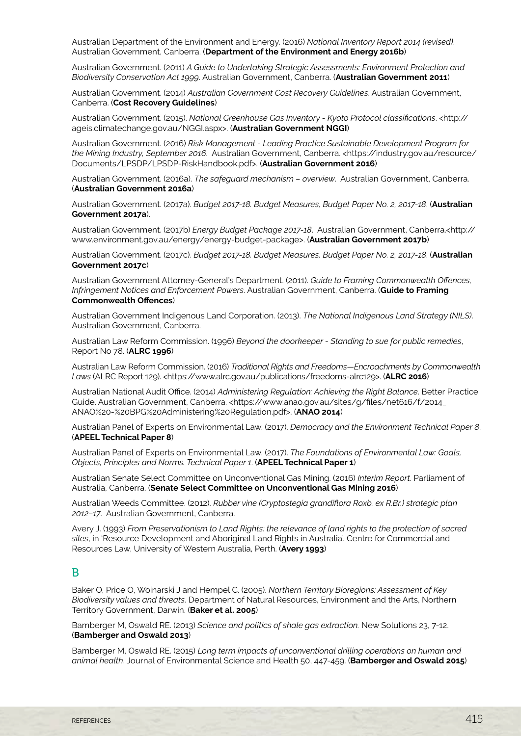Australian Department of the Environment and Energy. (2016) *National Inventory Report 2014 (revised)*. Australian Government, Canberra. (**Department of the Environment and Energy 2016b**)

Australian Government. (2011) *A Guide to Undertaking Strategic Assessments: Environment Protection and Biodiversity Conservation Act 1999*. Australian Government, Canberra. (**Australian Government 2011**)

Australian Government. (2014) *Australian Government Cost Recovery Guidelines*. Australian Government, Canberra. (**Cost Recovery Guidelines**)

Australian Government. (2015). *National Greenhouse Gas Inventory - Kyoto Protocol classifications*. <http:// ageis.climatechange.gov.au/NGGI.aspx>. (**Australian Government NGGI**)

Australian Government. (2016) *Risk Management - Leading Practice Sustainable Development Program for the Mining Industry, September 2016*. Australian Government, Canberra. <https://industry.gov.au/resource/ Documents/LPSDP/LPSDP-RiskHandbook.pdf>. (**Australian Government 2016**)

Australian Government. (2016a). *The safeguard mechanism – overview*. Australian Government, Canberra. (**Australian Government 2016a**)

Australian Government. (2017a). *Budget 2017-18. Budget Measures, Budget Paper No. 2, 2017-18*. (**Australian Government 2017a**).

Australian Government. (2017b) *Energy Budget Package 2017-18*. Australian Government, Canberra.<http:// www.environment.gov.au/energy/energy-budget-package>. (**Australian Government 2017b**)

Australian Government. (2017c). *Budget 2017-18. Budget Measures, Budget Paper No. 2, 2017-18*. (**Australian Government 2017c**)

Australian Government Attorney-General's Department. (2011). *Guide to Framing Commonwealth Offences, Infringement Notices and Enforcement Powers*. Australian Government, Canberra. (**Guide to Framing Commonwealth Offences**)

Australian Government Indigenous Land Corporation. (2013). *The National Indigenous Land Strategy (NILS)*. Australian Government, Canberra.

Australian Law Reform Commission. (1996) *Beyond the doorkeeper - Standing to sue for public remedies*, Report No 78. (**ALRC 1996**)

Australian Law Reform Commission. (2016) *Traditional Rights and Freedoms—Encroachments by Commonwealth Laws* (ALRC Report 129). <https://www.alrc.gov.au/publications/freedoms-alrc129>. (**ALRC 2016**)

Australian National Audit Office. (2014) *Administering Regulation: Achieving the Right Balance*. Better Practice Guide. Australian Government, Canberra. <https://www.anao.gov.au/sites/g/files/net616/f/2014\_ ANAO%20-%20BPG%20Administering%20Regulation.pdf>. (**ANAO 2014**)

Australian Panel of Experts on Environmental Law. (2017). *Democracy and the Environment Technical Paper 8*. (**APEEL Technical Paper 8**)

Australian Panel of Experts on Environmental Law. (2017). *The Foundations of Environmental Law: Goals, Objects, Principles and Norms. Technical Paper 1*. (**APEEL Technical Paper 1**)

Australian Senate Select Committee on Unconventional Gas Mining. (2016) *Interim Report*. Parliament of Australia, Canberra. (**Senate Select Committee on Unconventional Gas Mining 2016**)

Australian Weeds Committee. (2012). *Rubber vine (Cryptostegia grandiflora Roxb. ex R.Br.) strategic plan 2012–17*. Australian Government, Canberra.

Avery J. (1993) *From Preservationism to Land Rights: the relevance of land rights to the protection of sacred sites*, in 'Resource Development and Aboriginal Land Rights in Australia'. Centre for Commercial and Resources Law, University of Western Australia, Perth. (**Avery 1993**)

#### B

Baker O, Price O, Woinarski J and Hempel C. (2005). *Northern Territory Bioregions: Assessment of Key Biodiversity values and threats*. Department of Natural Resources, Environment and the Arts, Northern Territory Government, Darwin. (**Baker et al. 2005**)

Bamberger M, Oswald RE. (2013) *Science and politics of shale gas extraction.* New Solutions 23, 7-12. (**Bamberger and Oswald 2013**)

Bamberger M, Oswald RE. (2015) *Long term impacts of unconventional drilling operations on human and animal health*. Journal of Environmental Science and Health 50, 447-459. (**Bamberger and Oswald 2015**)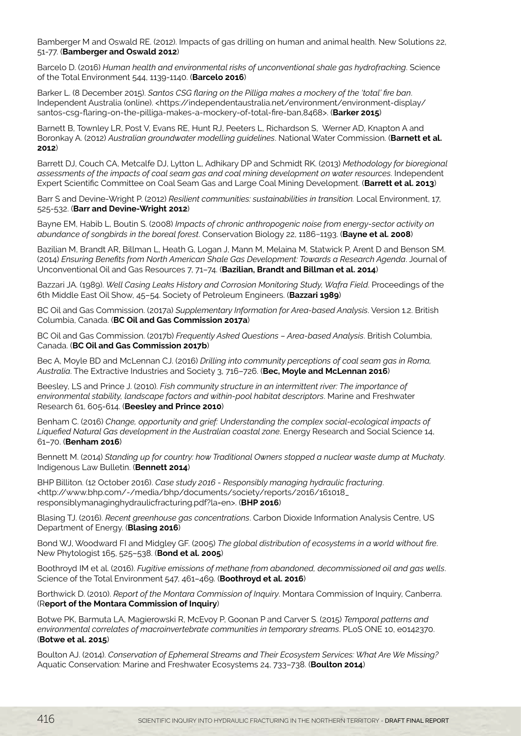Bamberger M and Oswald RE. (2012). Impacts of gas drilling on human and animal health. New Solutions 22, 51-77. (**Bamberger and Oswald 2012**)

Barcelo D. (2016) *Human health and environmental risks of unconventional shale gas hydrofracking*. Science of the Total Environment 544, 1139-1140. (**Barcelo 2016**)

Barker L. (8 December 2015). *Santos CSG flaring on the Pilliga makes a mockery of the 'total' fire ban*. Independent Australia (online). <https://independentaustralia.net/environment/environment-display/ santos-csg-flaring-on-the-pilliga-makes-a-mockery-of-total-fire-ban,8468>. (**Barker 2015**)

Barnett B, Townley LR, Post V, Evans RE, Hunt RJ, Peeters L, Richardson S, Werner AD, Knapton A and Boronkay A. (2012) *Australian groundwater modelling guidelines*. National Water Commission. (**Barnett et al. 2012**)

Barrett DJ, Couch CA, Metcalfe DJ, Lytton L, Adhikary DP and Schmidt RK. (2013) *Methodology for bioregional assessments of the impacts of coal seam gas and coal mining development on water resources*. Independent Expert Scientific Committee on Coal Seam Gas and Large Coal Mining Development. (**Barrett et al. 2013**)

Barr S and Devine-Wright P. (2012) *Resilient communities: sustainabilities in transition.* Local Environment, 17, 525-532. (**Barr and Devine-Wright 2012**)

Bayne EM, Habib L, Boutin S. (2008) *Impacts of chronic anthropogenic noise from energy-sector activity on abundance of songbirds in the boreal forest*. Conservation Biology 22, 1186−1193. (**Bayne et al. 2008**)

Bazilian M, Brandt AR, Billman L, Heath G, Logan J, Mann M, Melaina M, Statwick P, Arent D and Benson SM. (2014) *Ensuring Benefits from North American Shale Gas Development: Towards a Research Agenda*. Journal of Unconventional Oil and Gas Resources 7, 71–74. (**Bazilian, Brandt and Billman et al. 2014**)

Bazzari JA. (1989). *Well Casing Leaks History and Corrosion Monitoring Study, Wafra Field*. Proceedings of the 6th Middle East Oil Show, 45–54. Society of Petroleum Engineers. (**Bazzari 1989**)

BC Oil and Gas Commission. (2017a) *Supplementary Information for Area-based Analysis*. Version 1.2. British Columbia, Canada. (**BC Oil and Gas Commission 2017a**)

BC Oil and Gas Commission. (2017b) *Frequently Asked Questions – Area-based Analysis*. British Columbia, Canada. (**BC Oil and Gas Commission 2017b**)

Bec A, Moyle BD and McLennan CJ. (2016) *Drilling into community perceptions of coal seam gas in Roma, Australia*. The Extractive Industries and Society 3, 716–726. (**Bec, Moyle and McLennan 2016**)

Beesley, LS and Prince J. (2010). *Fish community structure in an intermittent river: The importance of environmental stability, landscape factors and within-pool habitat descriptors*. Marine and Freshwater Research 61, 605-614. (**Beesley and Prince 2010**)

Benham C. (2016) *Change, opportunity and grief: Understanding the complex social-ecological impacts of Liquefied Natural Gas development in the Australian coastal zone*. Energy Research and Social Science 14, 61–70. (**Benham 2016**)

Bennett M. (2014) *Standing up for country: how Traditional Owners stopped a nuclear waste dump at Muckaty*. Indigenous Law Bulletin. (**Bennett 2014**)

BHP Billiton. (12 October 2016). *Case study 2016 - Responsibly managing hydraulic fracturing*. <http://www.bhp.com/-/media/bhp/documents/society/reports/2016/161018\_ responsiblymanaginghydraulicfracturing.pdf?la=en>. (**BHP 2016**)

Blasing TJ. (2016). *Recent greenhouse gas concentrations*. Carbon Dioxide Information Analysis Centre, US Department of Energy. (**Blasing 2016**)

Bond WJ, Woodward FI and Midgley GF. (2005) *The global distribution of ecosystems in a world without fire*. New Phytologist 165, 525–538. (**Bond et al. 2005**)

Boothroyd IM et al. (2016). *Fugitive emissions of methane from abandoned, decommissioned oil and gas wells*. Science of the Total Environment 547, 461–469. (**Boothroyd et al. 2016**)

Borthwick D. (2010). *Report of the Montara Commission of Inquiry*. Montara Commission of Inquiry, Canberra. (R**eport of the Montara Commission of Inquiry**)

Botwe PK, Barmuta LA, Magierowski R, McEvoy P, Goonan P and Carver S. (2015) *Temporal patterns and environmental correlates of macroinvertebrate communities in temporary streams*. PLoS ONE 10, e0142370. (**Botwe et al. 2015**)

Boulton AJ. (2014). *Conservation of Ephemeral Streams and Their Ecosystem Services: What Are We Missing?*  Aquatic Conservation: Marine and Freshwater Ecosystems 24, 733–738. (**Boulton 2014**)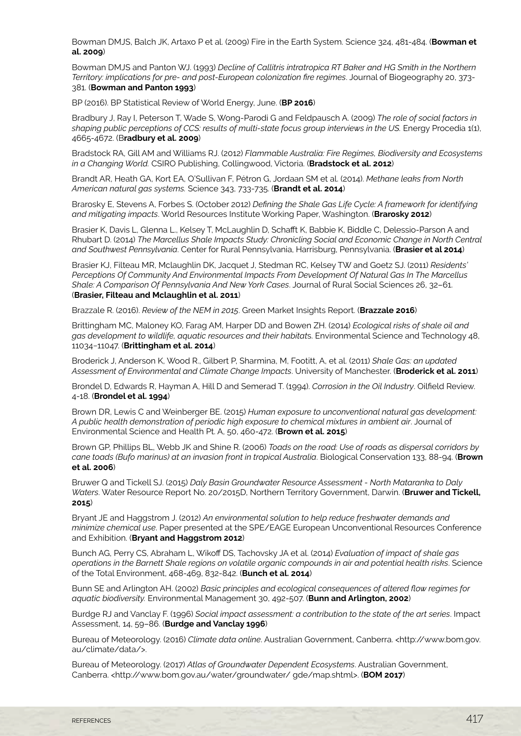Bowman DMJS, Balch JK, Artaxo P et al. (2009) Fire in the Earth System. Science 324, 481-484. (**Bowman et al. 2009**)

Bowman DMJS and Panton WJ. (1993) *Decline of Callitris intratropica RT Baker and HG Smith in the Northern Territory: implications for pre- and post-European colonization fire regimes*. Journal of Biogeography 20, 373- 381. (**Bowman and Panton 1993**)

BP (2016). BP Statistical Review of World Energy, June. (**BP 2016**)

Bradbury J, Ray I, Peterson T, Wade S, Wong-Parodi G and Feldpausch A. (2009) *The role of social factors in shaping public perceptions of CCS: results of multi-state focus group interviews in the US.* Energy Procedia 1(1), 4665-4672. (B**radbury et al. 2009**)

Bradstock RA, Gill AM and Williams RJ. (2012) *Flammable Australia: Fire Regimes, Biodiversity and Ecosystems in a Changing World.* CSIRO Publishing, Collingwood, Victoria. (**Bradstock et al. 2012**)

Brandt AR, Heath GA, Kort EA, O'Sullivan F, Pétron G, Jordaan SM et al. (2014). *Methane leaks from North American natural gas systems.* Science 343, 733-735. (**Brandt et al. 2014**)

Brarosky E, Stevens A, Forbes S. (October 2012) *Defining the Shale Gas Life Cycle: A framework for identifying and mitigating impacts*. World Resources Institute Working Paper, Washington. (**Brarosky 2012**)

Brasier K, Davis L, Glenna L., Kelsey T, McLaughlin D, Schafft K, Babbie K, Biddle C, Delessio-Parson A and Rhubart D. (2014) *The Marcellus Shale Impacts Study: Chronicling Social and Economic Change in North Central and Southwest Pennsylvania*. Center for Rural Pennsylvania, Harrisburg, Pennsylvania. (**Brasier et al 2014**)

Brasier KJ, Filteau MR, Mclaughlin DK, Jacquet J, Stedman RC, Kelsey TW and Goetz SJ. (2011) *Residents' Perceptions Of Community And Environmental Impacts From Development Of Natural Gas In The Marcellus Shale: A Comparison Of Pennsylvania And New York Cases*. Journal of Rural Social Sciences 26, 32–61. (**Brasier, Filteau and Mclaughlin et al. 2011**)

Brazzale R. (2016). *Review of the NEM in 2015*. Green Market Insights Report. (**Brazzale 2016**)

Brittingham MC, Maloney KO, Farag AM, Harper DD and Bowen ZH. (2014) *Ecological risks of shale oil and gas development to wildlife, aquatic resources and their habitat*s. Environmental Science and Technology 48, 11034−11047. (**Brittingham et al. 2014**)

Broderick J, Anderson K, Wood R., Gilbert P, Sharmina, M, Footitt, A, et al. (2011) *Shale Gas: an updated Assessment of Environmental and Climate Change Impacts*. University of Manchester. (**Broderick et al. 2011**)

Brondel D, Edwards R, Hayman A, Hill D and Semerad T. (1994). *Corrosion in the Oil Industry*. Oilfield Review. 4-18. (**Brondel et al. 1994**)

Brown DR, Lewis C and Weinberger BE. (2015) *Human exposure to unconventional natural gas development: A public health demonstration of periodic high exposure to chemical mixtures in ambient air*. Journal of Environmental Science and Health Pt. A, 50, 460-472. (**Brown et al. 2015**)

Brown GP, Phillips BL, Webb JK and Shine R. (2006) *Toads on the road: Use of roads as dispersal corridors by cane toads (Bufo marinus) at an invasion front in tropical Australia*. Biological Conservation 133, 88-94. (**Brown et al. 2006**)

Bruwer Q and Tickell SJ. (2015) *Daly Basin Groundwater Resource Assessment - North Mataranka to Daly Waters*. Water Resource Report No. 20/2015D, Northern Territory Government, Darwin. (**Bruwer and Tickell, 2015**)

Bryant JE and Haggstrom J. (2012) *An environmental solution to help reduce freshwater demands and minimize chemical use*. Paper presented at the SPE/EAGE European Unconventional Resources Conference and Exhibition. (**Bryant and Haggstrom 2012**)

Bunch AG, Perry CS, Abraham L, Wikoff DS, Tachovsky JA et al. (2014) *Evaluation of impact of shale gas operations in the Barnett Shale regions on volatile organic compounds in air and potential health risks*. Science of the Total Environment, 468-469, 832-842. (**Bunch et al. 2014**)

Bunn SE and Arlington AH. (2002) *Basic principles and ecological consequences of altered flow regimes for aquatic biodiversity.* Environmental Management 30, 492-507. (**Bunn and Arlington, 2002**)

Burdge RJ and Vanclay F. (1996) *Social impact assessment: a contribution to the state of the art series*. Impact Assessment, 14, 59–86. (**Burdge and Vanclay 1996**)

Bureau of Meteorology. (2016) *Climate data online*. Australian Government, Canberra. <http://www.bom.gov. au/climate/data/>.

Bureau of Meteorology. (2017) *Atlas of Groundwater Dependent Ecosystems*. Australian Government, Canberra. <http://www.bom.gov.au/water/groundwater/ gde/map.shtml>. (**BOM 2017**)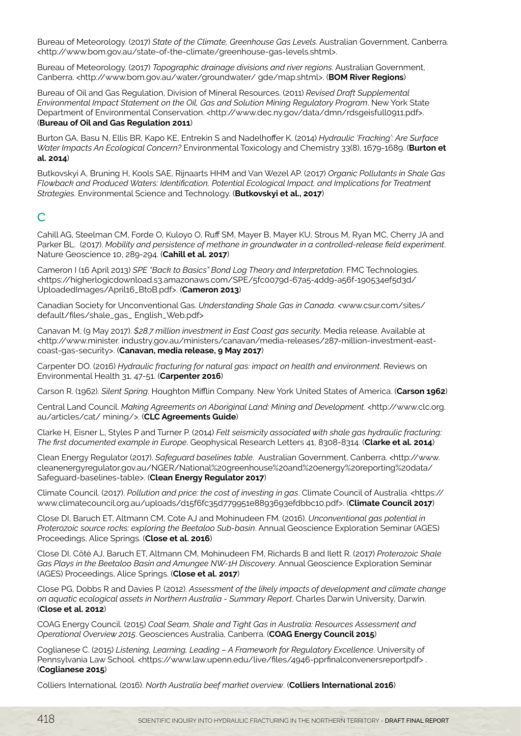Bureau of Meteorology. (2017) *State of the Climate, Greenhouse Gas Levels*. Australian Government, Canberra. <http://www.bom.gov.au/state-of-the-climate/greenhouse-gas-levels.shtml>.

Bureau of Meteorology. (2017) *Topographic drainage divisions and river regions*. Australian Government, Canberra. <http://www.bom.gov.au/water/groundwater/ gde/map.shtml>. (**BOM River Regions**)

Bureau of Oil and Gas Regulation, Division of Mineral Resources. (2011) *Revised Draft Supplemental Environmental Impact Statement on the Oil, Gas and Solution Mining Regulatory Program*. New York State Department of Environmental Conservation. <http://www.dec.ny.gov/data/dmn/rdsgeisfull0911.pdf>. (**Bureau of Oil and Gas Regulation 2011**)

Burton GA, Basu N, Ellis BR, Kapo KE, Entrekin S and Nadelhoffer K. (2014) *Hydraulic 'Fracking': Are Surface Water Impacts An Ecological Concern?* Environmental Toxicology and Chemistry 33(8), 1679-1689. (**Burton et al. 2014**)

Butkovskyi A, Bruning H, Kools SAE, Rijnaarts HHM and Van Wezel AP. (2017) *Organic Pollutants in Shale Gas Flowback and Produced Waters: Identification, Potential Ecological Impact, and Implications for Treatment Strategies.* Environmental Science and Technology. (**Butkovskyi et al., 2017**)

## C

Cahill AG, Steelman CM, Forde O, Kuloyo O, Ruff SM, Mayer B, Mayer KU, Strous M, Ryan MC, Cherry JA and Parker BL. (2017). *Mobility and persistence of methane in groundwater in a controlled-release field experiment*. Nature Geoscience 10, 289-294. (**Cahill et al. 2017**)

Cameron I (16 April 2013) *SPE "Back to Basics" Bond Log Theory and Interpretation*. FMC Technologies. <https://higherlogicdownload.s3.amazonaws.com/SPE/5fc0079d-67a5-4dd9-a56f-190534ef5d3d/ UploadedImages/April16\_BtoB.pdf>. (**Cameron 2013**)

Canadian Society for Unconventional Gas. *Understanding Shale Gas in Canada*. <www.csur.com/sites/ default/files/shale\_gas\_ English\_Web.pdf>

Canavan M. (9 May 2017). *\$28.7 million investment in East Coast gas security*. Media release. Available at <http://www.minister. industry.gov.au/ministers/canavan/media-releases/287-million-investment-eastcoast-gas-security>. (**Canavan, media release, 9 May 2017**)

Carpenter DO. (2016) *Hydraulic fracturing for natural gas: impact on health and environment*. Reviews on Environmental Health 31, 47-51. (**Carpenter 2016**)

Carson R. (1962). *Silent Spring*. Houghton Mifflin Company. New York United States of America. (**Carson 1962**)

Central Land Council. *Making Agreements on Aboriginal Land: Mining and Development*. <http://www.clc.org. au/articles/cat/ mining/>. (**CLC Agreements Guide**)

Clarke H, Eisner L, Styles P and Turner P. (2014) *Felt seismicity associated with shale gas hydraulic fracturing: The first documented example in Europe*. Geophysical Research Letters 41, 8308-8314. (**Clarke et al. 2014**)

Clean Energy Regulator (2017). *Safeguard baselines table*. Australian Government, Canberra. <http://www. cleanenergyregulator.gov.au/NGER/National%20greenhouse%20and%20energy%20reporting%20data/ Safeguard-baselines-table>. (**Clean Energy Regulator 2017**)

Climate Council. (2017). *Pollution and price: the cost of investing in gas*. Climate Council of Australia. <https:// www.climatecouncil.org.au/uploads/d15f6fc35d779951e8893693efdbbc10.pdf>. (**Climate Council 2017**)

Close DI, Baruch ET, Altmann CM, Cote AJ and Mohinudeen FM. (2016). *Unconventional gas potential in Proterozoic source rocks: exploring the Beetaloo Sub-basin*. Annual Geoscience Exploration Seminar (AGES) Proceedings, Alice Springs. (**Close et al. 2016**)

Close DI, Côté AJ, Baruch ET, Altmann CM, Mohinudeen FM, Richards B and Ilett R. (2017) *Proterozoic Shale Gas Plays in the Beetaloo Basin and Amungee NW-1H Discovery*. Annual Geoscience Exploration Seminar (AGES) Proceedings, Alice Springs. (**Close et al. 2017**)

Close PG, Dobbs R and Davies P. (2012). *Assessment of the likely impacts of development and climate change on aquatic ecological assets in Northern Australia - Summary Report*. Charles Darwin University, Darwin. (**Close et al. 2012**)

COAG Energy Council. (2015) *Coal Seam, Shale and Tight Gas in Australia: Resources Assessment and Operational Overview 2015*. Geosciences Australia, Canberra. (**COAG Energy Council 2015**)

Coglianese C. (2015) *Listening, Learning, Leading – A Framework for Regulatory Excellence*. University of Pennsylvania Law School. <https://www.law.upenn.edu/live/files/4946-pprfinalconvenersreportpdf>. (**Coglianese 2015**)

Colliers International. (2016). *North Australia beef market overview*. (**Colliers International 2016**)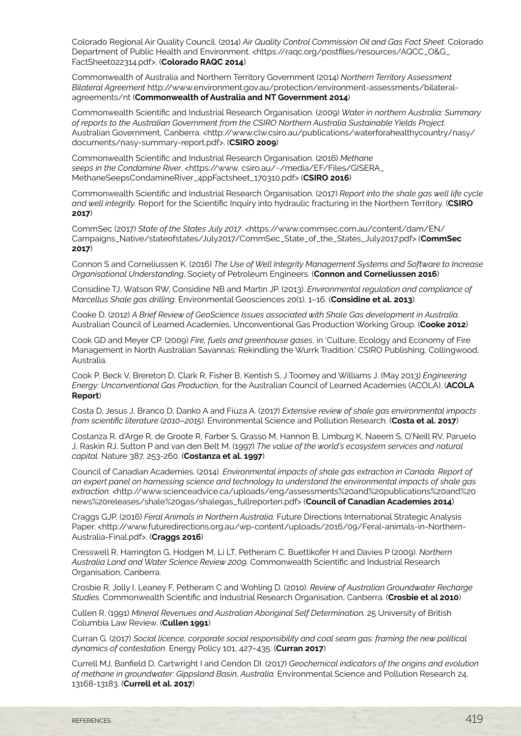Colorado Regional Air Quality Council. (2014) *Air Quality Control Commission Oil and Gas Fact Sheet*. Colorado Department of Public Health and Environment. <https://raqc.org/postfiles/resources/AQCC\_O&G\_ FactSheet022314.pdf>. (**Colorado RAQC 2014**)

Commonwealth of Australia and Northern Territory Government (2014) *Northern Territory Assessment Bilateral Agreement* http://www.environment.gov.au/protection/environment-assessments/bilateralagreements/nt (**Commonwealth of Australia and NT Government 2014**)

Commonwealth Scientific and Industrial Research Organisation. (2009) *Water in northern Australia: Summary of reports to the Australian Government from the CSIRO Northern Australia Sustainable Yields Project.* Australian Government, Canberra. <http://www.clw.csiro.au/publications/waterforahealthycountry/nasy/ documents/nasy-summary-report.pdf>. (**CSIRO 2009**)

Commonwealth Scientific and Industrial Research Organisation. (2016) *Methane*  seeps in the Condamine River. <https://www. csiro.au/~/media/EF/Files/GISERA\_ MethaneSeepsCondamineRiver\_4ppFactsheet\_170310.pdf> (**CSIRO 2016**)

Commonwealth Scientific and Industrial Research Organisation. (2017) *Report into the shale gas well life cycle and well integrity.* Report for the Scientific Inquiry into hydraulic fracturing in the Northern Territory. (**CSIRO 2017**)

CommSec (2017) *State of the States July 2017*. <https://www.commsec.com.au/content/dam/EN/ Campaigns\_Native/stateofstates/July2017/CommSec\_State\_of\_the\_States\_July2017.pdf> (**CommSec 2017**)

Connon S and Corneliussen K. (2016) *The Use of Well Integrity Management Systems and Software to Increase Organisational Understanding*. Society of Petroleum Engineers. (**Connon and Corneliussen 2016**)

Considine TJ, Watson RW, Considine NB and Martin JP. (2013). *Environmental regulation and compliance of Marcellus Shale gas drilling*. Environmental Geosciences 20(1), 1–16. (**Considine et al. 2013**)

Cooke D. (2012) *A Brief Review of GeoScience Issues associated with Shale Gas development in Australia*. Australian Council of Learned Academies, Unconventional Gas Production Working Group. (**Cooke 2012**)

Cook GD and Meyer CP. (2009) *Fire, fuels and greenhouse gases*, in 'Culture, Ecology and Economy of Fire Management in North Australian Savannas: Rekindling the Wurrk Tradition.' CSIRO Publishing, Collingwood, Australia.

Cook P, Beck V, Brereton D, Clark R, Fisher B, Kentish S, J Toomey and Williams J. (May 2013) *Engineering Energy: Unconventional Gas Production*, for the Australian Council of Learned Academies (ACOLA). (**ACOLA Report**)

Costa D, Jesus J, Branco D, Danko A and Fiúza A. (2017) *Extensive review of shale gas environmental impacts from scientific literature (2010–2015)*. Environmental Science and Pollution Research. (**Costa et al. 2017**)

Costanza R, d'Arge R, de Groote R, Farber S, Grasso M, Hannon B, Limburg K, Naeem S, O'Neill RV, Paruelo J, Raskin RJ, Sutton P and van den Belt M. (1997) *The value of the world's ecosystem services and natural capital.* Nature 387, 253-260. (**Costanza et al. 1997**)

Council of Canadian Academies. (2014). *Environmental impacts of shale gas extraction in Canada. Report of an expert panel on harnessing science and technology to understand the environmental impacts of shale gas*  extraction. <http://www.scienceadvice.ca/uploads/eng/assessments%20and%20publications%20and%20 news%20releases/shale%20gas/shalegas\_fullreporten.pdf> (**Council of Canadian Academies 2014**)

Craggs GJP. (2016) *Feral Animals in Northern Australia.* Future Directions International Strategic Analysis Paper. <http://www.futuredirections.org.au/wp-content/uploads/2016/09/Feral-animals-in-Northern-Australia-Final.pdf>. (**Craggs 2016**)

Cresswell R, Harrington G, Hodgen M, Li LT, Petheram C, Buettikofer H and Davies P (2009). *Northern Australia Land and Water Science Review 2009.* Commonwealth Scientific and Industrial Research Organisation, Canberra.

Crosbie R, Jolly I, Leaney F, Petheram C and Wohling D. (2010). *Review of Australian Groundwater Recharge Studies.* Commonwealth Scientific and Industrial Research Organisation, Canberra. (**Crosbie et al 2010**)

Cullen R. (1991) *Mineral Revenues and Australian Aboriginal Self Determination.* 25 University of British Columbia Law Review. (**Cullen 1991**)

Curran G. (2017) *Social licence, corporate social responsibility and coal seam gas: framing the new political dynamics of contestation*. Energy Policy 101, 427–435. (**Curran 2017**)

Currell MJ, Banfield D, Cartwright I and Cendon DI. (2017) *Geochemical indicators of the origins and evolution of methane in groundwater: Gippsland Basin, Australia.* Environmental Science and Pollution Research 24, 13168-13183. (**Currell et al. 2017**)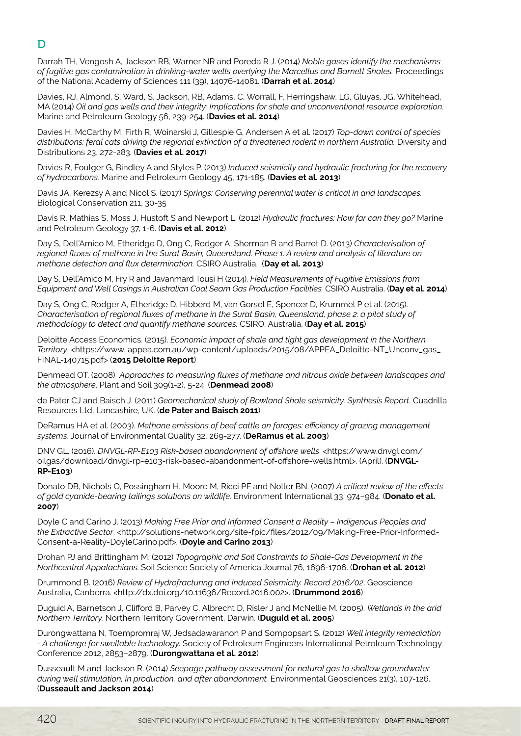# D

Darrah TH, Vengosh A, Jackson RB, Warner NR and Poreda R J. (2014) *Noble gases identify the mechanisms of fugitive gas contamination in drinking-water wells overlying the Marcellus and Barnett Shales.* Proceedings of the National Academy of Sciences 111 (39), 14076-14081. (**Darrah et al. 2014**)

Davies, RJ, Almond, S, Ward, S, Jackson, RB, Adams, C, Worrall, F, Herringshaw, LG, Gluyas, JG, Whitehead, MA (2014) *Oil and gas wells and their integrity: Implications for shale and unconventional resource exploration*. Marine and Petroleum Geology 56, 239-254. (**Davies et al. 2014**)

Davies H, McCarthy M, Firth R, Woinarski J, Gillespie G, Andersen A et al. (2017) *Top-down control of species distributions: feral cats driving the regional extinction of a threatened rodent in northern Australia.* Diversity and Distributions 23, 272-283. (**Davies et al. 2017**)

Davies R, Foulger G, Bindley A and Styles P. (2013) *Induced seismicity and hydraulic fracturing for the recovery of hydrocarbons.* Marine and Petroleum Geology 45, 171-185. (**Davies et al. 2013**)

Davis JA, Kerezsy A and Nicol S. (2017) *Springs: Conserving perennial water is critical in arid landscapes.*  Biological Conservation 211, 30-35

Davis R, Mathias S, Moss J, Hustoft S and Newport L. (2012) *Hydraulic fractures: How far can they go?* Marine and Petroleum Geology 37, 1-6. (**Davis et al. 2012**)

Day S, Dell'Amico M, Etheridge D, Ong C, Rodger A, Sherman B and Barret D. (2013) *Characterisation of regional fluxes of methane in the Surat Basin, Queensland. Phase 1: A review and analysis of literature on methane detection and flux determination.* CSIRO Australia. (**Day et al. 2013**)

Day S, Dell'Amico M, Fry R and Javanmard Tousi H (2014). *Field Measurements of Fugitive Emissions from Equipment and Well Casings in Australian Coal Seam Gas Production Facilities.* CSIRO Australia. (**Day et al. 2014**)

Day S, Ong C, Rodger A, Etheridge D, Hibberd M, van Gorsel E, Spencer D, Krummel P et al. (2015). *Characterisation of regional fluxes of methane in the Surat Basin, Queensland, phase 2: a pilot study of methodology to detect and quantify methane sources.* CSIRO, Australia. (**Day et al. 2015**)

Deloitte Access Economics. (2015). *Economic impact of shale and tight gas development in the Northern Territory*. <https://www. appea.com.au/wp-content/uploads/2015/08/APPEA\_Deloitte-NT\_Unconv\_gas\_ FINAL-140715.pdf> (**2015 Deloitte Report**)

Denmead OT. (2008) *Approaches to measuring fluxes of methane and nitrous oxide between landscapes and the atmosphere*. Plant and Soil 309(1-2), 5-24. (**Denmead 2008**)

de Pater CJ and Baisch J. (2011) *Geomechanical study of Bowland Shale seismicity, Synthesis Report*. Cuadrilla Resources Ltd, Lancashire, UK. (**de Pater and Baisch 2011**)

DeRamus HA et al. (2003). *Methane emissions of beef cattle on forages: efficiency of grazing management systems*. Journal of Environmental Quality 32, 269-277. (**DeRamus et al. 2003**)

DNV GL. (2016). *DNVGL-RP-E103 Risk-based abandonment of offshore wells*. <https://www.dnvgl.com/ oilgas/download/dnvgl-rp-e103-risk-based-abandonment-of-offshore-wells.html>. (April). (**DNVGL-RP-E103**)

Donato DB, Nichols O, Possingham H, Moore M, Ricci PF and Noller BN. (2007) *A critical review of the effects of gold cyanide-bearing tailings solutions on wildlife*. Environment International 33, 974–984. (**Donato et al. 2007**)

Doyle C and Carino J. (2013) *Making Free Prior and Informed Consent a Reality – Indigenous Peoples and the Extractive Sector*. <http://solutions-network.org/site-fpic/files/2012/09/Making-Free-Prior-Informed-Consent-a-Reality-DoyleCarino.pdf>. (**Doyle and Carino 2013**)

Drohan PJ and Brittingham M. (2012) *Topographic and Soil Constraints to Shale-Gas Development in the Northcentral Appalachians*. Soil Science Society of America Journal 76, 1696-1706. (**Drohan et al. 2012**)

Drummond B. (2016) *Review of Hydrofracturing and Induced Seismicity. Record 2016/02*. Geoscience Australia, Canberra. <http://dx.doi.org/10.11636/Record.2016.002>. (**Drummond 2016**)

Duguid A, Barnetson J, Clifford B, Parvey C, Albrecht D, Risler J and McNellie M. (2005). *Wetlands in the arid Northern Territory.* Northern Territory Government, Darwin. (**Duguid et al. 2005**)

Durongwattana N, Toempromraj W, Jedsadawaranon P and Sompopsart S. (2012) *Well integrity remediation - A challenge for swellable technology.* Society of Petroleum Engineers International Petroleum Technology Conference 2012, 2853–2879. (**Durongwattana et al. 2012**)

Dusseault M and Jackson R. (2014) *Seepage pathway assessment for natural gas to shallow groundwater during well stimulation, in production, and after abandonment.* Environmental Geosciences 21(3), 107-126. (**Dusseault and Jackson 2014**)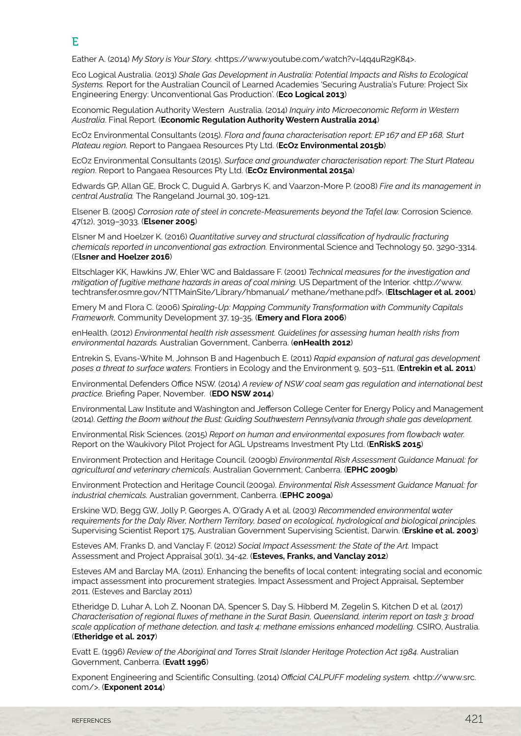Eather A. (2014) My Story is Your Story. <https://www.youtube.com/watch?v=l4q4uR29K84>.

Eco Logical Australia. (2013) *Shale Gas Development in Australia: Potential Impacts and Risks to Ecological Systems.* Report for the Australian Council of Learned Academies 'Securing Australia's Future: Project Six Engineering Energy: Unconventional Gas Production'. (**Eco Logical 2013**)

Economic Regulation Authority Western Australia. (2014) *Inquiry into Microeconomic Reform in Western Australia*. Final Report. (**Economic Regulation Authority Western Australia 2014**)

EcOz Environmental Consultants (2015). *Flora and fauna characterisation report: EP 167 and EP 168, Sturt Plateau region.* Report to Pangaea Resources Pty Ltd. (**EcOz Environmental 2015b**)

EcOz Environmental Consultants (2015). *Surface and groundwater characterisation report: The Sturt Plateau region*. Report to Pangaea Resources Pty Ltd. (**EcOz Environmental 2015a**)

Edwards GP, Allan GE, Brock C, Duguid A, Garbrys K, and Vaarzon-More P. (2008) *Fire and its management in central Australia.* The Rangeland Journal 30, 109-121.

Elsener B. (2005) *Corrosion rate of steel in concrete-Measurements beyond the Tafel law.* Corrosion Science. 47(12), 3019–3033. (**Elsener 2005**)

Elsner M and Hoelzer K. (2016) *Quantitative survey and structural classification of hydraulic fracturing chemicals reported in unconventional gas extraction.* Environmental Science and Technology 50, 3290-3314. (E**lsner and Hoelzer 2016**)

Eltschlager KK, Hawkins JW, Ehler WC and Baldassare F. (2001) *Technical measures for the investigation and mitigation of fugitive methane hazards in areas of coal mining.* US Department of the Interior. <http://www. techtransfer.osmre.gov/NTTMainSite/Library/hbmanual/ methane/methane.pdf>. (**Eltschlager et al. 2001**)

Emery M and Flora C. (2006) *Spiraling-Up: Mapping Community Transformation with Community Capitals Framework,* Community Development 37, 19-35. (**Emery and Flora 2006**)

enHealth. (2012) *Environmental health risk assessment. Guidelines for assessing human health risks from environmental hazards.* Australian Government, Canberra. (**enHealth 2012**)

Entrekin S, Evans-White M, Johnson B and Hagenbuch E. (2011) *Rapid expansion of natural gas development poses a threat to surface waters.* Frontiers in Ecology and the Environment 9, 503–511. (**Entrekin et al. 2011**)

Environmental Defenders Office NSW. (2014) *A review of NSW coal seam gas regulation and international best practice.* Briefing Paper, November. (**EDO NSW 2014**)

Environmental Law Institute and Washington and Jefferson College Center for Energy Policy and Management (2014). *Getting the Boom without the Bust: Guiding Southwestern Pennsylvania through shale gas development.*

Environmental Risk Sciences. (2015) *Report on human and environmental exposures from flowback water.*  Report on the Waukivory Pilot Project for AGL Upstreams Investment Pty Ltd. (**EnRiskS 2015**)

Environment Protection and Heritage Council. (2009b) *Environmental Risk Assessment Guidance Manual: for agricultural and veterinary chemicals*. Australian Government, Canberra. (**EPHC 2009b**)

Environment Protection and Heritage Council (2009a). *Environmental Risk Assessment Guidance Manual: for industrial chemicals.* Australian government, Canberra. (**EPHC 2009a**)

Erskine WD, Begg GW, Jolly P, Georges A, O'Grady A et al. (2003) *Recommended environmental water requirements for the Daly River, Northern Territory, based on ecological, hydrological and biological principles.* Supervising Scientist Report 175, Australian Government Supervising Scientist, Darwin. (**Erskine et al. 2003**)

Esteves AM, Franks D, and Vanclay F. (2012) *Social Impact Assessment: the State of the Art.* Impact Assessment and Project Appraisal 30(1), 34-42. (**Esteves, Franks, and Vanclay 2012**)

Esteves AM and Barclay MA. (2011). Enhancing the benefits of local content: integrating social and economic impact assessment into procurement strategies. Impact Assessment and Project Appraisal, September 2011. (Esteves and Barclay 2011)

Etheridge D, Luhar A, Loh Z, Noonan DA, Spencer S, Day S, Hibberd M, Zegelin S, Kitchen D et al. (2017) *Characterisation of regional fluxes of methane in the Surat Basin, Queensland, interim report on task 3: broad scale application of methane detection, and task 4: methane emissions enhanced modelling.* CSIRO, Australia. (**Etheridge et al. 2017**)

Evatt E. (1996) *Review of the Aboriginal and Torres Strait Islander Heritage Protection Act 1984.* Australian Government, Canberra. (**Evatt 1996**)

Exponent Engineering and Scientific Consulting. (2014) *Official CALPUFF modeling system.* <http://www.src. com/>. (**Exponent 2014**)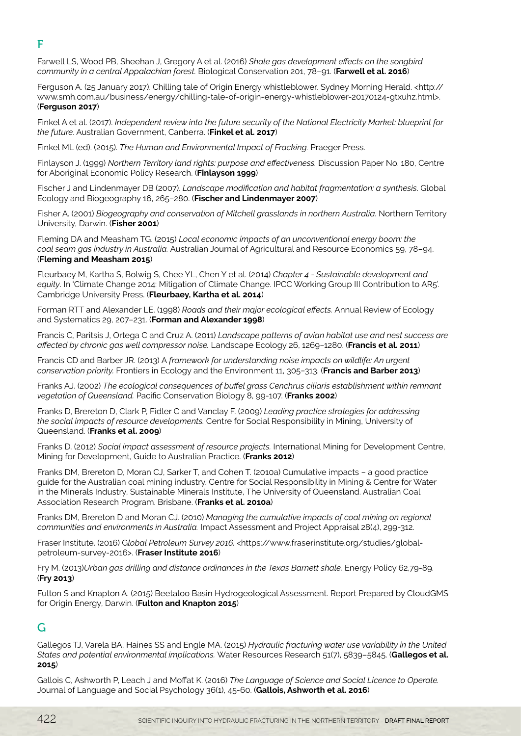Farwell LS, Wood PB, Sheehan J, Gregory A et al. (2016) *Shale gas development effects on the songbird community in a central Appalachian forest.* Biological Conservation 201, 78–91. (**Farwell et al. 2016**)

Ferguson A. (25 January 2017). Chilling tale of Origin Energy whistleblower. Sydney Morning Herald. <http:// www.smh.com.au/business/energy/chilling-tale-of-origin-energy-whistleblower-20170124-gtxuhz.html>. (**Ferguson 2017**)

Finkel A et al. (2017). *Independent review into the future security of the National Electricity Market: blueprint for the future*. Australian Government, Canberra. (**Finkel et al. 2017**)

Finkel ML (ed). (2015). *The Human and Environmental Impact of Fracking.* Praeger Press.

Finlayson J. (1999) *Northern Territory land rights: purpose and effectiveness.* Discussion Paper No. 180, Centre for Aboriginal Economic Policy Research. (**Finlayson 1999**)

Fischer J and Lindenmayer DB (2007). *Landscape modification and habitat fragmentation: a synthesis*. Global Ecology and Biogeography 16, 265–280. (**Fischer and Lindenmayer 2007**)

Fisher A. (2001) *Biogeography and conservation of Mitchell grasslands in northern Australia.* Northern Territory University, Darwin. (**Fisher 2001**)

Fleming DA and Measham TG. (2015) *Local economic impacts of an unconventional energy boom: the coal seam gas industry in Australia.* Australian Journal of Agricultural and Resource Economics 59, 78–94. (**Fleming and Measham 2015**)

Fleurbaey M, Kartha S, Bolwig S, Chee YL, Chen Y et al. (2014) *Chapter 4 - Sustainable development and equity*. In 'Climate Change 2014: Mitigation of Climate Change. IPCC Working Group III Contribution to AR5'. Cambridge University Press. (**Fleurbaey, Kartha et al. 2014**)

Forman RTT and Alexander LE. (1998) *Roads and their major ecological effects.* Annual Review of Ecology and Systematics 29, 207–231. (**Forman and Alexander 1998**)

Francis C, Paritsis J, Ortega C and Cruz A. (2011) *Landscape patterns of avian habitat use and nest success are affected by chronic gas well compressor noise.* Landscape Ecology 26, 1269−1280. (**Francis et al. 2011**)

Francis CD and Barber JR. (2013) A *framework for understanding noise impacts on wildlife: An urgent conservation priority.* Frontiers in Ecology and the Environment 11, 305−313. (**Francis and Barber 2013**)

Franks AJ. (2002) *The ecological consequences of buffel grass Cenchrus ciliaris establishment within remnant vegetation of Queensland.* Pacific Conservation Biology 8, 99-107. (**Franks 2002**)

Franks D, Brereton D, Clark P, Fidler C and Vanclay F. (2009) *Leading practice strategies for addressing the social impacts of resource developments.* Centre for Social Responsibility in Mining, University of Queensland. (**Franks et al. 2009**)

Franks D. (2012) *Social impact assessment of resource projects.* International Mining for Development Centre, Mining for Development, Guide to Australian Practice. (**Franks 2012**)

Franks DM, Brereton D, Moran CJ, Sarker T, and Cohen T. (2010a) Cumulative impacts – a good practice guide for the Australian coal mining industry. Centre for Social Responsibility in Mining & Centre for Water in the Minerals Industry, Sustainable Minerals Institute, The University of Queensland. Australian Coal Association Research Program. Brisbane. (**Franks et al. 2010a**)

Franks DM, Brereton D and Moran CJ. (2010) *Managing the cumulative impacts of coal mining on regional communities and environments in Australia.* Impact Assessment and Project Appraisal 28(4), 299-312.

Fraser Institute. (2016) G*lobal Petroleum Survey 2016.* <https://www.fraserinstitute.org/studies/globalpetroleum-survey-2016>. (**Fraser Institute 2016**)

Fry M. (2013)*Urban gas drilling and distance ordinances in the Texas Barnett shale.* Energy Policy 62,79-89. (**Fry 2013**)

Fulton S and Knapton A. (2015) Beetaloo Basin Hydrogeological Assessment. Report Prepared by CloudGMS for Origin Energy, Darwin. (**Fulton and Knapton 2015**)

## G

Gallegos TJ, Varela BA, Haines SS and Engle MA. (2015) *Hydraulic fracturing water use variability in the United States and potential environmental implications.* Water Resources Research 51(7), 5839–5845. (**Gallegos et al. 2015**)

Gallois C, Ashworth P, Leach J and Moffat K. (2016) *The Language of Science and Social Licence to Operate.*  Journal of Language and Social Psychology 36(1), 45-60. (**Gallois, Ashworth et al. 2016**)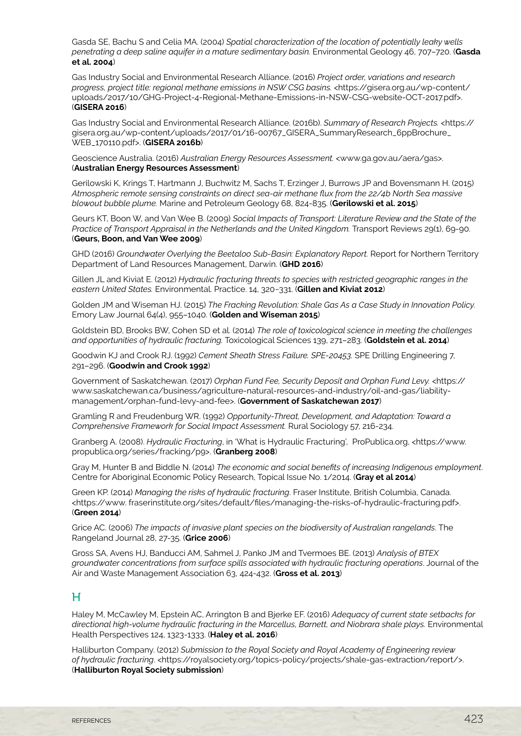Gasda SE, Bachu S and Celia MA. (2004) *Spatial characterization of the location of potentially leaky wells penetrating a deep saline aquifer in a mature sedimentary basin.* Environmental Geology 46, 707–720. (**Gasda et al. 2004**)

Gas Industry Social and Environmental Research Alliance. (2016) *Project order, variations and research progress, project title: regional methane emissions in NSW CSG basins.* <https://gisera.org.au/wp-content/ uploads/2017/10/GHG-Project-4-Regional-Methane-Emissions-in-NSW-CSG-website-OCT-2017.pdf>. (**GISERA 2016**)

Gas Industry Social and Environmental Research Alliance. (2016b). *Summary of Research Projects.* <https:// gisera.org.au/wp-content/uploads/2017/01/16-00767\_GISERA\_SummaryResearch\_6ppBrochure\_ WEB\_170110.pdf>. (**GISERA 2016b**)

Geoscience Australia. (2016) *Australian Energy Resources Assessment.* <www.ga.gov.au/aera/gas>. (**Australian Energy Resources Assessment**)

Gerilowski K, Krings T, Hartmann J, Buchwitz M, Sachs T, Erzinger J, Burrows JP and Bovensmann H. (2015) *Atmospheric remote sensing constraints on direct sea-air methane flux from the 22/4b North Sea massive blowout bubble plume.* Marine and Petroleum Geology 68, 824-835. (**Gerilowski et al. 2015**)

Geurs KT, Boon W, and Van Wee B. (2009) *Social Impacts of Transport: Literature Review and the State of the Practice of Transport Appraisal in the Netherlands and the United Kingdom.* Transport Reviews 29(1), 69-90. (**Geurs, Boon, and Van Wee 2009**)

GHD (2016) *Groundwater Overlying the Beetaloo Sub-Basin: Explanatory Report.* Report for Northern Territory Department of Land Resources Management, Darwin. (**GHD 2016**)

Gillen JL and Kiviat E. (2012) *Hydraulic fracturing threats to species with restricted geographic ranges in the eastern United States.* Environmental. Practice. 14, 320−331. (**Gillen and Kiviat 2012**)

Golden JM and Wiseman HJ. (2015) *The Fracking Revolution: Shale Gas As a Case Study in Innovation Policy.* Emory Law Journal 64(4), 955–1040. (**Golden and Wiseman 2015**)

Goldstein BD, Brooks BW, Cohen SD et al. (2014) *The role of toxicological science in meeting the challenges and opportunities of hydraulic fracturing.* Toxicological Sciences 139, 271–283. (**Goldstein et al. 2014**)

Goodwin KJ and Crook RJ. (1992) *Cement Sheath Stress Failure. SPE-20453.* SPE Drilling Engineering 7, 291–296. (**Goodwin and Crook 1992**)

Government of Saskatchewan. (2017) *Orphan Fund Fee, Security Deposit and Orphan Fund Levy.* <https:// www.saskatchewan.ca/business/agriculture-natural-resources-and-industry/oil-and-gas/liabilitymanagement/orphan-fund-levy-and-fee>. (**Government of Saskatchewan 2017**)

Gramling R and Freudenburg WR. (1992) *Opportunity-Threat, Development, and Adaptation: Toward a Comprehensive Framework for Social Impact Assessment.* Rural Sociology 57, 216-234.

Granberg A. (2008). *Hydraulic Fracturing*, in 'What is Hydraulic Fracturing', ProPublica.org, <https://www. propublica.org/series/fracking/p9>. (**Granberg 2008**)

Gray M, Hunter B and Biddle N. (2014) *The economic and social benefits of increasing Indigenous employment*. Centre for Aboriginal Economic Policy Research, Topical Issue No. 1/2014. (**Gray et al 2014**)

Green KP. (2014) *Managing the risks of hydraulic fracturing*. Fraser Institute, British Columbia, Canada. <https://www. fraserinstitute.org/sites/default/files/managing-the-risks-of-hydraulic-fracturing.pdf>. (**Green 2014**)

Grice AC. (2006) *The impacts of invasive plant species on the biodiversity of Australian rangelands*. The Rangeland Journal 28, 27-35. (**Grice 2006**)

Gross SA, Avens HJ, Banducci AM, Sahmel J, Panko JM and Tvermoes BE. (2013) *Analysis of BTEX groundwater concentrations from surface spills associated with hydraulic fracturing operations*. Journal of the Air and Waste Management Association 63, 424-432. (**Gross et al. 2013**)

#### H

Haley M, McCawley M, Epstein AC, Arrington B and Bjerke EF. (2016) *Adequacy of current state setbacks for directional high-volume hydraulic fracturing in the Marcellus, Barnett, and Niobrara shale plays.* Environmental Health Perspectives 124, 1323-1333. (**Haley et al. 2016**)

Halliburton Company. (2012) *Submission to the Royal Society and Royal Academy of Engineering review of hydraulic fracturing*. <https://royalsociety.org/topics-policy/projects/shale-gas-extraction/report/>. (**Halliburton Royal Society submission**)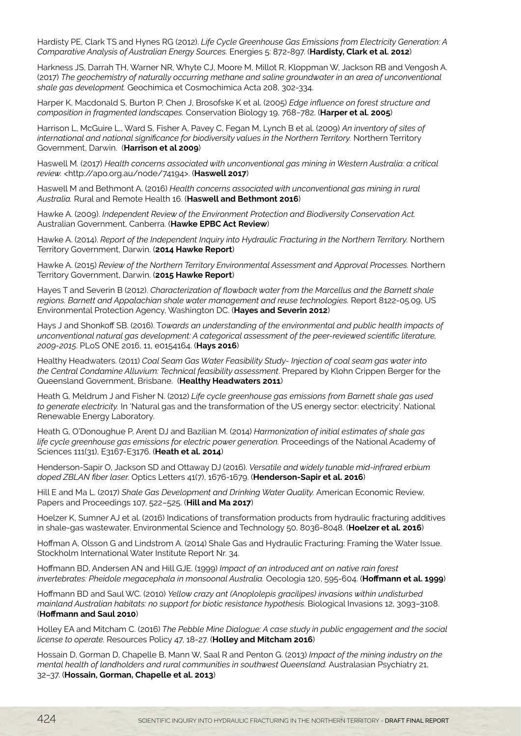Hardisty PE, Clark TS and Hynes RG (2012). *Life Cycle Greenhouse Gas Emissions from Electricity Generation: A Comparative Analysis of Australian Energy Sources.* Energies 5: 872-897. (**Hardisty, Clark et al. 2012**)

Harkness JS, Darrah TH, Warner NR, Whyte CJ, Moore M, Millot R, Kloppman W, Jackson RB and Vengosh A. (2017) *The geochemistry of naturally occurring methane and saline groundwater in an area of unconventional shale gas development.* Geochimica et Cosmochimica Acta 208, 302-334.

Harper K, Macdonald S, Burton P, Chen J, Brosofske K et al. (2005) *Edge influence on forest structure and composition in fragmented landscapes.* Conservation Biology 19, 768−782. (**Harper et al. 2005**)

Harrison L, McGuire L., Ward S, Fisher A, Pavey C, Fegan M, Lynch B et al. (2009) *An inventory of sites of international and national significance for biodiversity values in the Northern Territory.* Northern Territory Government, Darwin. (**Harrison et al 2009**)

Haswell M. (2017) *Health concerns associated with unconventional gas mining in Western Australia: a critical review.* <http://apo.org.au/node/74194>. (**Haswell 2017**)

Haswell M and Bethmont A. (2016) *Health concerns associated with unconventional gas mining in rural Australia.* Rural and Remote Health 16. (**Haswell and Bethmont 2016**)

Hawke A. (2009). *Independent Review of the Environment Protection and Biodiversity Conservation Act.* Australian Government, Canberra. (**Hawke EPBC Act Review**)

Hawke A. (2014). *Report of the Independent Inquiry into Hydraulic Fracturing in the Northern Territory.* Northern Territory Government, Darwin. (**2014 Hawke Report**)

Hawke A. (2015) *Review of the Northern Territory Environmental Assessment and Approval Processes.* Northern Territory Government, Darwin. (**2015 Hawke Report**)

Hayes T and Severin B (2012). *Characterization of flowback water from the Marcellus and the Barnett shale regions. Barnett and Appalachian shale water management and reuse technologies.* Report 8122-05.09, US Environmental Protection Agency, Washington DC. (**Hayes and Severin 2012**)

Hays J and Shonkoff SB. (2016). T*owards an understanding of the environmental and public health impacts of unconventional natural gas development: A categorical assessment of the peer-reviewed scientific literature, 2009-2015*. PLoS ONE 2016, 11, e0154164. (**Hays 2016**)

Healthy Headwaters. (2011) *Coal Seam Gas Water Feasibility Study- Injection of coal seam gas water into the Central Condamine Alluvium: Technical feasibility assessment*. Prepared by Klohn Crippen Berger for the Queensland Government, Brisbane. (**Healthy Headwaters 2011**)

Heath G, Meldrum J and Fisher N. (2012) *Life cycle greenhouse gas emissions from Barnett shale gas used to generate electricity.* In 'Natural gas and the transformation of the US energy sector: electricity'. National Renewable Energy Laboratory.

Heath G, O'Donoughue P, Arent DJ and Bazilian M. (2014) *Harmonization of initial estimates of shale gas life cycle greenhouse gas emissions for electric power generation.* Proceedings of the National Academy of Sciences 111(31), E3167-E3176. (**Heath et al. 2014**)

Henderson-Sapir O, Jackson SD and Ottaway DJ (2016). *Versatile and widely tunable mid-infrared erbium doped ZBLAN fiber laser.* Optics Letters 41(7), 1676-1679. (**Henderson-Sapir et al. 2016**)

Hill E and Ma L. (2017) *Shale Gas Development and Drinking Water Quality.* American Economic Review, Papers and Proceedings 107, 522–525. (**Hill and Ma 2017**)

Hoelzer K, Sumner AJ et al. (2016) Indications of transformation products from hydraulic fracturing additives in shale-gas wastewater. Environmental Science and Technology 50, 8036-8048. (**Hoelzer et al. 2016**)

Hoffman A, Olsson G and Lindstrom A. (2014) Shale Gas and Hydraulic Fracturing: Framing the Water Issue. Stockholm International Water Institute Report Nr. 34.

Hoffmann BD, Andersen AN and Hill GJE. (1999) *Impact of an introduced ant on native rain forest invertebrates: Pheidole megacephala in monsoonal Australia.* Oecologia 120, 595-604. (**Hoffmann et al. 1999**)

Hoffmann BD and Saul WC. (2010) *Yellow crazy ant (Anoplolepis gracilipes) invasions within undisturbed mainland Australian habitats: no support for biotic resistance hypothesis.* Biological Invasions 12, 3093–3108. (**Hoffmann and Saul 2010**)

Holley EA and Mitcham C. (2016) *The Pebble Mine Dialogue: A case study in public engagement and the social license to operate.* Resources Policy 47, 18-27. (**Holley and Mitcham 2016**)

Hossain D, Gorman D, Chapelle B, Mann W, Saal R and Penton G. (2013) *Impact of the mining industry on the mental health of landholders and rural communities in southwest Queensland.* Australasian Psychiatry 21, 32–37. (**Hossain, Gorman, Chapelle et al. 2013**)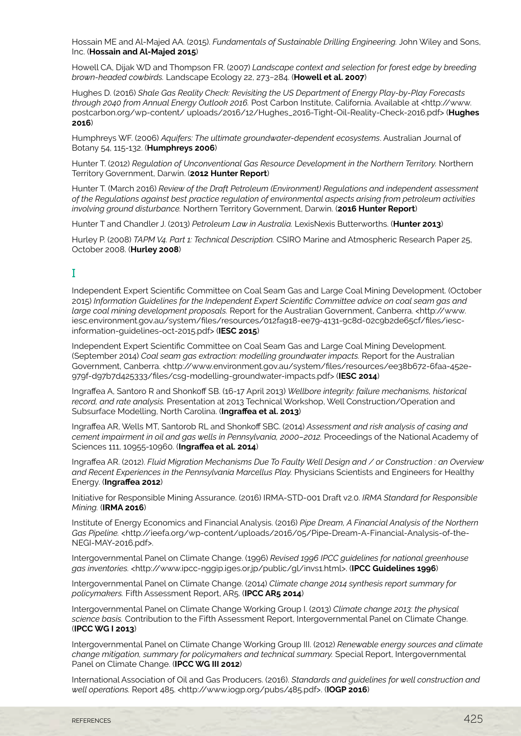Hossain ME and Al-Majed AA. (2015). *Fundamentals of Sustainable Drilling Engineering.* John Wiley and Sons, Inc. (**Hossain and Al-Majed 2015**)

Howell CA, Dijak WD and Thompson FR. (2007) *Landscape context and selection for forest edge by breeding brown-headed cowbirds.* Landscape Ecology 22, 273−284. (**Howell et al. 2007**)

Hughes D. (2016) *Shale Gas Reality Check: Revisiting the US Department of Energy Play-by-Play Forecasts through 2040 from Annual Energy Outlook 2016.* Post Carbon Institute, California. Available at <http://www. postcarbon.org/wp-content/ uploads/2016/12/Hughes\_2016-Tight-Oil-Reality-Check-2016.pdf> (**Hughes 2016**)

Humphreys WF. (2006) *Aquifers: The ultimate groundwater-dependent ecosystems*. Australian Journal of Botany 54, 115-132. (**Humphreys 2006**)

Hunter T. (2012) *Regulation of Unconventional Gas Resource Development in the Northern Territory.* Northern Territory Government, Darwin. (**2012 Hunter Report**)

Hunter T. (March 2016) *Review of the Draft Petroleum (Environment) Regulations and independent assessment of the Regulations against best practice regulation of environmental aspects arising from petroleum activities involving ground disturbance.* Northern Territory Government, Darwin. (**2016 Hunter Report**)

Hunter T and Chandler J. (2013) *Petroleum Law in Australia.* LexisNexis Butterworths. (**Hunter 2013**)

Hurley P. (2008) *TAPM V4. Part 1: Technical Description.* CSIRO Marine and Atmospheric Research Paper 25, October 2008. (**Hurley 2008**)

## I

Independent Expert Scientific Committee on Coal Seam Gas and Large Coal Mining Development. (October 2015) *Information Guidelines for the Independent Expert Scientific Committee advice on coal seam gas and*  large coal mining development proposals. Report for the Australian Government, Canberra. <http://www. iesc.environment.gov.au/system/files/resources/012fa918-ee79-4131-9c8d-02c9b2de65cf/files/iescinformation-guidelines-oct-2015.pdf> (**IESC 2015**)

Independent Expert Scientific Committee on Coal Seam Gas and Large Coal Mining Development. (September 2014) *Coal seam gas extraction: modelling groundwater impacts.* Report for the Australian Government, Canberra. <http://www.environment.gov.au/system/files/resources/ee38b672-6faa-452e-979f-d97b7d425333/files/csg-modelling-groundwater-impacts.pdf> (**IESC 2014**)

Ingraffea A, Santoro R and Shonkoff SB. (16-17 April 2013) *Wellbore integrity: failure mechanisms, historical record, and rate analysis.* Presentation at 2013 Technical Workshop, Well Construction/Operation and Subsurface Modelling, North Carolina. (**Ingraffea et al. 2013**)

Ingraffea AR, Wells MT, Santorob RL and Shonkoff SBC. (2014) *Assessment and risk analysis of casing and cement impairment in oil and gas wells in Pennsylvania, 2000–2012.* Proceedings of the National Academy of Sciences 111, 10955-10960. (**Ingraffea et al. 2014**)

Ingraffea AR. (2012). *Fluid Migration Mechanisms Due To Faulty Well Design and / or Construction : an Overview and Recent Experiences in the Pennsylvania Marcellus Play.* Physicians Scientists and Engineers for Healthy Energy. (**Ingraffea 2012**)

Initiative for Responsible Mining Assurance. (2016) IRMA-STD-001 Draft v2.0. *IRMA Standard for Responsible Mining.* (**IRMA 2016**)

Institute of Energy Economics and Financial Analysis. (2016) *Pipe Dream, A Financial Analysis of the Northern Gas Pipeline.* <http://ieefa.org/wp-content/uploads/2016/05/Pipe-Dream-A-Financial-Analysis-of-the-NEGI-MAY-2016.pdf>.

Intergovernmental Panel on Climate Change. (1996) *Revised 1996 IPCC guidelines for national greenhouse gas inventories.* <http://www.ipcc-nggip.iges.or.jp/public/gl/invs1.html>. (**IPCC Guidelines 1996**)

Intergovernmental Panel on Climate Change. (2014) *Climate change 2014 synthesis report summary for policymakers.* Fifth Assessment Report, AR5. (**IPCC AR5 2014**)

Intergovernmental Panel on Climate Change Working Group I. (2013) *Climate change 2013: the physical science basis.* Contribution to the Fifth Assessment Report, Intergovernmental Panel on Climate Change. (**IPCC WG I 2013**)

Intergovernmental Panel on Climate Change Working Group III. (2012) *Renewable energy sources and climate change mitigation, summary for policymakers and technical summary.* Special Report, Intergovernmental Panel on Climate Change. (**IPCC WG III 2012**)

International Association of Oil and Gas Producers. (2016). *Standards and guidelines for well construction and well operations.* Report 485. <http://www.iogp.org/pubs/485.pdf>. (**IOGP 2016**)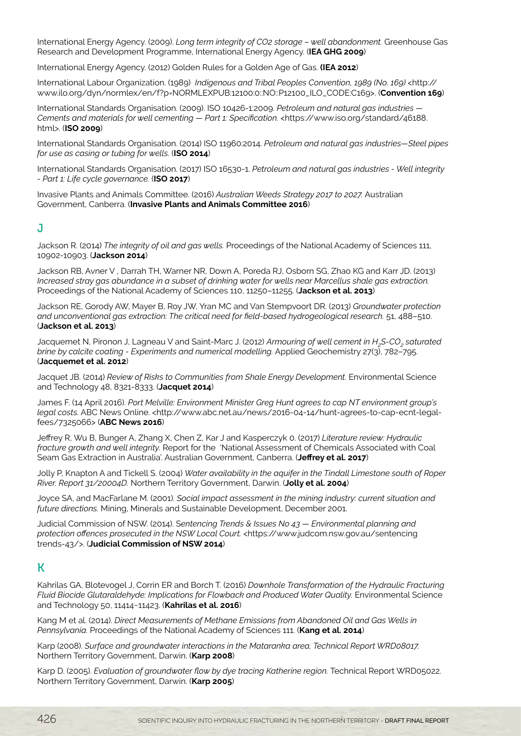International Energy Agency. (2009). *Long term integrity of CO2 storage – well abandonment.* Greenhouse Gas Research and Development Programme, International Energy Agency. (**IEA GHG 2009**)

International Energy Agency. (2012) Golden Rules for a Golden Age of Gas. **(IEA 2012**)

International Labour Organization. (1989) *Indigenous and Tribal Peoples Convention, 1989 (No. 169)* <http:// www.ilo.org/dyn/normlex/en/f?p=NORMLEXPUB:12100:0::NO::P12100\_ILO\_CODE:C169>. (**Convention 169**)

International Standards Organisation. (2009). ISO 10426-1:2009. *Petroleum and natural gas industries — Cements and materials for well cementing — Part 1: Specification.* <https://www.iso.org/standard/46188. html>. (**ISO 2009**)

International Standards Organisation. (2014) ISO 11960:2014. *Petroleum and natural gas industries—Steel pipes for use as casing or tubing for wells.* (**ISO 2014**)

International Standards Organisation. (2017) ISO 16530-1. *Petroleum and natural gas industries - Well integrity - Part 1: Life cycle governance.* (**ISO 2017**)

Invasive Plants and Animals Committee. (2016) *Australian Weeds Strategy 2017 to 2027.* Australian Government, Canberra. (**Invasive Plants and Animals Committee 2016**)

#### J

Jackson R. (2014) *The integrity of oil and gas wells.* Proceedings of the National Academy of Sciences 111, 10902-10903. (**Jackson 2014**)

Jackson RB, Avner V , Darrah TH, Warner NR, Down A, Poreda RJ, Osborn SG, Zhao KG and Karr JD. (2013) *Increased stray gas abundance in a subset of drinking water for wells near Marcellus shale gas extraction.* Proceedings of the National Academy of Sciences 110, 11250–11255. (**Jackson et al. 2013**)

Jackson RE, Gorody AW, Mayer B, Roy JW, Yran MC and Van Stempvoort DR. (2013) *Groundwater protection and unconventional gas extraction: The critical need for field-based hydrogeological research.* 51, 488–510. (**Jackson et al. 2013**)

Jacquemet N, Pironon J, Lagneau V and Saint-Marc J. (2012) *Armouring of well cement in H<sub>2</sub>S-CO<sub>2</sub> saturated brine by calcite coating - Experiments and numerical modelling.* Applied Geochemistry 27(3), 782–795. (**Jacquemet et al. 2012**)

Jacquet JB. (2014) *Review of Risks to Communities from Shale Energy Development.* Environmental Science and Technology 48, 8321-8333. (**Jacquet 2014**)

James F. (14 April 2016). *Port Melville: Environment Minister Greg Hunt agrees to cap NT environment group's legal costs.* ABC News Online. <http://www.abc.net.au/news/2016-04-14/hunt-agrees-to-cap-ecnt-legalfees/7325066> (**ABC News 2016**)

Jeffrey R, Wu B, Bunger A, Zhang X, Chen Z, Kar J and Kasperczyk 0. (2017) *Literature review: Hydraulic fracture growth and well integrity.* Report for the 'National Assessment of Chemicals Associated with Coal Seam Gas Extraction in Australia'. Australian Government, Canberra. (**Jeffrey et al. 2017**)

Jolly P, Knapton A and Tickell S. (2004) *Water availability in the aquifer in the Tindall Limestone south of Roper River. Report 31/20004D.* Northern Territory Government, Darwin. (**Jolly et al. 2004**)

Joyce SA, and MacFarlane M. (2001). *Social impact assessment in the mining industry: current situation and future directions.* Mining, Minerals and Sustainable Development, December 2001.

Judicial Commission of NSW. (2014). S*entencing Trends & Issues No 43 — Environmental planning and protection offences prosecuted in the NSW Local Court.* <https://www.judcom.nsw.gov.au/sentencing trends-43/>. (**Judicial Commission of NSW 2014**)

## K

Kahrilas GA, Blotevogel J, Corrin ER and Borch T. (2016) *Downhole Transformation of the Hydraulic Fracturing Fluid Biocide Glutaraldehyde: Implications for Flowback and Produced Water Quality.* Environmental Science and Technology 50, 11414−11423. (**Kahrilas et al. 2016**)

Kang M et al. (2014). *Direct Measurements of Methane Emissions from Abandoned Oil and Gas Wells in Pennsylvania.* Proceedings of the National Academy of Sciences 111. (**Kang et al. 2014**)

Karp (2008). *Surface and groundwater interactions in the Mataranka area, Technical Report WRD08017.*  Northern Territory Government, Darwin. (**Karp 2008**)

Karp D. (2005). *Evaluation of groundwater flow by dye tracing Katherine region.* Technical Report WRD05022. Northern Territory Government, Darwin. (**Karp 2005**)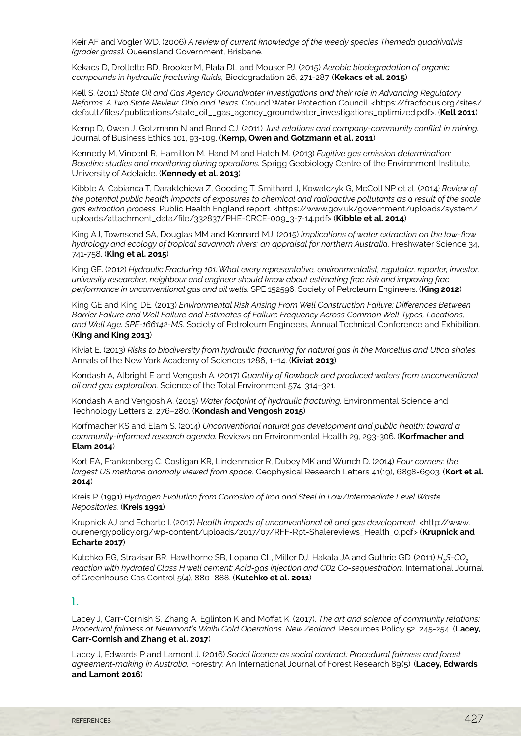Keir AF and Vogler WD. (2006) *A review of current knowledge of the weedy species Themeda quadrivalvis (grader grass).* Queensland Government, Brisbane.

Kekacs D, Drollette BD, Brooker M, Plata DL and Mouser PJ. (2015) *Aerobic biodegradation of organic compounds in hydraulic fracturing fluids,* Biodegradation 26, 271-287. (**Kekacs et al. 2015**)

Kell S. (2011) *State Oil and Gas Agency Groundwater Investigations and their role in Advancing Regulatory Reforms: A Two State Review: Ohio and Texas.* Ground Water Protection Council. <https://fracfocus.org/sites/ default/files/publications/state\_oil\_\_gas\_agency\_groundwater\_investigations\_optimized.pdf>. (**Kell 2011**)

Kemp D, Owen J, Gotzmann N and Bond CJ. (2011) *Just relations and company-community conflict in mining.*  Journal of Business Ethics 101, 93-109. (**Kemp, Owen and Gotzmann et al. 2011**)

Kennedy M, Vincent R, Hamilton M, Hand M and Hatch M. (2013) *Fugitive gas emission determination: Baseline studies and monitoring during operations.* Sprigg Geobiology Centre of the Environment Institute, University of Adelaide. (**Kennedy et al. 2013**)

Kibble A, Cabianca T, Daraktchieva Z, Gooding T, Smithard J, Kowalczyk G, McColl NP et al. (2014) *Review of the potential public health impacts of exposures to chemical and radioactive pollutants as a result of the shale gas extraction process.* Public Health England report. <https://www.gov.uk/government/uploads/system/ uploads/attachment\_data/file/332837/PHE-CRCE-009\_3-7-14.pdf> (**Kibble et al. 2014**)

King AJ, Townsend SA, Douglas MM and Kennard MJ. (2015) *Implications of water extraction on the low-flow hydrology and ecology of tropical savannah rivers: an appraisal for northern Australia*. Freshwater Science 34, 741-758. (**King et al. 2015**)

King GE. (2012) *Hydraulic Fracturing 101: What every representative, environmentalist, regulator, reporter, investor, university researcher, neighbour and engineer should know about estimating frac risk and improving frac performance in unconventional gas and oil wells.* SPE 152596. Society of Petroleum Engineers. (**King 2012**)

King GE and King DE. (2013) *Environmental Risk Arising From Well Construction Failure: Differences Between Barrier Failure and Well Failure and Estimates of Failure Frequency Across Common Well Types, Locations, and Well Age. SPE-166142-MS*. Society of Petroleum Engineers, Annual Technical Conference and Exhibition. (**King and King 2013**)

Kiviat E. (2013) *Risks to biodiversity from hydraulic fracturing for natural gas in the Marcellus and Utica shales.*  Annals of the New York Academy of Sciences 1286, 1–14. (**Kiviat 2013**)

Kondash A, Albright E and Vengosh A. (2017) *Quantity of flowback and produced waters from unconventional oil and gas exploration.* Science of the Total Environment 574, 314–321.

Kondash A and Vengosh A. (2015) *Water footprint of hydraulic fracturing.* Environmental Science and Technology Letters 2, 276−280. (**Kondash and Vengosh 2015**)

Korfmacher KS and Elam S. (2014) *Unconventional natural gas development and public health: toward a community-informed research agenda.* Reviews on Environmental Health 29, 293-306. (**Korfmacher and Elam 2014**)

Kort EA, Frankenberg C, Costigan KR, Lindenmaier R, Dubey MK and Wunch D. (2014) *Four corners: the largest US methane anomaly viewed from space.* Geophysical Research Letters 41(19), 6898-6903. (**Kort et al. 2014**)

Kreis P. (1991) *Hydrogen Evolution from Corrosion of Iron and Steel in Low/Intermediate Level Waste Repositories.* (**Kreis 1991**)

Krupnick AJ and Echarte I. (2017) *Health impacts of unconventional oil and gas development.* <http://www. ourenergypolicy.org/wp-content/uploads/2017/07/RFF-Rpt-Shalereviews\_Health\_0.pdf> (**Krupnick and Echarte 2017**)

Kutchko BG, Strazisar BR, Hawthorne SB, Lopano CL, Miller DJ, Hakala JA and Guthrie GD. (2011) *H<sub>2</sub>S-CO*<sub>2</sub> *reaction with hydrated Class H well cement: Acid-gas injection and CO2 Co-sequestration.* International Journal of Greenhouse Gas Control 5(4), 880–888. (**Kutchko et al. 2011**)

#### $\mathbf{L}$

Lacey J, Carr-Cornish S, Zhang A, Eglinton K and Moffat K. (2017). *The art and science of community relations: Procedural fairness at Newmont's Waihi Gold Operations, New Zealand.* Resources Policy 52, 245-254. (**Lacey, Carr-Cornish and Zhang et al. 2017**)

Lacey J, Edwards P and Lamont J. (2016) *Social licence as social contract: Procedural fairness and forest agreement-making in Australia.* Forestry: An International Journal of Forest Research 89(5). (**Lacey, Edwards and Lamont 2016**)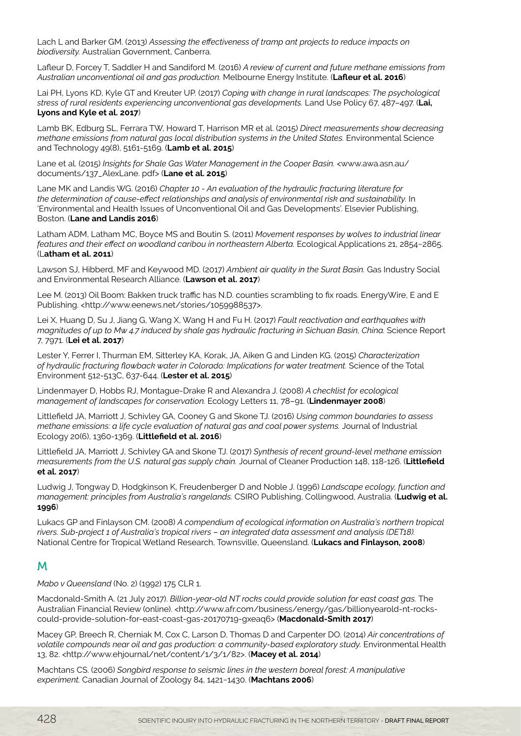Lach L and Barker GM. (2013) *Assessing the effectiveness of tramp ant projects to reduce impacts on biodiversity.* Australian Government, Canberra.

Lafleur D, Forcey T, Saddler H and Sandiford M. (2016) *A review of current and future methane emissions from Australian unconventional oil and gas production.* Melbourne Energy Institute. (**Lafleur et al. 2016**)

Lai PH, Lyons KD, Kyle GT and Kreuter UP. (2017) *Coping with change in rural landscapes: The psychological stress of rural residents experiencing unconventional gas developments.* Land Use Policy 67, 487–497. (**Lai, Lyons and Kyle et al. 2017**)

Lamb BK, Edburg SL, Ferrara TW, Howard T, Harrison MR et al. (2015) *Direct measurements show decreasing methane emissions from natural gas local distribution systems in the United States.* Environmental Science and Technology 49(8), 5161-5169. (**Lamb et al. 2015**)

Lane et al. (2015) *Insights for Shale Gas Water Management in the Cooper Basin.* <www.awa.asn.au/ documents/137\_AlexLane. pdf> (**Lane et al. 2015**)

Lane MK and Landis WG. (2016) *Chapter 10 - An evaluation of the hydraulic fracturing literature for the determination of cause-effect relationships and analysis of environmental risk and sustainability.* In 'Environmental and Health Issues of Unconventional Oil and Gas Developments'. Elsevier Publishing, Boston. (**Lane and Landis 2016**)

Latham ADM, Latham MC, Boyce MS and Boutin S. (2011) *Movement responses by wolves to industrial linear features and their effect on woodland caribou in northeastern Alberta.* Ecological Applications 21, 2854−2865. (L**atham et al. 2011**)

Lawson SJ, Hibberd, MF and Keywood MD. (2017) *Ambient air quality in the Surat Basin.* Gas Industry Social and Environmental Research Alliance. (**Lawson et al. 2017**)

Lee M. (2013) Oil Boom: Bakken truck traffic has N.D. counties scrambling to fix roads. EnergyWire, E and E Publishing. <http://www.eenews.net/stories/1059988537>.

Lei X, Huang D, Su J, Jiang G, Wang X, Wang H and Fu H. (2017) *Fault reactivation and earthquakes with magnitudes of up to Mw 4.7 induced by shale gas hydraulic fracturing in Sichuan Basin, China.* Science Report 7, 7971. (**Lei et al. 2017**)

Lester Y, Ferrer I, Thurman EM, Sitterley KA, Korak, JA, Aiken G and Linden KG. (2015) *Characterization of hydraulic fracturing flowback water in Colorado: Implications for water treatment.* Science of the Total Environment 512-513C, 637-644. (**Lester et al. 2015**)

Lindenmayer D, Hobbs RJ, Montague-Drake R and Alexandra J. (2008) *A checklist for ecological management of landscapes for conservation.* Ecology Letters 11, 78–91. (**Lindenmayer 2008**)

Littlefield JA, Marriott J, Schivley GA, Cooney G and Skone TJ. (2016) *Using common boundaries to assess methane emissions: a life cycle evaluation of natural gas and coal power systems.* Journal of Industrial Ecology 20(6), 1360-1369. (**Littlefield et al. 2016**)

Littlefield JA, Marriott J, Schivley GA and Skone TJ. (2017) *Synthesis of recent ground-level methane emission measurements from the U.S. natural gas supply chain.* Journal of Cleaner Production 148, 118-126. (**Littlefield et al. 2017**)

Ludwig J, Tongway D, Hodgkinson K, Freudenberger D and Noble J. (1996) *Landscape ecology, function and management: principles from Australia's rangelands.* CSIRO Publishing, Collingwood, Australia. (**Ludwig et al. 1996**)

Lukacs GP and Finlayson CM. (2008) *A compendium of ecological information on Australia's northern tropical rivers. Sub-project 1 of Australia's tropical rivers – an integrated data assessment and analysis (DET18).* National Centre for Tropical Wetland Research, Townsville, Queensland. (**Lukacs and Finlayson, 2008**)

## M

*Mabo v Queensland* (No. 2) (1992) 175 CLR 1.

Macdonald-Smith A. (21 July 2017). *Billion-year-old NT rocks could provide solution for east coast gas.* The Australian Financial Review (online). <http://www.afr.com/business/energy/gas/billionyearold-nt-rockscould-provide-solution-for-east-coast-gas-20170719-gxeaq6> (**Macdonald-Smith 2017**)

Macey GP, Breech R, Cherniak M, Cox C, Larson D, Thomas D and Carpenter DO. (2014) *Air concentrations of volatile compounds near oil and gas production: a community-based exploratory study.* Environmental Health 13, 82. <http://www.ehjournal/net/content/1/3/1/82>. (**Macey et al. 2014**)

Machtans CS. (2006) *Songbird response to seismic lines in the western boreal forest: A manipulative experiment.* Canadian Journal of Zoology 84, 1421−1430. (**Machtans 2006**)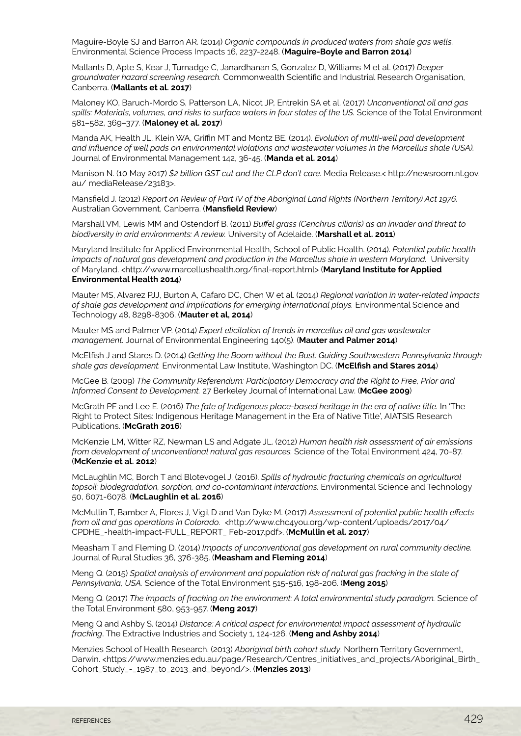Maguire-Boyle SJ and Barron AR. (2014) *Organic compounds in produced waters from shale gas wells.* Environmental Science Process Impacts 16, 2237-2248. (**Maguire-Boyle and Barron 2014**)

Mallants D, Apte S, Kear J, Turnadge C, Janardhanan S, Gonzalez D, Williams M et al. (2017) *Deeper groundwater hazard screening research.* Commonwealth Scientific and Industrial Research Organisation, Canberra. (**Mallants et al. 2017**)

Maloney KO, Baruch-Mordo S, Patterson LA, Nicot JP, Entrekin SA et al. (2017) *Unconventional oil and gas*  spills: Materials, volumes, and risks to surface waters in four states of the US. Science of the Total Environment 581–582, 369–377. (**Maloney et al. 2017**)

Manda AK, Health JL, Klein WA, Griffin MT and Montz BE. (2014). *Evolution of multi-well pad development and influence of well pads on environmental violations and wastewater volumes in the Marcellus shale (USA).*  Journal of Environmental Management 142, 36-45. (**Manda et al. 2014**)

Manison N. (10 May 2017) *\$2 billion GST cut and the CLP don't care.* Media Release.< http://newsroom.nt.gov. au/ mediaRelease/23183>.

Mansfield J. (2012) *Report on Review of Part IV of the Aboriginal Land Rights (Northern Territory) Act 1976.*  Australian Government, Canberra. (**Mansfield Review**)

Marshall VM, Lewis MM and Ostendorf B. (2011) *Buffel grass (Cenchrus ciliaris) as an invader and threat to biodiversity in arid environments: A review.* University of Adelaide. (**Marshall et al. 2011**)

Maryland Institute for Applied Environmental Health, School of Public Health. (2014). *Potential public health impacts of natural gas development and production in the Marcellus shale in western Maryland.* University of Maryland. <http://www.marcellushealth.org/final-report.html> (**Maryland Institute for Applied Environmental Health 2014**)

Mauter MS, Alvarez PJJ, Burton A, Cafaro DC, Chen W et al. (2014) *Regional variation in water-related impacts of shale gas development and implications for emerging international plays.* Environmental Science and Technology 48, 8298-8306. (**Mauter et al, 2014**)

Mauter MS and Palmer VP. (2014) *Expert elicitation of trends in marcellus oil and gas wastewater management.* Journal of Environmental Engineering 140(5). (**Mauter and Palmer 2014**)

McElfish J and Stares D. (2014) *Getting the Boom without the Bust: Guiding Southwestern Pennsylvania through shale gas development.* Environmental Law Institute, Washington DC. (**McElfish and Stares 2014**)

McGee B. (2009) *The Community Referendum: Participatory Democracy and the Right to Free, Prior and Informed Consent to Development.* 27 Berkeley Journal of International Law. (**McGee 2009**)

McGrath PF and Lee E. (2016) *The fate of Indigenous place-based heritage in the era of native title.* In 'The Right to Protect Sites: Indigenous Heritage Management in the Era of Native Title', AIATSIS Research Publications. (**McGrath 2016**)

McKenzie LM, Witter RZ, Newman LS and Adgate JL. (2012) *Human health risk assessment of air emissions from development of unconventional natural gas resources.* Science of the Total Environment 424, 70-87. (**McKenzie et al. 2012**)

McLaughlin MC, Borch T and Blotevogel J. (2016). *Spills of hydraulic fracturing chemicals on agricultural topsoil: biodegradation, sorption, and co-contaminant interactions.* Environmental Science and Technology 50, 6071-6078. (**McLaughlin et al. 2016**)

McMullin T, Bamber A, Flores J, Vigil D and Van Dyke M. (2017) *Assessment of potential public health effects from oil and gas operations in Colorado.* <http://www.chc4you.org/wp-content/uploads/2017/04/ CPDHE\_-health-impact-FULL\_REPORT\_ Feb-2017.pdf>. (**McMullin et al. 2017**)

Measham T and Fleming D. (2014) *Impacts of unconventional gas development on rural community decline.* Journal of Rural Studies 36, 376-385. (**Measham and Fleming 2014**)

Meng Q. (2015) *Spatial analysis of environment and population risk of natural gas fracking in the state of Pennsylvania, USA.* Science of the Total Environment 515-516, 198-206. (**Meng 2015**)

Meng Q. (2017) *The impacts of fracking on the environment: A total environmental study paradigm.* Science of the Total Environment 580, 953-957. (**Meng 2017**)

Meng Q and Ashby S. (2014) *Distance: A critical aspect for environmental impact assessment of hydraulic fracking*. The Extractive Industries and Society 1, 124-126. (**Meng and Ashby 2014**)

Menzies School of Health Research. (2013) *Aboriginal birth cohort study*. Northern Territory Government, Darwin. <https://www.menzies.edu.au/page/Research/Centres\_initiatives\_and\_projects/Aboriginal\_Birth\_ Cohort\_Study\_-\_1987\_to\_2013\_and\_beyond/>. (**Menzies 2013**)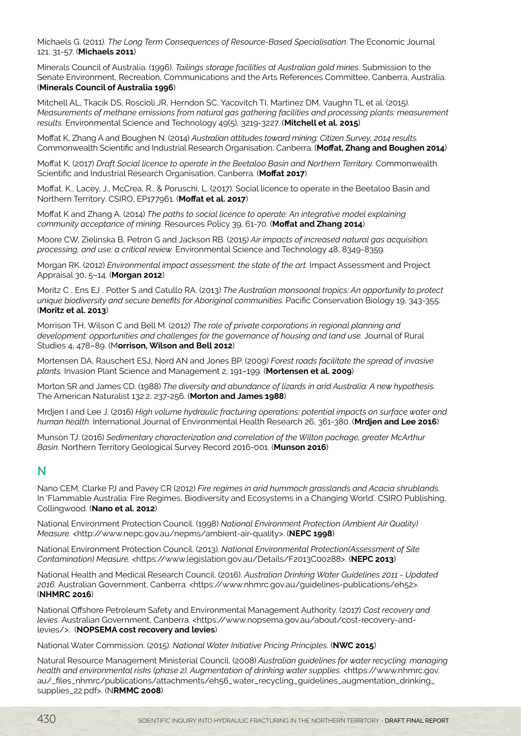Michaels G. (2011). *The Long Term Consequences of Resource-Based Specialisation*. The Economic Journal 121, 31-57. (**Michaels 2011**)

Minerals Council of Australia. (1996). *Tailings storage facilities at Australian gold mines.* Submission to the Senate Environment, Recreation, Communications and the Arts References Committee, Canberra, Australia. (**Minerals Council of Australia 1996**)

Mitchell AL, Tkacik DS, Roscioli JR, Herndon SC, Yacovitch TI, Martinez DM, Vaughn TL et al. (2015). *Measurements of methane emissions from natural gas gathering facilities and processing plants: measurement results.* Environmental Science and Technology 49(5), 3219-3227. (**Mitchell et al. 2015**)

Moffat K, Zhang A and Boughen N. (2014) *Australian attitudes toward mining: Citizen Survey, 2014 results.* Commonwealth Scientific and Industrial Research Organisation, Canberra. (**Moffat, Zhang and Boughen 2014**)

Moffat K. (2017) *Draft Social licence to operate in the Beetaloo Basin and Northern Territory.* Commonwealth Scientific and Industrial Research Organisation, Canberra. (**Moffat 2017**)

Moffat, K., Lacey, J., McCrea, R., & Poruschi, L. (2017). Social licence to operate in the Beetaloo Basin and Northern Territory. CSIRO, EP177961. (**Moffat et al. 2017**)

Moffat K and Zhang A. (2014) *The paths to social licence to operate: An integrative model explaining community acceptance of mining.* Resources Policy 39, 61-70. (**Moffat and Zhang 2014**)

Moore CW, Zielinska B, Petron G and Jackson RB. (2015) *Air impacts of increased natural gas acquisition, processing, and use: a critical review.* Environmental Science and Technology 48, 8349-8359.

Morgan RK. (2012) *Environmental impact assessment: the state of the art.* Impact Assessment and Project Appraisal 30, 5–14. (**Morgan 2012**)

Moritz C , Ens EJ , Potter S and Catullo RA. (2013) *The Australian monsoonal tropics: An opportunity to protect unique biodiversity and secure benefits for Aboriginal communities.* Pacific Conservation Biology 19, 343-355. (**Moritz et al. 2013**)

Morrison TH, Wilson C and Bell M. (2012) *The role of private corporations in regional planning and*  development: opportunities and challenges for the governance of housing and land use. Journal of Rural Studies 4, 478–89. (M**orrison, Wilson and Bell 2012**)

Mortensen DA, Rauschert ESJ, Nord AN and Jones BP. (2009) *Forest roads facilitate the spread of invasive plants.* Invasion Plant Science and Management 2, 191–199. (**Mortensen et al. 2009**)

Morton SR and James CD. (1988) *The diversity and abundance of lizards in arid Australia: A new hypothesis.* The American Naturalist 132:2, 237-256. (**Morton and James 1988**)

Mrdjen I and Lee J. (2016) *High volume hydraulic fracturing operations: potential impacts on surface water and human health*. International Journal of Environmental Health Research 26, 361-380. (**Mrdjen and Lee 2016**)

Munson TJ. (2016) *Sedimentary characterization and correlation of the Wilton package, greater McArthur Basin.* Northern Territory Geological Survey Record 2016-001. (**Munson 2016**)

## N

Nano CEM, Clarke PJ and Pavey CR (2012) *Fire regimes in arid hummock grasslands and Acacia shrublands.* In 'Flammable Australia: Fire Regimes, Biodiversity and Ecosystems in a Changing World'. CSIRO Publishing, Collingwood. (**Nano et al. 2012**)

National Environment Protection Council. (1998) *National Environment Protection (Ambient Air Quality) Measure.* <http://www.nepc.gov.au/nepms/ambient-air-quality>. (**NEPC 1998**)

National Environment Protection Council. (2013). *National Environmental Protection(Assessment of Site Contamination) Measure.* <https://www.legislation.gov.au/Details/F2013C00288>. (**NEPC 2013**)

National Health and Medical Research Council. (2016). *Australian Drinking Water Guidelines 2011 - Updated 2016.* Australian Government, Canberra. <https://www.nhmrc.gov.au/guidelines-publications/eh52>. (**NHMRC 2016**)

National Offshore Petroleum Safety and Environmental Management Authority. (2017) *Cost recovery and levies.* Australian Government, Canberra. <https://www.nopsema.gov.au/about/cost-recovery-andlevies/>. (**NOPSEMA cost recovery and levies**)

National Water Commission. (2015). *National Water Initiative Pricing Principles*. (**NWC 2015**)

Natural Resource Management Ministerial Council. (2008) *Australian guidelines for water recycling: managing health and environmental risks (phase 2). Augmentation of drinking water supplies.* <https://www.nhmrc.gov. au/\_files\_nhmrc/publications/attachments/eh56\_water\_recycling\_guidelines\_augmentation\_drinking\_ supplies\_22.pdf>. (N**RMMC 2008**)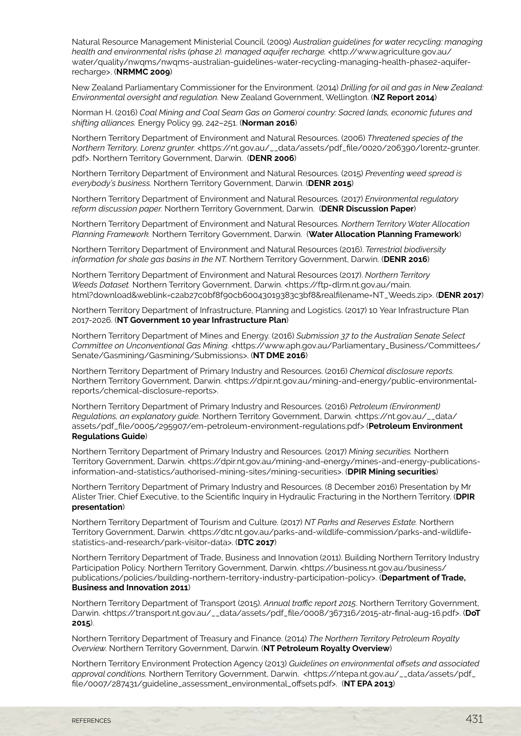Natural Resource Management Ministerial Council. (2009) *Australian guidelines for water recycling: managing health and environmental risks (phase 2). managed aquifer recharge.* <http://www.agriculture.gov.au/ water/quality/nwqms/nwqms-australian-guidelines-water-recycling-managing-health-phase2-aquiferrecharge>. (**NRMMC 2009**)

New Zealand Parliamentary Commissioner for the Environment. (2014) *Drilling for oil and gas in New Zealand: Environmental oversight and regulation.* New Zealand Government, Wellington. (**NZ Report 2014**)

Norman H. (2016) *Coal Mining and Coal Seam Gas on Gomeroi country: Sacred lands, economic futures and shifting alliances.* Energy Policy 99, 242–251. (**Norman 2016**)

Northern Territory Department of Environment and Natural Resources. (2006) *Threatened species of the Northern Territory, Lorenz grunter.* <https://nt.gov.au/\_\_data/assets/pdf\_file/0020/206390/lorentz-grunter. pdf>. Northern Territory Government, Darwin. (**DENR 2006**)

Northern Territory Department of Environment and Natural Resources. (2015) *Preventing weed spread is everybody's business.* Northern Territory Government, Darwin. (**DENR 2015**)

Northern Territory Department of Environment and Natural Resources. (2017) *Environmental regulatory reform discussion paper.* Northern Territory Government, Darwin. (**DENR Discussion Paper**)

Northern Territory Department of Environment and Natural Resources. *Northern Territory Water Allocation Planning Framework.* Northern Territory Government, Darwin. (**Water Allocation Planning Framework**)

Northern Territory Department of Environment and Natural Resources (2016). *Terrestrial biodiversity information for shale gas basins in the NT.* Northern Territory Government, Darwin. (**DENR 2016**)

Northern Territory Department of Environment and Natural Resources (2017). *Northern Territory Weeds Dataset.* Northern Territory Government, Darwin. <https://ftp-dlrm.nt.gov.au/main. html?download&weblink=c2ab27c0bf8f90cb60043019383c3bf8&realfilename=NT\_Weeds.zip>. (**DENR 2017**)

Northern Territory Department of Infrastructure, Planning and Logistics. (2017) 10 Year Infrastructure Plan 2017-2026. (**NT Government 10 year Infrastructure Plan**)

Northern Territory Department of Mines and Energy. (2016) *Submission 37 to the Australian Senate Select Committee on Unconventional Gas Mining.* <https://www.aph.gov.au/Parliamentary\_Business/Committees/ Senate/Gasmining/Gasmining/Submissions>. (**NT DME 2016**)

Northern Territory Department of Primary Industry and Resources. (2016) *Chemical disclosure reports.*  Northern Territory Government, Darwin. <https://dpir.nt.gov.au/mining-and-energy/public-environmentalreports/chemical-disclosure-reports>.

Northern Territory Department of Primary Industry and Resources. (2016) *Petroleum (Environment) Regulations, an explanatory guide.* Northern Territory Government, Darwin. <https://nt.gov.au/\_\_data/ assets/pdf\_file/0005/295907/em-petroleum-environment-regulations.pdf> (**Petroleum Environment Regulations Guide**)

Northern Territory Department of Primary Industry and Resources. (2017) *Mining securities.* Northern Territory Government, Darwin. <https://dpir.nt.gov.au/mining-and-energy/mines-and-energy-publicationsinformation-and-statistics/authorised-mining-sites/mining-securities>. (**DPIR Mining securities**)

Northern Territory Department of Primary Industry and Resources. (8 December 2016) Presentation by Mr Alister Trier, Chief Executive, to the Scientific Inquiry in Hydraulic Fracturing in the Northern Territory. (**DPIR presentation**)

Northern Territory Department of Tourism and Culture. (2017) *NT Parks and Reserves Estate.* Northern Territory Government, Darwin. <https://dtc.nt.gov.au/parks-and-wildlife-commission/parks-and-wildlifestatistics-and-research/park-visitor-data>. (**DTC 2017**)

Northern Territory Department of Trade, Business and Innovation (2011). Building Northern Territory Industry Participation Policy. Northern Territory Government, Darwin. <https://business.nt.gov.au/business/ publications/policies/building-northern-territory-industry-participation-policy>. (**Department of Trade, Business and Innovation 2011**)

Northern Territory Department of Transport (2015). *Annual traffic report 2015*. Northern Territory Government, Darwin. <https://transport.nt.gov.au/\_\_data/assets/pdf\_file/0008/367316/2015-atr-final-aug-16.pdf>. (**DoT 2015**).

Northern Territory Department of Treasury and Finance. (2014) *The Northern Territory Petroleum Royalty Overview.* Northern Territory Government, Darwin. (**NT Petroleum Royalty Overview**)

Northern Territory Environment Protection Agency (2013) *Guidelines on environmental offsets and associated approval conditions.* Northern Territory Government, Darwin. <https://ntepa.nt.gov.au/\_\_data/assets/pdf\_ file/0007/287431/guideline\_assessment\_environmental\_offsets.pdf>. (**NT EPA 2013**)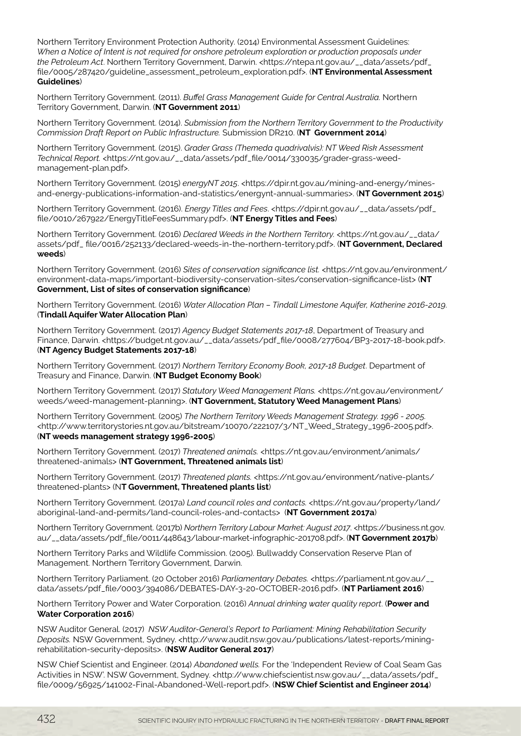Northern Territory Environment Protection Authority. (2014) Environmental Assessment Guidelines: *When a Notice of Intent is not required for onshore petroleum exploration or production proposals under the Petroleum Act*. Northern Territory Government, Darwin. <https://ntepa.nt.gov.au/\_\_data/assets/pdf\_ file/0005/287420/guideline\_assessment\_petroleum\_exploration.pdf>. (**NT Environmental Assessment Guidelines**)

Northern Territory Government. (2011). *Buffel Grass Management Guide for Central Australia.* Northern Territory Government, Darwin. (**NT Government 2011**)

Northern Territory Government. (2014). *Submission from the Northern Territory Government to the Productivity Commission Draft Report on Public Infrastructure.* Submission DR210. (**NT Government 2014**)

Northern Territory Government. (2015). *Grader Grass (Themeda quadrivalvis): NT Weed Risk Assessment Technical Report.* <https://nt.gov.au/\_\_data/assets/pdf\_file/0014/330035/grader-grass-weedmanagement-plan.pdf>.

Northern Territory Government. (2015) *energyNT 2015*. <https://dpir.nt.gov.au/mining-and-energy/minesand-energy-publications-information-and-statistics/energynt-annual-summaries>. (**NT Government 2015**)

Northern Territory Government. (2016). *Energy Titles and Fees*. <https://dpir.nt.gov.au/\_\_data/assets/pdf\_ file/0010/267922/EnergyTitleFeesSummary.pdf>. (**NT Energy Titles and Fees**)

Northern Territory Government. (2016) *Declared Weeds in the Northern Territory.* <https://nt.gov.au/\_\_data/ assets/pdf\_ file/0016/252133/declared-weeds-in-the-northern-territory.pdf>. (**NT Government, Declared weeds**)

Northern Territory Government. (2016) *Sites of conservation significance list.* <https://nt.gov.au/environment/ environment-data-maps/important-biodiversity-conservation-sites/conservation-significance-list> (**NT Government, List of sites of conservation significance**)

Northern Territory Government. (2016) *Water Allocation Plan – Tindall Limestone Aquifer, Katherine 2016-2019*. (**Tindall Aquifer Water Allocation Plan**)

Northern Territory Government. (2017) *Agency Budget Statements 2017-18*, Department of Treasury and Finance, Darwin. <https://budget.nt.gov.au/\_\_data/assets/pdf\_file/0008/277604/BP3-2017-18-book.pdf>. (**NT Agency Budget Statements 2017-18**)

Northern Territory Government. (2017) *Northern Territory Economy Book, 2017-18 Budget*. Department of Treasury and Finance, Darwin. (**NT Budget Economy Book**)

Northern Territory Government. (2017) *Statutory Weed Management Plans.* <https://nt.gov.au/environment/ weeds/weed-management-planning>. (**NT Government, Statutory Weed Management Plans**)

Northern Territory Government. (2005) *The Northern Territory Weeds Management Strategy. 1996 - 2005.* <http://www.territorystories.nt.gov.au/bitstream/10070/222107/3/NT\_Weed\_Strategy\_1996-2005.pdf>. (**NT weeds management strategy 1996-2005**)

Northern Territory Government. (2017) *Threatened animals.* <https://nt.gov.au/environment/animals/ threatened-animals> (**NT Government, Threatened animals list**)

Northern Territory Government. (2017) *Threatened plants.* <https://nt.gov.au/environment/native-plants/ threatened-plants> (N**T Government, Threatened plants list**)

Northern Territory Government. (2017a) *Land council roles and contacts.* <https://nt.gov.au/property/land/ aboriginal-land-and-permits/land-council-roles-and-contacts> (**NT Government 2017a**)

Northern Territory Government. (2017b) *Northern Territory Labour Market: August 2017*. <https://business.nt.gov. au/\_\_data/assets/pdf\_file/0011/448643/labour-market-infographic-201708.pdf>. (**NT Government 2017b**)

Northern Territory Parks and Wildlife Commission. (2005). Bullwaddy Conservation Reserve Plan of Management. Northern Territory Government, Darwin.

Northern Territory Parliament. (20 October 2016) *Parliamentary Debates.* <https://parliament.nt.gov.au/\_\_ data/assets/pdf\_file/0003/394086/DEBATES-DAY-3-20-OCTOBER-2016.pdf>. (**NT Parliament 2016**)

Northern Territory Power and Water Corporation. (2016) *Annual drinking water quality report*. (**Power and Water Corporation 2016**)

NSW Auditor General. (2017) *NSW Auditor-General's Report to Parliament: Mining Rehabilitation Security Deposits.* NSW Government, Sydney. <http://www.audit.nsw.gov.au/publications/latest-reports/miningrehabilitation-security-deposits>. (**NSW Auditor General 2017**)

NSW Chief Scientist and Engineer. (2014) *Abandoned wells.* For the 'Independent Review of Coal Seam Gas Activities in NSW'. NSW Government, Sydney. <http://www.chiefscientist.nsw.gov.au/\_\_data/assets/pdf\_ file/0009/56925/141002-Final-Abandoned-Well-report.pdf>. (**NSW Chief Scientist and Engineer 2014**)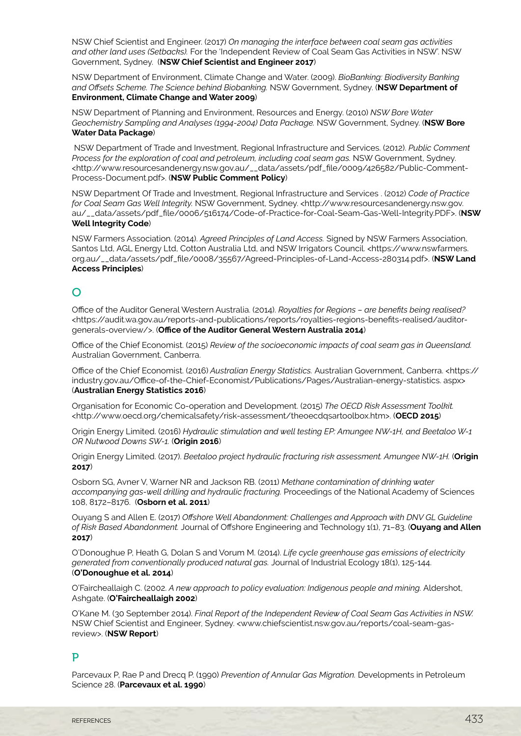NSW Chief Scientist and Engineer. (2017) *On managing the interface between coal seam gas activities and other land uses (Setbacks).* For the 'Independent Review of Coal Seam Gas Activities in NSW'. NSW Government, Sydney. (**NSW Chief Scientist and Engineer 2017**)

NSW Department of Environment, Climate Change and Water. (2009). *BioBanking: Biodiversity Banking and Offsets Scheme. The Science behind Biobanking.* NSW Government, Sydney. (**NSW Department of Environment, Climate Change and Water 2009**)

NSW Department of Planning and Environment, Resources and Energy. (2010) *NSW Bore Water Geochemistry Sampling and Analyses (1994-2004) Data Package.* NSW Government, Sydney. (**NSW Bore Water Data Package**)

 NSW Department of Trade and Investment, Regional Infrastructure and Services. (2012). *Public Comment Process for the exploration of coal and petroleum, including coal seam gas.* NSW Government, Sydney. <http://www.resourcesandenergy.nsw.gov.au/\_\_data/assets/pdf\_file/0009/426582/Public-Comment-Process-Document.pdf>. (**NSW Public Comment Policy**)

NSW Department Of Trade and Investment, Regional Infrastructure and Services . (2012) *Code of Practice for Coal Seam Gas Well Integrity.* NSW Government, Sydney. <http://www.resourcesandenergy.nsw.gov. au/\_\_data/assets/pdf\_file/0006/516174/Code-of-Practice-for-Coal-Seam-Gas-Well-Integrity.PDF>. (**NSW Well Integrity Code**)

NSW Farmers Association. (2014). *Agreed Principles of Land Access.* Signed by NSW Farmers Association, Santos Ltd, AGL Energy Ltd, Cotton Australia Ltd, and NSW Irrigators Council. <https://www.nswfarmers. org.au/\_\_data/assets/pdf\_file/0008/35567/Agreed-Principles-of-Land-Access-280314.pdf>. (**NSW Land Access Principles**)

# $\Omega$

Office of the Auditor General Western Australia. (2014). *Royalties for Regions – are benefits being realised?* <https://audit.wa.gov.au/reports-and-publications/reports/royalties-regions-benefits-realised/auditorgenerals-overview/>. (**Office of the Auditor General Western Australia 2014**)

Office of the Chief Economist. (2015) *Review of the socioeconomic impacts of coal seam gas in Queensland.* Australian Government, Canberra.

Office of the Chief Economist. (2016) *Australian Energy Statistics.* Australian Government, Canberra. <https:// industry.gov.au/Office-of-the-Chief-Economist/Publications/Pages/Australian-energy-statistics. aspx> (**Australian Energy Statistics 2016**)

Organisation for Economic Co-operation and Development. (2015) *The OECD Risk Assessment Toolkit.* <http://www.oecd.org/chemicalsafety/risk-assessment/theoecdqsartoolbox.htm>. (**OECD 2015**)

Origin Energy Limited. (2016) *Hydraulic stimulation and well testing EP: Amungee NW-1H, and Beetaloo W-1 OR Nutwood Downs SW-1.* (**Origin 2016**)

Origin Energy Limited. (2017). *Beetaloo project hydraulic fracturing risk assessment. Amungee NW-1H.* (**Origin 2017**)

Osborn SG, Avner V, Warner NR and Jackson RB. (2011) *Methane contamination of drinking water accompanying gas-well drilling and hydraulic fracturing.* Proceedings of the National Academy of Sciences 108, 8172–8176. (**Osborn et al. 2011**)

Ouyang S and Allen E. (2017) *Offshore Well Abandonment: Challenges and Approach with DNV GL Guideline of Risk Based Abandonment.* Journal of Offshore Engineering and Technology 1(1), 71–83. (**Ouyang and Allen 2017**)

O'Donoughue P, Heath G, Dolan S and Vorum M. (2014). *Life cycle greenhouse gas emissions of electricity generated from conventionally produced natural gas.* Journal of Industrial Ecology 18(1), 125-144. (**O'Donoughue et al. 2014**)

O'Faircheallaigh C. (2002. *A new approach to policy evaluation: Indigenous people and mining.* Aldershot, Ashgate. (**O'Faircheallaigh 2002**)

O'Kane M. (30 September 2014). *Final Report of the Independent Review of Coal Seam Gas Activities in NSW.* NSW Chief Scientist and Engineer, Sydney. <www.chiefscientist.nsw.gov.au/reports/coal-seam-gasreview>. (**NSW Report**)

## P

Parcevaux P, Rae P and Drecq P. (1990) *Prevention of Annular Gas Migration.* Developments in Petroleum Science 28. (**Parcevaux et al. 1990**)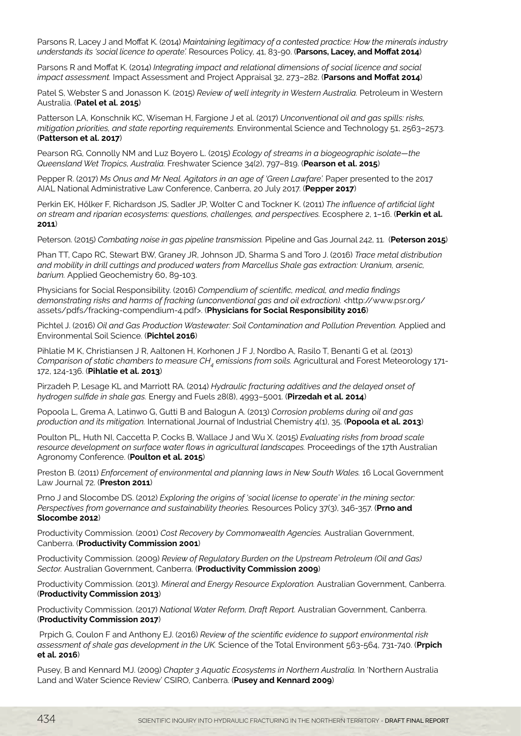Parsons R, Lacey J and Moffat K. (2014) *Maintaining legitimacy of a contested practice: How the minerals industry understands its 'social licence to operate'.* Resources Policy, 41, 83-90. (**Parsons, Lacey, and Moffat 2014**)

Parsons R and Moffat K. (2014) *Integrating impact and relational dimensions of social licence and social impact assessment.* Impact Assessment and Project Appraisal 32, 273–282. (**Parsons and Moffat 2014**)

Patel S, Webster S and Jonasson K. (2015) *Review of well integrity in Western Australia.* Petroleum in Western Australia. (**Patel et al. 2015**)

Patterson LA, Konschnik KC, Wiseman H, Fargione J et al. (2017) *Unconventional oil and gas spills: risks, mitigation priorities, and state reporting requirements.* Environmental Science and Technology 51, 2563–2573. (**Patterson et al. 2017**)

Pearson RG, Connolly NM and Luz Boyero L. (2015) *Ecology of streams in a biogeographic isolate—the Queensland Wet Tropics, Australia.* Freshwater Science 34(2), 797–819. (**Pearson et al. 2015**)

Pepper R. (2017) *Ms Onus and Mr Neal. Agitators in an age of 'Green Lawfare'.* Paper presented to the 2017 AIAL National Administrative Law Conference, Canberra, 20 July 2017. (**Pepper 2017**)

Perkin EK, Hőlker F, Richardson JS, Sadler JP, Wolter C and Tockner K. (2011) *The influence of artificial light on stream and riparian ecosystems: questions, challenges, and perspectives.* Ecosphere 2, 1–16. (**Perkin et al. 2011**)

Peterson. (2015) *Combating noise in gas pipeline transmission.* Pipeline and Gas Journal 242, 11. (**Peterson 2015**)

Phan TT, Capo RC, Stewart BW, Graney JR, Johnson JD, Sharma S and Toro J. (2016) *Trace metal distribution and mobility in drill cuttings and produced waters from Marcellus Shale gas extraction: Uranium, arsenic, barium.* Applied Geochemistry 60, 89-103.

Physicians for Social Responsibility. (2016) *Compendium of scientific, medical, and media findings demonstrating risks and harms of fracking (unconventional gas and oil extraction).* <http://www.psr.org/ assets/pdfs/fracking-compendium-4.pdf>. (**Physicians for Social Responsibility 2016**)

Pichtel J. (2016) *Oil and Gas Production Wastewater: Soil Contamination and Pollution Prevention.* Applied and Environmental Soil Science. (**Pichtel 2016**)

Pihlatie M K, Christiansen J R, Aaltonen H, Korhonen J F J, Nordbo A, Rasilo T, Benanti G et al. (2013) *Comparison of static chambers to measure CH<sub>4</sub> emissions from soils. Agricultural and Forest Meteorology 171-*172, 124-136. (**Pihlatie et al. 2013**)

Pirzadeh P, Lesage KL and Marriott RA. (2014) *Hydraulic fracturing additives and the delayed onset of hydrogen sulfide in shale gas.* Energy and Fuels 28(8), 4993–5001. (**Pirzedah et al. 2014**)

Popoola L, Grema A, Latinwo G, Gutti B and Balogun A. (2013) *Corrosion problems during oil and gas production and its mitigation.* International Journal of Industrial Chemistry 4(1), 35. (**Popoola et al. 2013**)

Poulton PL, Huth NI, Caccetta P, Cocks B, Wallace J and Wu X. (2015) *Evaluating risks from broad scale resource development on surface water flows in agricultural landscapes.* Proceedings of the 17th Australian Agronomy Conference. (**Poulton et al. 2015**)

Preston B. (2011) *Enforcement of environmental and planning laws in New South Wales.* 16 Local Government Law Journal 72. (**Preston 2011**)

Prno J and Slocombe DS. (2012) *Exploring the origins of 'social license to operate' in the mining sector: Perspectives from governance and sustainability theories.* Resources Policy 37(3), 346-357. (**Prno and Slocombe 2012**)

Productivity Commission. (2001) *Cost Recovery by Commonwealth Agencies.* Australian Government, Canberra. (**Productivity Commission 2001**)

Productivity Commission. (2009) *Review of Regulatory Burden on the Upstream Petroleum (Oil and Gas) Sector.* Australian Government, Canberra. (**Productivity Commission 2009**)

Productivity Commission. (2013). *Mineral and Energy Resource Exploration.* Australian Government, Canberra. (**Productivity Commission 2013**)

Productivity Commission. (2017) *National Water Reform, Draft Report.* Australian Government, Canberra. (**Productivity Commission 2017**)

 Prpich G, Coulon F and Anthony EJ. (2016) *Review of the scientific evidence to support environmental risk assessment of shale gas development in the UK.* Science of the Total Environment 563-564, 731-740. (**Prpich et al. 2016**)

Pusey, B and Kennard MJ. (2009) *Chapter 3 Aquatic Ecosystems in Northern Australia.* In 'Northern Australia Land and Water Science Review' CSIRO, Canberra. (**Pusey and Kennard 2009**)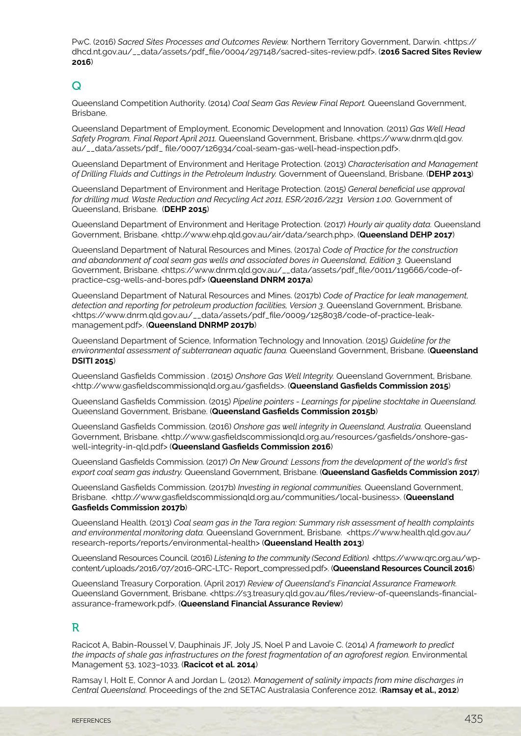PwC. (2016) *Sacred Sites Processes and Outcomes Review.* Northern Territory Government, Darwin. <https:// dhcd.nt.gov.au/\_\_data/assets/pdf\_file/0004/297148/sacred-sites-review.pdf>. (**2016 Sacred Sites Review 2016**)

## $\Omega$

Queensland Competition Authority. (2014) *Coal Seam Gas Review Final Report.* Queensland Government, Brisbane.

Queensland Department of Employment, Economic Development and Innovation. (2011) *Gas Well Head Safety Program, Final Report April 2011.* Queensland Government, Brisbane. <https://www.dnrm.qld.gov. au/\_\_data/assets/pdf\_ file/0007/126934/coal-seam-gas-well-head-inspection.pdf>.

Queensland Department of Environment and Heritage Protection. (2013) *Characterisation and Management of Drilling Fluids and Cuttings in the Petroleum Industry.* Government of Queensland, Brisbane. (**DEHP 2013**)

Queensland Department of Environment and Heritage Protection. (2015) *General beneficial use approval*  for drilling mud. Waste Reduction and Recycling Act 2011, ESR/2016/2231 Version 1.00. Government of Queensland, Brisbane. (**DEHP 2015**)

Queensland Department of Environment and Heritage Protection. (2017) *Hourly air quality data.* Queensland Government, Brisbane. <http://www.ehp.qld.gov.au/air/data/search.php>. (**Queensland DEHP 2017**)

Queensland Department of Natural Resources and Mines. (2017a) *Code of Practice for the construction and abandonment of coal seam gas wells and associated bores in Queensland, Edition 3.* Queensland Government, Brisbane. <https://www.dnrm.qld.gov.au/\_\_data/assets/pdf\_file/0011/119666/code-ofpractice-csg-wells-and-bores.pdf> (**Queensland DNRM 2017a**)

Queensland Department of Natural Resources and Mines. (2017b) *Code of Practice for leak management, detection and reporting for petroleum production facilities, Version 3*. Queensland Government, Brisbane. <https://www.dnrm.qld.gov.au/\_\_data/assets/pdf\_file/0009/1258038/code-of-practice-leakmanagement.pdf>. (**Queensland DNRMP 2017b**)

Queensland Department of Science, Information Technology and Innovation. (2015) *Guideline for the environmental assessment of subterranean aquatic fauna.* Queensland Government, Brisbane. (**Queensland DSITI 2015**)

Queensland Gasfields Commission . (2015) *Onshore Gas Well Integrity.* Queensland Government, Brisbane. <http://www.gasfieldscommissionqld.org.au/gasfields>. (**Queensland Gasfields Commission 2015**)

Queensland Gasfields Commission. (2015) *Pipeline pointers - Learnings for pipeline stocktake in Queensland.* Queensland Government, Brisbane. (**Queensland Gasfields Commission 2015b**)

Queensland Gasfields Commission. (2016) *Onshore gas well integrity in Queensland, Australia.* Queensland Government, Brisbane. <http://www.gasfieldscommissionald.org.au/resources/gasfields/onshore-gaswell-integrity-in-qld.pdf> (**Queensland Gasfields Commission 2016**)

Queensland Gasfields Commission. (2017) *On New Ground: Lessons from the development of the world's first export coal seam gas industry.* Queensland Government, Brisbane. (**Queensland Gasfields Commission 2017**)

Queensland Gasfields Commission. (2017b) *Investing in regional communities.* Queensland Government, Brisbane. <http://www.gasfieldscommissionqld.org.au/communities/local-business>. (**Queensland Gasfields Commission 2017b**)

Queensland Health. (2013) *Coal seam gas in the Tara region: Summary risk assessment of health complaints and environmental monitoring data.* Queensland Government, Brisbane. <https://www.health.qld.gov.au/ research-reports/reports/environmental-health> (**Queensland Health 2013**)

Queensland Resources Council. (2016) *Listening to the community (Second Edition).* <https://www.qrc.org.au/wpcontent/uploads/2016/07/2016-QRC-LTC- Report\_compressed.pdf>. (**Queensland Resources Council 2016**)

Queensland Treasury Corporation. (April 2017) *Review of Queensland's Financial Assurance Framework.*  Queensland Government, Brisbane. <https://s3.treasury.qld.gov.au/files/review-of-queenslands-financialassurance-framework.pdf>. (**Queensland Financial Assurance Review**)

## R

Racicot A, Babin-Roussel V, Dauphinais JF, Joly JS, Noel P and Lavoie C. (2014) *A framework to predict the impacts of shale gas infrastructures on the forest fragmentation of an agroforest region.* Environmental Management 53, 1023–1033. (**Racicot et al. 2014**)

Ramsay I, Holt E, Connor A and Jordan L. (2012). *Management of salinity impacts from mine discharges in Central Queensland.* Proceedings of the 2nd SETAC Australasia Conference 2012. (**Ramsay et al., 2012**)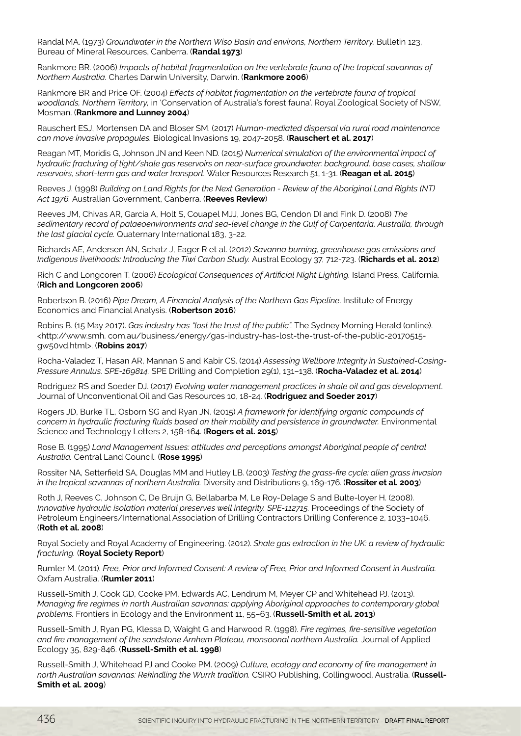Randal MA. (1973) *Groundwater in the Northern Wiso Basin and environs, Northern Territory.* Bulletin 123, Bureau of Mineral Resources, Canberra. (**Randal 1973**)

Rankmore BR. (2006) *Impacts of habitat fragmentation on the vertebrate fauna of the tropical savannas of Northern Australia.* Charles Darwin University, Darwin. (**Rankmore 2006**)

Rankmore BR and Price OF. (2004) *Effects of habitat fragmentation on the vertebrate fauna of tropical woodlands, Northern Territory,* in 'Conservation of Australia's forest fauna'. Royal Zoological Society of NSW, Mosman. (**Rankmore and Lunney 2004**)

Rauschert ESJ, Mortensen DA and Bloser SM. (2017) *Human-mediated dispersal via rural road maintenance can move invasive propagules.* Biological Invasions 19, 2047-2058. (**Rauschert et al. 2017**)

Reagan MT, Moridis G, Johnson JN and Keen ND. (2015) *Numerical simulation of the environmental impact of hydraulic fracturing of tight/shale gas reservoirs on near-surface groundwater: background, base cases, shallow reservoirs, short-term gas and water transport.* Water Resources Research 51, 1-31. (**Reagan et al. 2015**)

Reeves J. (1998) *Building on Land Rights for the Next Generation - Review of the Aboriginal Land Rights (NT) Act 1976.* Australian Government, Canberra. (**Reeves Review**)

Reeves JM, Chivas AR, Garcia A, Holt S, Couapel MJJ, Jones BG, Cendon DI and Fink D. (2008) *The sedimentary record of palaeoenvironments and sea-level change in the Gulf of Carpentaria, Australia, through the last glacial cycle.* Quaternary International 183, 3-22.

Richards AE, Andersen AN, Schatz J, Eager R et al. (2012) *Savanna burning, greenhouse gas emissions and Indigenous livelihoods: Introducing the Tiwi Carbon Study. Austral Ecology 37, 712-723.* (**Richards et al. 2012**)

Rich C and Longcoren T. (2006) *Ecological Consequences of Artificial Night Lighting.* Island Press, California. (**Rich and Longcoren 2006**)

Robertson B. (2016) *Pipe Dream, A Financial Analysis of the Northern Gas Pipeline*. Institute of Energy Economics and Financial Analysis. (**Robertson 2016**)

Robins B. (15 May 2017). *Gas industry has "lost the trust of the public".* The Sydney Morning Herald (online). <http://www.smh. com.au/business/energy/gas-industry-has-lost-the-trust-of-the-public-20170515 gw50vd.html>. (**Robins 2017**)

Rocha-Valadez T, Hasan AR, Mannan S and Kabir CS. (2014) *Assessing Wellbore Integrity in Sustained-Casing-Pressure Annulus. SPE-169814.* SPE Drilling and Completion 29(1), 131–138. (**Rocha-Valadez et al. 2014**)

Rodriguez RS and Soeder DJ. (2017) *Evolving water management practices in shale oil and gas development*. Journal of Unconventional Oil and Gas Resources 10, 18-24. (**Rodriguez and Soeder 2017**)

Rogers JD, Burke TL, Osborn SG and Ryan JN. (2015) *A framework for identifying organic compounds of concern in hydraulic fracturing fluids based on their mobility and persistence in groundwater.* Environmental Science and Technology Letters 2, 158-164. (**Rogers et al. 2015**)

Rose B. (1995) *Land Management Issues: attitudes and perceptions amongst Aboriginal people of central Australia.* Central Land Council. (**Rose 1995**)

Rossiter NA, Setterfield SA, Douglas MM and Hutley LB. (2003) *Testing the grass-fire cycle: alien grass invasion in the tropical savannas of northern Australia.* Diversity and Distributions 9, 169-176. (**Rossiter et al. 2003**)

Roth J, Reeves C, Johnson C, De Bruijn G, Bellabarba M, Le Roy-Delage S and Bulte-loyer H. (2008). *Innovative hydraulic isolation material preserves well integrity. SPE-112715.* Proceedings of the Society of Petroleum Engineers/International Association of Drilling Contractors Drilling Conference 2, 1033–1046. (**Roth et al. 2008**)

Royal Society and Royal Academy of Engineering. (2012). *Shale gas extraction in the UK: a review of hydraulic fracturing.* (**Royal Society Report**)

Rumler M. (2011). *Free, Prior and Informed Consent: A review of Free, Prior and Informed Consent in Australia.*  Oxfam Australia. (**Rumler 2011**)

Russell-Smith J, Cook GD, Cooke PM, Edwards AC, Lendrum M, Meyer CP and Whitehead PJ. (2013). *Managing fire regimes in north Australian savannas: applying Aboriginal approaches to contemporary global problems.* Frontiers in Ecology and the Environment 11, 55–63. (**Russell-Smith et al. 2013**)

Russell-Smith J, Ryan PG, Klessa D, Waight G and Harwood R. (1998). *Fire regimes, fire-sensitive vegetation and fire management of the sandstone Arnhem Plateau, monsoonal northern Australia.* Journal of Applied Ecology 35, 829-846. (**Russell-Smith et al. 1998**)

Russell-Smith J, Whitehead PJ and Cooke PM. (2009) *Culture, ecology and economy of fire management in north Australian savannas: Rekindling the Wurrk tradition.* CSIRO Publishing, Collingwood, Australia. (**Russell-Smith et al. 2009**)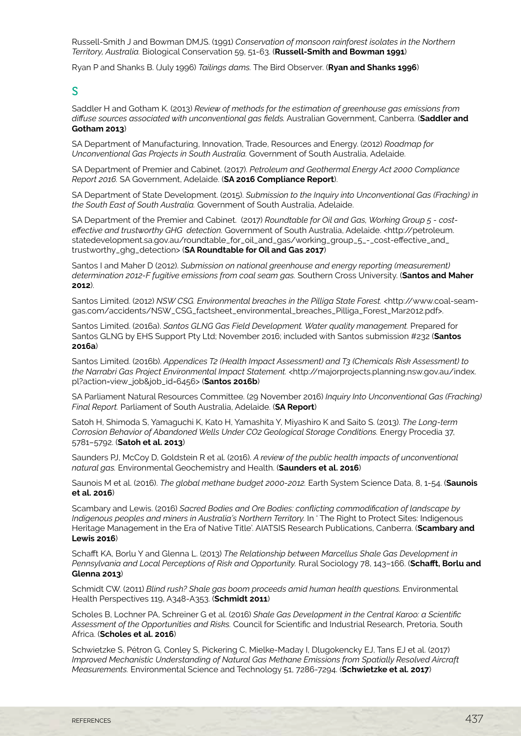Russell-Smith J and Bowman DMJS. (1991) *Conservation of monsoon rainforest isolates in the Northern Territory, Australia.* Biological Conservation 59, 51-63. (**Russell-Smith and Bowman 1991**)

Ryan P and Shanks B. (July 1996) *Tailings dams.* The Bird Observer. (**Ryan and Shanks 1996**)

#### S

Saddler H and Gotham K. (2013) *Review of methods for the estimation of greenhouse gas emissions from diffuse sources associated with unconventional gas fields.* Australian Government, Canberra. (**Saddler and Gotham 2013**)

SA Department of Manufacturing, Innovation, Trade, Resources and Energy. (2012) *Roadmap for Unconventional Gas Projects in South Australia.* Government of South Australia, Adelaide.

SA Department of Premier and Cabinet. (2017). *Petroleum and Geothermal Energy Act 2000 Compliance Report 2016.* SA Government, Adelaide. (**SA 2016 Compliance Report**).

SA Department of State Development. (2015). *Submission to the Inquiry into Unconventional Gas (Fracking) in the South East of South Australia.* Government of South Australia, Adelaide.

SA Department of the Premier and Cabinet. (2017) *Roundtable for Oil and Gas, Working Group 5 - costeffective and trustworthy GHG detection.* Government of South Australia, Adelaide. <http://petroleum. statedevelopment.sa.gov.au/roundtable\_for\_oil\_and\_gas/working\_group\_5\_-\_cost-effective\_and\_ trustworthy\_ghg\_detection> (**SA Roundtable for Oil and Gas 2017**)

Santos I and Maher D (2012). *Submission on national greenhouse and energy reporting (measurement) determination 2012-F fugitive emissions from coal seam gas.* Southern Cross University. (**Santos and Maher 2012**).

Santos Limited. (2012) *NSW CSG. Environmental breaches in the Pilliga State Forest.* <http://www.coal-seamgas.com/accidents/NSW\_CSG\_factsheet\_environmental\_breaches\_Pilliga\_Forest\_Mar2012.pdf>.

Santos Limited. (2016a). *Santos GLNG Gas Field Development. Water quality management.* Prepared for Santos GLNG by EHS Support Pty Ltd; November 2016; included with Santos submission #232 (**Santos 2016a**)

Santos Limited. (2016b). *Appendices T2 (Health Impact Assessment) and T3 (Chemicals Risk Assessment) to*  the Narrabri Gas Project Environmental Impact Statement. <http://majorprojects.planning.nsw.gov.au/index. pl?action=view\_job&job\_id=6456> (**Santos 2016b**)

SA Parliament Natural Resources Committee. (29 November 2016) *Inquiry Into Unconventional Gas (Fracking) Final Report.* Parliament of South Australia, Adelaide. (**SA Report**)

Satoh H, Shimoda S, Yamaguchi K, Kato H, Yamashita Y, Miyashiro K and Saito S. (2013). *The Long-term Corrosion Behavior of Abandoned Wells Under CO2 Geological Storage Conditions.* Energy Procedia 37, 5781–5792. (**Satoh et al. 2013**)

Saunders PJ, McCoy D, Goldstein R et al. (2016). *A review of the public health impacts of unconventional natural gas.* Environmental Geochemistry and Health. (**Saunders et al. 2016**)

Saunois M et al. (2016). *The global methane budget 2000-2012.* Earth System Science Data, 8, 1-54. (**Saunois et al. 2016**)

Scambary and Lewis. (2016) *Sacred Bodies and Ore Bodies: conflicting commodification of landscape by Indigenous peoples and miners in Australia's Northern Territory.* In ' The Right to Protect Sites: Indigenous Heritage Management in the Era of Native Title'. AIATSIS Research Publications, Canberra. (**Scambary and Lewis 2016**)

Schafft KA, Borlu Y and Glenna L. (2013) *The Relationship between Marcellus Shale Gas Development in Pennsylvania and Local Perceptions of Risk and Opportunity.* Rural Sociology 78, 143–166. (**Schafft, Borlu and Glenna 2013**)

Schmidt CW. (2011) *Blind rush? Shale gas boom proceeds amid human health questions.* Environmental Health Perspectives 119, A348-A353. (**Schmidt 2011**)

Scholes B, Lochner PA, Schreiner G et al. (2016) *Shale Gas Development in the Central Karoo: a Scientific Assessment of the Opportunities and Risks.* Council for Scientific and Industrial Research, Pretoria, South Africa. (**Scholes et al. 2016**)

Schwietzke S, Pétron G, Conley S, Pickering C, Mielke-Maday I, Dlugokencky EJ, Tans EJ et al. (2017) *Improved Mechanistic Understanding of Natural Gas Methane Emissions from Spatially Resolved Aircraft Measurements.* Environmental Science and Technology 51, 7286-7294. (**Schwietzke et al. 2017**)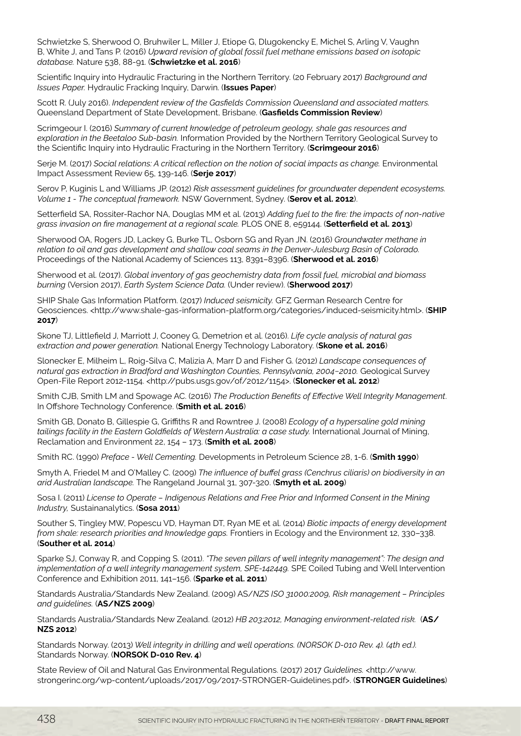Schwietzke S, Sherwood O, Bruhwiler L, Miller J, Etiope G, Dlugokencky E, Michel S, Arling V, Vaughn B, White J, and Tans P. (2016) *Upward revision of global fossil fuel methane emissions based on isotopic database.* Nature 538, 88-91. (**Schwietzke et al. 2016**)

Scientific Inquiry into Hydraulic Fracturing in the Northern Territory. (20 February 2017) *Background and Issues Paper.* Hydraulic Fracking Inquiry, Darwin. (**Issues Paper**)

Scott R. (July 2016). *Independent review of the Gasfields Commission Queensland and associated matters.*  Queensland Department of State Development, Brisbane. (**Gasfields Commission Review**)

Scrimgeour I. (2016) *Summary of current knowledge of petroleum geology, shale gas resources and exploration in the Beetaloo Sub-basin.* Information Provided by the Northern Territory Geological Survey to the Scientific Inquiry into Hydraulic Fracturing in the Northern Territory. (**Scrimgeour 2016**)

Serje M. (2017) Social relations: A critical reflection on the notion of social impacts as change. Environmental Impact Assessment Review 65, 139-146. (**Serje 2017**)

Serov P, Kuginis L and Williams JP. (2012) *Risk assessment guidelines for groundwater dependent ecosystems. Volume 1 - The conceptual framework.* NSW Government, Sydney. (**Serov et al. 2012**).

Setterfield SA, Rossiter-Rachor NA, Douglas MM et al. (2013) *Adding fuel to the fire: the impacts of non-native grass invasion on fire management at a regional scale.* PLOS ONE 8, e59144. (**Setterfield et al. 2013**)

Sherwood OA, Rogers JD, Lackey G, Burke TL, Osborn SG and Ryan JN. (2016) *Groundwater methane in relation to oil and gas development and shallow coal seams in the Denver-Julesburg Basin of Colorado.* Proceedings of the National Academy of Sciences 113, 8391–8396. (**Sherwood et al. 2016**)

Sherwood et al. (2017). *Global inventory of gas geochemistry data from fossil fuel, microbial and biomass burning* (Version 2017), *Earth System Science Data.* (Under review). (**Sherwood 2017**)

SHIP Shale Gas Information Platform. (2017) *Induced seismicity.* GFZ German Research Centre for Geosciences. <http://www.shale-gas-information-platform.org/categories/induced-seismicity.html>. (**SHIP 2017**)

Skone TJ, Littlefield J, Marriott J, Cooney G, Demetrion et al. (2016). *Life cycle analysis of natural gas extraction and power generation.* National Energy Technology Laboratory. (**Skone et al. 2016**)

Slonecker E, Milheim L, Roig-Silva C, Malizia A, Marr D and Fisher G. (2012) *Landscape consequences of natural gas extraction in Bradford and Washington Counties, Pennsylvania, 2004−2010.* Geological Survey Open-File Report 2012-1154. <http://pubs.usgs.gov/of/2012/1154>. (**Slonecker et al. 2012**)

Smith CJB, Smith LM and Spowage AC. (2016) *The Production Benefits of Effective Well Integrity Management*. In Offshore Technology Conference. (**Smith et al. 2016**)

Smith GB, Donato B, Gillespie G, Griffiths R and Rowntree J. (2008) *Ecology of a hypersaline gold mining tailings facility in the Eastern Goldfields of Western Australia: a case study.* International Journal of Mining, Reclamation and Environment 22, 154 – 173. (**Smith et al. 2008**)

Smith RC. (1990) *Preface - Well Cementing.* Developments in Petroleum Science 28, 1-6. (**Smith 1990**)

Smyth A, Friedel M and O'Malley C. (2009) *The influence of buffel grass (Cenchrus ciliaris) on biodiversity in an arid Australian landscape.* The Rangeland Journal 31, 307-320. (**Smyth et al. 2009**)

Sosa I. (2011) *License to Operate – Indigenous Relations and Free Prior and Informed Consent in the Mining Industry,* Sustainanalytics. (**Sosa 2011**)

Souther S, Tingley MW, Popescu VD, Hayman DT, Ryan ME et al. (2014) *Biotic impacts of energy development from shale: research priorities and knowledge gaps.* Frontiers in Ecology and the Environment 12, 330-338. (**Souther et al. 2014**)

Sparke SJ, Conway R, and Copping S. (2011). *"The seven pillars of well integrity management": The design and implementation of a well integrity management system, SPE-142449.* SPE Coiled Tubing and Well Intervention Conference and Exhibition 2011, 141–156. (**Sparke et al. 2011**)

Standards Australia/Standards New Zealand. (2009) AS/*NZS ISO 31000:2009, Risk management – Principles and guidelines.* (**AS/NZS 2009**)

Standards Australia/Standards New Zealand. (2012) *HB 203:2012, Managing environment-related risk.* (**AS/ NZS 2012**)

Standards Norway. (2013) *Well integrity in drilling and well operations. (NORSOK D-010 Rev. 4). (4th ed.).* Standards Norway. (**NORSOK D-010 Rev. 4**)

State Review of Oil and Natural Gas Environmental Regulations. (2017) 2017 *Guidelines.* <http://www. strongerinc.org/wp-content/uploads/2017/09/2017-STRONGER-Guidelines.pdf>. (**STRONGER Guidelines**)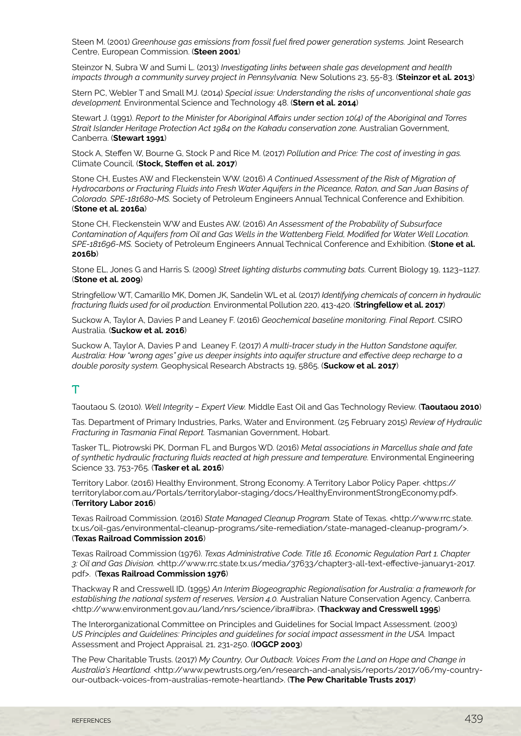Steen M. (2001) *Greenhouse gas emissions from fossil fuel fired power generation systems.* Joint Research Centre, European Commission. (**Steen 2001**)

Steinzor N, Subra W and Sumi L. (2013) *Investigating links between shale gas development and health impacts through a community survey project in Pennsylvania.* New Solutions 23, 55-83. (Steinzor et al. 2013)

Stern PC, Webler T and Small MJ. (2014) *Special issue: Understanding the risks of unconventional shale gas development.* Environmental Science and Technology 48. (**Stern et al. 2014**)

Stewart J. (1991). *Report to the Minister for Aboriginal Affairs under section 10(4) of the Aboriginal and Torres Strait Islander Heritage Protection Act 1984 on the Kakadu conservation zone.* Australian Government, Canberra. (**Stewart 1991**)

Stock A, Steffen W, Bourne G, Stock P and Rice M. (2017) *Pollution and Price: The cost of investing in gas.*  Climate Council. (**Stock, Steffen et al. 2017**)

Stone CH, Eustes AW and Fleckenstein WW. (2016) *A Continued Assessment of the Risk of Migration of Hydrocarbons or Fracturing Fluids into Fresh Water Aquifers in the Piceance, Raton, and San Juan Basins of Colorado. SPE-181680-MS.* Society of Petroleum Engineers Annual Technical Conference and Exhibition. (**Stone et al. 2016a**)

Stone CH, Fleckenstein WW and Eustes AW. (2016) *An Assessment of the Probability of Subsurface Contamination of Aquifers from Oil and Gas Wells in the Wattenberg Field, Modified for Water Well Location. SPE-181696-MS.* Society of Petroleum Engineers Annual Technical Conference and Exhibition. (**Stone et al. 2016b**)

Stone EL, Jones G and Harris S. (2009) *Street lighting disturbs commuting bats.* Current Biology 19, 1123–1127. (**Stone et al. 2009**)

Stringfellow WT, Camarillo MK, Domen JK, Sandelin WL et al. (2017) *Identifying chemicals of concern in hydraulic fracturing fluids used for oil production.* Environmental Pollution 220, 413-420. (**Stringfellow et al. 2017**)

Suckow A, Taylor A, Davies P and Leaney F. (2016) *Geochemical baseline monitoring. Final Report*. CSIRO Australia. (**Suckow et al. 2016**)

Suckow A, Taylor A, Davies P and Leaney F. (2017) *A multi-tracer study in the Hutton Sandstone aquifer, Australia: How "wrong ages" give us deeper insights into aquifer structure and effective deep recharge to a double porosity system.* Geophysical Research Abstracts 19, 5865. (**Suckow et al. 2017**)

# T

Taoutaou S. (2010). *Well Integrity – Expert View.* Middle East Oil and Gas Technology Review. (**Taoutaou 2010**)

Tas. Department of Primary Industries, Parks, Water and Environment. (25 February 2015) *Review of Hydraulic Fracturing in Tasmania Final Report.* Tasmanian Government, Hobart.

Tasker TL, Piotrowski PK, Dorman FL and Burgos WD. (2016) *Metal associations in Marcellus shale and fate of synthetic hydraulic fracturing fluids reacted at high pressure and temperature.* Environmental Engineering Science 33, 753-765. (**Tasker et al. 2016**)

Territory Labor. (2016) Healthy Environment, Strong Economy. A Territory Labor Policy Paper. <https:// territorylabor.com.au/Portals/territorylabor-staging/docs/HealthyEnvironmentStrongEconomy.pdf>. (**Territory Labor 2016**)

Texas Railroad Commission. (2016) *State Managed Cleanup Program.* State of Texas. <http://www.rrc.state. tx.us/oil-gas/environmental-cleanup-programs/site-remediation/state-managed-cleanup-program/>. (**Texas Railroad Commission 2016**)

Texas Railroad Commission (1976). *Texas Administrative Code. Title 16. Economic Regulation Part 1. Chapter 3: Oil and Gas Division.* <http://www.rrc.state.tx.us/media/37633/chapter3-all-text-effective-january1-2017. pdf>. (**Texas Railroad Commission 1976**)

Thackway R and Cresswell ID. (1995) *An Interim Biogeographic Regionalisation for Australia: a framework for establishing the national system of reserves, Version 4.0.* Australian Nature Conservation Agency, Canberra. <http://www.environment.gov.au/land/nrs/science/ibra#ibra>. (**Thackway and Cresswell 1995**)

The Interorganizational Committee on Principles and Guidelines for Social Impact Assessment. (2003) *US Principles and Guidelines: Principles and guidelines for social impact assessment in the USA.* Impact Assessment and Project Appraisal. 21, 231-250. (**IOGCP 2003**)

The Pew Charitable Trusts. (2017) *My Country, Our Outback. Voices From the Land on Hope and Change in Australia's Heartland.* <http://www.pewtrusts.org/en/research-and-analysis/reports/2017/06/my-countryour-outback-voices-from-australias-remote-heartland>. (**The Pew Charitable Trusts 2017**)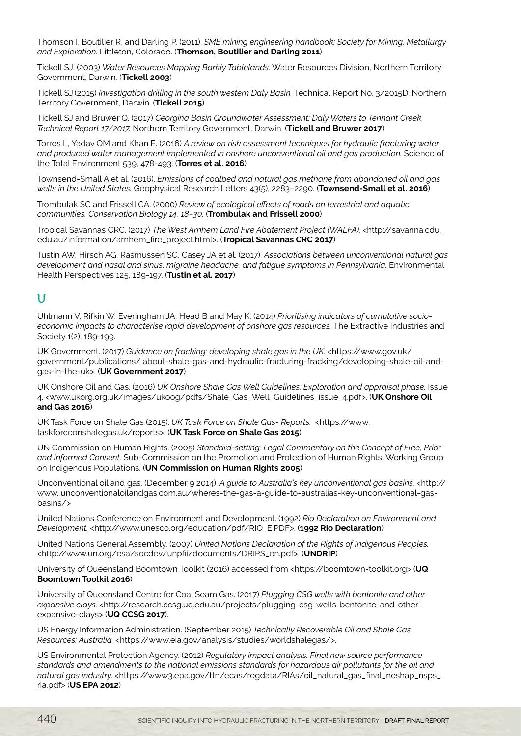Thomson I, Boutilier R, and Darling P. (2011). *SME mining engineering handbook: Society for Mining, Metallurgy and Exploration.* Littleton, Colorado. (**Thomson, Boutilier and Darling 2011**)

Tickell SJ. (2003) *Water Resources Mapping Barkly Tablelands.* Water Resources Division, Northern Territory Government, Darwin. (**Tickell 2003**)

Tickell SJ.(2015) *Investigation drilling in the south western Daly Basin.* Technical Report No. 3/2015D. Northern Territory Government, Darwin. (**Tickell 2015**)

Tickell SJ and Bruwer Q. (2017) *Georgina Basin Groundwater Assessment: Daly Waters to Tennant Creek, Technical Report 17/2017.* Northern Territory Government, Darwin. (**Tickell and Bruwer 2017**)

Torres L, Yadav OM and Khan E. (2016) *A review on risk assessment techniques for hydraulic fracturing water and produced water management implemented in onshore unconventional oil and gas production.* Science of the Total Environment 539, 478-493. (**Torres et al. 2016**)

Townsend-Small A et al. (2016). *Emissions of coalbed and natural gas methane from abandoned oil and gas wells in the United States.* Geophysical Research Letters 43(5), 2283–2290. (**Townsend-Small et al. 2016**)

Trombulak SC and Frissell CA. (2000) *Review of ecological effects of roads on terrestrial and aquatic communities. Conservation Biology 14, 18−30.* (**Trombulak and Frissell 2000**)

Tropical Savannas CRC. (2017) *The West Arnhem Land Fire Abatement Project (WALFA)*. <http://savanna.cdu. edu.au/information/arnhem\_fire\_project.html>. (**Tropical Savannas CRC 2017**)

Tustin AW, Hirsch AG, Rasmussen SG, Casey JA et al. (2017). *Associations between unconventional natural gas development and nasal and sinus, migraine headache, and fatigue symptoms in Pennsylvania.* Environmental Health Perspectives 125, 189-197. (**Tustin et al. 2017**)

## U

Uhlmann V, Rifkin W, Everingham JA, Head B and May K. (2014) *Prioritising indicators of cumulative socioeconomic impacts to characterise rapid development of onshore gas resources.* The Extractive Industries and Society 1(2), 189-199.

UK Government. (2017) *Guidance on fracking: developing shale gas in the UK.* <https://www.gov.uk/ government/publications/ about-shale-gas-and-hydraulic-fracturing-fracking/developing-shale-oil-andgas-in-the-uk>. (**UK Government 2017**)

UK Onshore Oil and Gas. (2016) *UK Onshore Shale Gas Well Guidelines: Exploration and appraisal phase.* Issue 4. <www.ukorg.org.uk/images/ukoog/pdfs/Shale\_Gas\_Well\_Guidelines\_issue\_4.pdf>. (**UK Onshore Oil and Gas 2016**)

UK Task Force on Shale Gas (2015). *UK Task Force on Shale Gas- Reports.* <https://www. taskforceonshalegas.uk/reports>. (**UK Task Force on Shale Gas 2015**)

UN Commission on Human Rights. (2005) *Standard-setting: Legal Commentary on the Concept of Free, Prior and Informed Consent.* Sub-Commission on the Promotion and Protection of Human Rights, Working Group on Indigenous Populations. (**UN Commission on Human Rights 2005**)

Unconventional oil and gas. (December 9 2014). *A guide to Australia's key unconventional gas basins.* <http:// www. unconventionaloilandgas.com.au/wheres-the-gas-a-guide-to-australias-key-unconventional-gasbasins/>

United Nations Conference on Environment and Development. (1992) *Rio Declaration on Environment and Development.* <http://www.unesco.org/education/pdf/RIO\_E.PDF>. (**1992 Rio Declaration**)

United Nations General Assembly. (2007) *United Nations Declaration of the Rights of Indigenous Peoples.* <http://www.un.org/esa/socdev/unpfii/documents/DRIPS\_en.pdf>. (**UNDRIP**)

University of Queensland Boomtown Toolkit (2016) accessed from <https://boomtown-toolkit.org> (**UQ Boomtown Toolkit 2016**)

University of Queensland Centre for Coal Seam Gas. (2017) *Plugging CSG wells with bentonite and other expansive clays.* <http://research.ccsg.uq.edu.au/projects/plugging-csg-wells-bentonite-and-otherexpansive-clays> (**UQ CCSG 2017**).

US Energy Information Administration. (September 2015) *Technically Recoverable Oil and Shale Gas Resources: Australia.* <https://www.eia.gov/analysis/studies/worldshalegas/>.

US Environmental Protection Agency. (2012) *Regulatory impact analysis. Final new source performance standards and amendments to the national emissions standards for hazardous air pollutants for the oil and natural gas industry.* <https://www3.epa.gov/ttn/ecas/regdata/RIAs/oil\_natural\_gas\_final\_neshap\_nsps\_ ria.pdf> (**US EPA 2012**)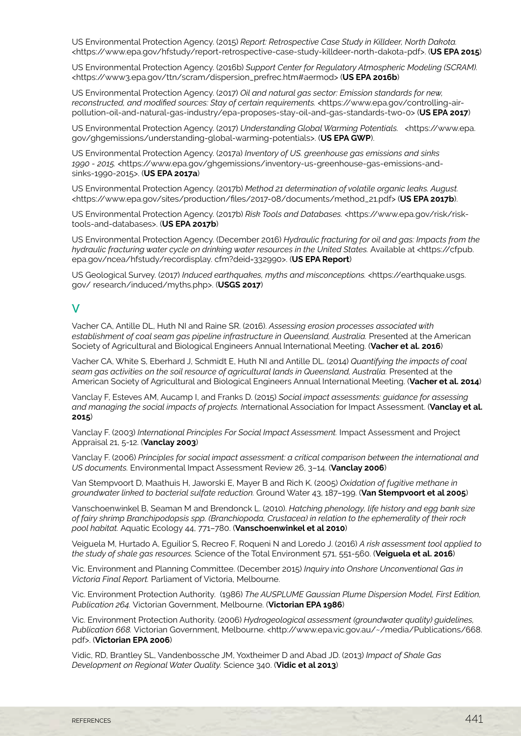US Environmental Protection Agency. (2015) *Report: Retrospective Case Study in Killdeer, North Dakota.*  <https://www.epa.gov/hfstudy/report-retrospective-case-study-killdeer-north-dakota-pdf>. (**US EPA 2015**)

US Environmental Protection Agency. (2016b) *Support Center for Regulatory Atmospheric Modeling (SCRAM).*  <https://www3.epa.gov/ttn/scram/dispersion\_prefrec.htm#aermod> (**US EPA 2016b**)

US Environmental Protection Agency. (2017) *Oil and natural gas sector: Emission standards for new,*  reconstructed, and modified sources: Stay of certain requirements, <https://www.epa.gov/controlling-airpollution-oil-and-natural-gas-industry/epa-proposes-stay-oil-and-gas-standards-two-0> (**US EPA 2017**)

US Environmental Protection Agency. (2017) *Understanding Global Warming Potentials.* <https://www.epa. gov/ghgemissions/understanding-global-warming-potentials>. (**US EPA GWP**).

US Environmental Protection Agency. (2017a) *Inventory of US. greenhouse gas emissions and sinks 1990 - 2015.* <https://www.epa.gov/ghgemissions/inventory-us-greenhouse-gas-emissions-andsinks-1990-2015>. (**US EPA 2017a**)

US Environmental Protection Agency. (2017b) *Method 21 determination of volatile organic leaks. August.*  <https://www.epa.gov/sites/production/files/2017-08/documents/method\_21.pdf> (**US EPA 2017b**).

US Environmental Protection Agency. (2017b) *Risk Tools and Databases.* <https://www.epa.gov/risk/risktools-and-databases>. (**US EPA 2017b**)

US Environmental Protection Agency. (December 2016) *Hydraulic fracturing for oil and gas: Impacts from the hydraulic fracturing water cycle on drinking water resources in the United States. Available at <https://cfpub.* epa.gov/ncea/hfstudy/recordisplay. cfm?deid=332990>. (**US EPA Report**)

US Geological Survey. (2017) *Induced earthquakes, myths and misconceptions.* <https://earthquake.usgs. gov/ research/induced/myths.php>. (**USGS 2017**)

#### $\mathbf V$

Vacher CA, Antille DL, Huth NI and Raine SR. (2016). *Assessing erosion processes associated with establishment of coal seam gas pipeline infrastructure in Queensland, Australia.* Presented at the American Society of Agricultural and Biological Engineers Annual International Meeting. (**Vacher et al. 2016**)

Vacher CA, White S, Eberhard J, Schmidt E, Huth NI and Antille DL. (2014) *Quantifying the impacts of coal seam gas activities on the soil resource of agricultural lands in Queensland, Australia.* Presented at the American Society of Agricultural and Biological Engineers Annual International Meeting. (**Vacher et al. 2014**)

Vanclay F, Esteves AM, Aucamp I, and Franks D. (2015) *Social impact assessments: guidance for assessing and managing the social impacts of projects. I*nternational Association for Impact Assessment. (**Vanclay et al. 2015**)

Vanclay F. (2003) *International Principles For Social Impact Assessment.* Impact Assessment and Project Appraisal 21, 5-12. (**Vanclay 2003**)

Vanclay F. (2006) *Principles for social impact assessment: a critical comparison between the international and US documents.* Environmental Impact Assessment Review 26, 3–14. (**Vanclay 2006**)

Van Stempvoort D, Maathuis H, Jaworski E, Mayer B and Rich K. (2005) *Oxidation of fugitive methane in groundwater linked to bacterial sulfate reduction.* Ground Water 43, 187–199. (**Van Stempvoort et al 2005**)

Vanschoenwinkel B, Seaman M and Brendonck L. (2010). *Hatching phenology, life history and egg bank size of fairy shrimp Branchipodopsis spp. (Branchiopoda, Crustacea) in relation to the ephemerality of their rock pool habitat.* Aquatic Ecology 44, 771–780. (**Vanschoenwinkel et al 2010**)

Veiguela M, Hurtado A, Eguilior S, Recreo F, Roqueni N and Loredo J. (2016) *A risk assessment tool applied to the study of shale gas resources.* Science of the Total Environment 571, 551-560. (**Veiguela et al. 2016**)

Vic. Environment and Planning Committee. (December 2015) *Inquiry into Onshore Unconventional Gas in Victoria Final Report.* Parliament of Victoria, Melbourne.

Vic. Environment Protection Authority. (1986) *The AUSPLUME Gaussian Plume Dispersion Model, First Edition, Publication 264.* Victorian Government, Melbourne. (**Victorian EPA 1986**)

Vic. Environment Protection Authority. (2006) *Hydrogeological assessment (groundwater quality) guidelines, Publication 668.* Victorian Government, Melbourne. <http://www.epa.vic.gov.au/~/media/Publications/668. pdf>. (**Victorian EPA 2006**)

Vidic, RD, Brantley SL, Vandenbossche JM, Yoxtheimer D and Abad JD. (2013) *Impact of Shale Gas Development on Regional Water Quality.* Science 340. (**Vidic et al 2013**)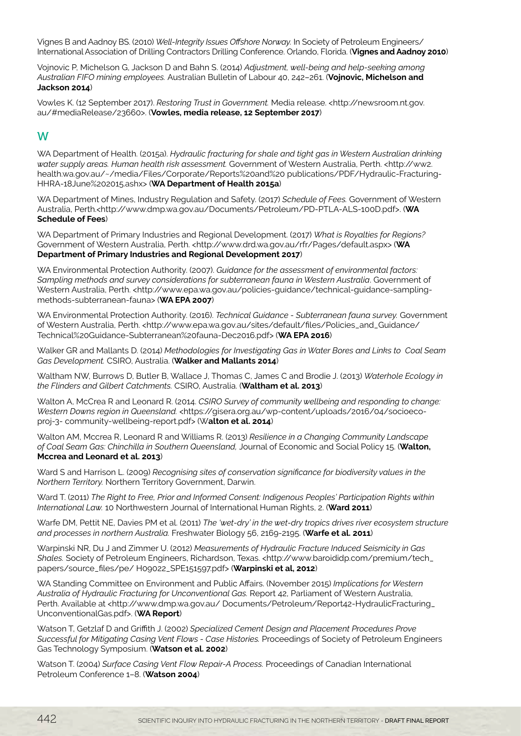Vignes B and Aadnoy BS. (2010) *Well-Integrity Issues Offshore Norway.* In Society of Petroleum Engineers/ International Association of Drilling Contractors Drilling Conference. Orlando, Florida. (**Vignes and Aadnoy 2010**)

Vojnovic P, Michelson G, Jackson D and Bahn S. (2014) *Adjustment, well-being and help-seeking among Australian FIFO mining employees.* Australian Bulletin of Labour 40, 242–261. (**Vojnovic, Michelson and Jackson 2014**)

Vowles K. (12 September 2017). *Restoring Trust in Government.* Media release. <http://newsroom.nt.gov. au/#mediaRelease/23660>. (**Vowles, media release, 12 September 2017**)

## W

WA Department of Health. (2015a). *Hydraulic fracturing for shale and tight gas in Western Australian drinking water supply areas. Human health risk assessment.* Government of Western Australia, Perth. <http://ww2. health.wa.gov.au/~/media/Files/Corporate/Reports%20and%20 publications/PDF/Hydraulic-Fracturing-HHRA-18June%202015.ashx> (**WA Department of Health 2015a**)

WA Department of Mines, Industry Regulation and Safety. (2017) *Schedule of Fees.* Government of Western Australia, Perth.<http://www.dmp.wa.gov.au/Documents/Petroleum/PD-PTLA-ALS-100D.pdf>. (**WA Schedule of Fees**)

WA Department of Primary Industries and Regional Development. (2017) *What is Royalties for Regions?* Government of Western Australia, Perth. <http://www.drd.wa.gov.au/rfr/Pages/default.aspx> (WA **Department of Primary Industries and Regional Development 2017**)

WA Environmental Protection Authority. (2007). *Guidance for the assessment of environmental factors: Sampling methods and survey considerations for subterranean fauna in Western Australia*. Government of Western Australia, Perth. <http://www.epa.wa.gov.au/policies-guidance/technical-guidance-samplingmethods-subterranean-fauna> (**WA EPA 2007**)

WA Environmental Protection Authority. (2016). *Technical Guidance - Subterranean fauna survey.* Government of Western Australia, Perth. <http://www.epa.wa.gov.au/sites/default/files/Policies\_and\_Guidance/ Technical%20Guidance-Subterranean%20fauna-Dec2016.pdf> (**WA EPA 2016**)

Walker GR and Mallants D. (2014) *Methodologies for Investigating Gas in Water Bores and Links to Coal Seam Gas Development.* CSIRO, Australia. (**Walker and Mallants 2014**)

Waltham NW, Burrows D, Butler B, Wallace J, Thomas C, James C and Brodie J. (2013) *Waterhole Ecology in the Flinders and Gilbert Catchments.* CSIRO, Australia. (**Waltham et al. 2013**)

Walton A, McCrea R and Leonard R. (2014. *CSIRO Survey of community wellbeing and responding to change: Western Downs region in Queensland.* <https://gisera.org.au/wp-content/uploads/2016/04/socioecoproj-3- community-wellbeing-report.pdf> (W**alton et al. 2014**)

Walton AM, Mccrea R, Leonard R and Williams R. (2013) *Resilience in a Changing Community Landscape of Coal Seam Gas: Chinchilla in Southern Queensland,* Journal of Economic and Social Policy 15. (**Walton, Mccrea and Leonard et al. 2013**)

Ward S and Harrison L. (2009) *Recognising sites of conservation significance for biodiversity values in the Northern Territory.* Northern Territory Government, Darwin.

Ward T. (2011) *The Right to Free, Prior and Informed Consent: Indigenous Peoples' Participation Rights within International Law.* 10 Northwestern Journal of International Human Rights, 2. (**Ward 2011**)

Warfe DM, Pettit NE, Davies PM et al. (2011) *The 'wet-dry' in the wet-dry tropics drives river ecosystem structure and processes in northern Australia.* Freshwater Biology 56, 2169-2195. (**Warfe et al. 2011**)

Warpinski NR, Du J and Zimmer U. (2012) *Measurements of Hydraulic Fracture Induced Seismicity in Gas Shales.* Society of Petroleum Engineers, Richardson, Texas. <http://www.baroididp.com/premium/tech\_ papers/source\_files/pe/ H09022\_SPE151597.pdf> (**Warpinski et al, 2012**)

WA Standing Committee on Environment and Public Affairs. (November 2015) *Implications for Western Australia of Hydraulic Fracturing for Unconventional Gas.* Report 42, Parliament of Western Australia, Perth. Available at <http://www.dmp.wa.gov.au/ Documents/Petroleum/Report42-HydraulicFracturing\_ UnconventionalGas.pdf>. (**WA Report**)

Watson T, Getzlaf D and Griffith J. (2002) *Specialized Cement Design and Placement Procedures Prove Successful for Mitigating Casing Vent Flows - Case Histories.* Proceedings of Society of Petroleum Engineers Gas Technology Symposium. (**Watson et al. 2002**)

Watson T. (2004) *Surface Casing Vent Flow Repair-A Process.* Proceedings of Canadian International Petroleum Conference 1–8. (**Watson 2004**)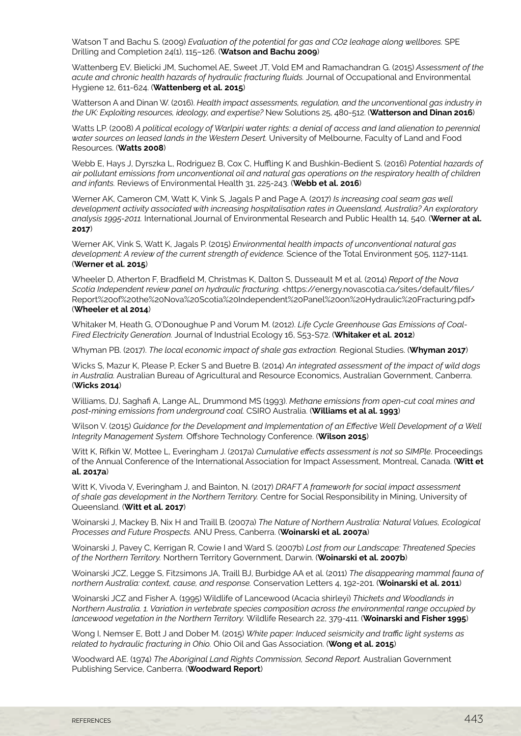Watson T and Bachu S. (2009) *Evaluation of the potential for gas and CO2 leakage along wellbores.* SPE Drilling and Completion 24(1), 115–126. (**Watson and Bachu 2009**)

Wattenberg EV, Bielicki JM, Suchomel AE, Sweet JT, Vold EM and Ramachandran G. (2015) *Assessment of the acute and chronic health hazards of hydraulic fracturing fluids.* Journal of Occupational and Environmental Hygiene 12, 611-624. (**Wattenberg et al. 2015**)

Watterson A and Dinan W. (2016). *Health impact assessments, regulation, and the unconventional gas industry in the UK: Exploiting resources, ideology, and expertise?* New Solutions 25, 480-512. (**Watterson and Dinan 2016**)

Watts LP. (2008) *A political ecology of Warlpiri water rights: a denial of access and land alienation to perennial water sources on leased lands in the Western Desert.* University of Melbourne, Faculty of Land and Food Resources. (**Watts 2008**)

Webb E, Hays J, Dyrszka L, Rodriguez B, Cox C, Huffling K and Bushkin-Bedient S. (2016) *Potential hazards of air pollutant emissions from unconventional oil and natural gas operations on the respiratory health of children and infants.* Reviews of Environmental Health 31, 225-243. (**Webb et al. 2016**)

Werner AK, Cameron CM, Watt K, Vink S, Jagals P and Page A. (2017) *Is increasing coal seam gas well development activity associated with increasing hospitalisation rates in Queensland, Australia? An exploratory analysis 1995-2011.* International Journal of Environmental Research and Public Health 14, 540. (**Werner at al. 2017**)

Werner AK, Vink S, Watt K, Jagals P. (2015) *Environmental health impacts of unconventional natural gas development: A review of the current strength of evidence.* Science of the Total Environment 505, 1127-1141. (**Werner et al. 2015**)

Wheeler D, Atherton F, Bradfield M, Christmas K, Dalton S, Dusseault M et al. (2014) *Report of the Nova Scotia Independent review panel on hydraulic fracturing.* <https://energy.novascotia.ca/sites/default/files/ Report%20of%20the%20Nova%20Scotia%20Independent%20Panel%20on%20Hydraulic%20Fracturing.pdf> (**Wheeler et al 2014**)

Whitaker M, Heath G, O'Donoughue P and Vorum M. (2012). *Life Cycle Greenhouse Gas Emissions of Coal-Fired Electricity Generation.* Journal of Industrial Ecology 16, S53-S72. (**Whitaker et al. 2012**)

Whyman PB. (2017). *The local economic impact of shale gas extraction.* Regional Studies. (**Whyman 2017**)

Wicks S, Mazur K, Please P, Ecker S and Buetre B. (2014) *An integrated assessment of the impact of wild dogs in Australia.* Australian Bureau of Agricultural and Resource Economics, Australian Government, Canberra. (**Wicks 2014**)

Williams, DJ, Saghafi A, Lange AL, Drummond MS (1993). *Methane emissions from open-cut coal mines and post-mining emissions from underground coal.* CSIRO Australia. (**Williams et al al. 1993**)

Wilson V. (2015) *Guidance for the Development and Implementation of an Effective Well Development of a Well Integrity Management System.* Offshore Technology Conference. (**Wilson 2015**)

Witt K, Rifkin W, Mottee L, Everingham J. (2017a) *Cumulative effects assessment is not so SIMPle*. Proceedings of the Annual Conference of the International Association for Impact Assessment, Montreal, Canada. (**Witt et al. 2017a**)

Witt K, Vivoda V, Everingham J, and Bainton, N. (2017) *DRAFT A framework for social impact assessment of shale gas development in the Northern Territory.* Centre for Social Responsibility in Mining, University of Queensland. (**Witt et al. 2017**)

Woinarski J, Mackey B, Nix H and Traill B. (2007a) *The Nature of Northern Australia: Natural Values, Ecological Processes and Future Prospects.* ANU Press, Canberra. (**Woinarski et al. 2007a**)

Woinarski J, Pavey C, Kerrigan R, Cowie I and Ward S. (2007b) *Lost from our Landscape: Threatened Species of the Northern Territory.* Northern Territory Government, Darwin. (**Woinarski et al. 2007b**)

Woinarski JCZ, Legge S, Fitzsimons JA, Traill BJ, Burbidge AA et al. (2011) *The disappearing mammal fauna of northern Australia: context, cause, and response.* Conservation Letters 4, 192-201. (**Woinarski et al. 2011**)

Woinarski JCZ and Fisher A. (1995) Wildlife of Lancewood (Acacia shirleyi) *Thickets and Woodlands in Northern Australia. 1. Variation in vertebrate species composition across the environmental range occupied by lancewood vegetation in the Northern Territory.* Wildlife Research 22, 379-411. (**Woinarski and Fisher 1995**)

Wong I, Nemser E, Bott J and Dober M. (2015) *White paper: Induced seismicity and traffic light systems as related to hydraulic fracturing in Ohio.* Ohio Oil and Gas Association. (**Wong et al. 2015**)

Woodward AE. (1974) *The Aboriginal Land Rights Commission, Second Report.* Australian Government Publishing Service, Canberra. (**Woodward Report**)